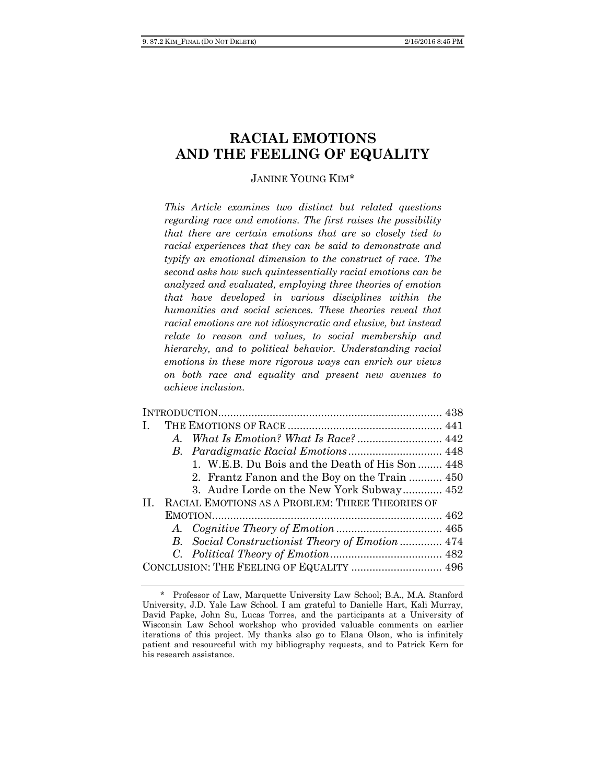# **RACIAL EMOTIONS AND THE FEELING OF EQUALITY**

# JANINE YOUNG KIM\*

*This Article examines two distinct but related questions regarding race and emotions. The first raises the possibility that there are certain emotions that are so closely tied to racial experiences that they can be said to demonstrate and typify an emotional dimension to the construct of race. The second asks how such quintessentially racial emotions can be analyzed and evaluated, employing three theories of emotion that have developed in various disciplines within the humanities and social sciences. These theories reveal that racial emotions are not idiosyncratic and elusive, but instead relate to reason and values, to social membership and hierarchy, and to political behavior. Understanding racial emotions in these more rigorous ways can enrich our views on both race and equality and present new avenues to achieve inclusion.* 

| Ι.                                       |  |                                                  |  |
|------------------------------------------|--|--------------------------------------------------|--|
|                                          |  |                                                  |  |
|                                          |  |                                                  |  |
|                                          |  | 1. W.E.B. Du Bois and the Death of His Son  448  |  |
|                                          |  | 2. Frantz Fanon and the Boy on the Train  450    |  |
|                                          |  | 3. Audre Lorde on the New York Subway 452        |  |
| $\Pi$                                    |  | RACIAL EMOTIONS AS A PROBLEM: THREE THEORIES OF  |  |
|                                          |  |                                                  |  |
|                                          |  |                                                  |  |
|                                          |  | B. Social Constructionist Theory of Emotion  474 |  |
|                                          |  |                                                  |  |
| CONCLUSION: THE FEELING OF EQUALITY  496 |  |                                                  |  |
|                                          |  |                                                  |  |

<sup>\*</sup> Professor of Law, Marquette University Law School; B.A., M.A. Stanford University, J.D. Yale Law School. I am grateful to Danielle Hart, Kali Murray, David Papke, John Su, Lucas Torres, and the participants at a University of Wisconsin Law School workshop who provided valuable comments on earlier iterations of this project. My thanks also go to Elana Olson, who is infinitely patient and resourceful with my bibliography requests, and to Patrick Kern for his research assistance.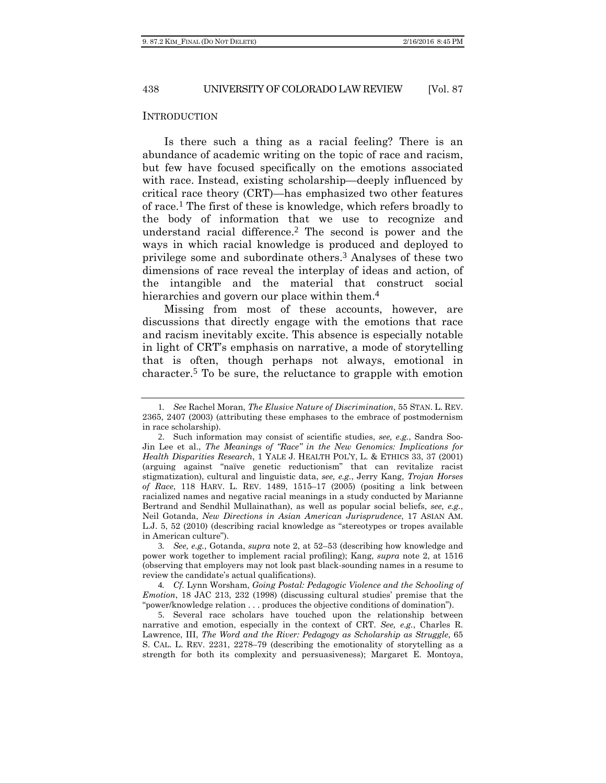#### INTRODUCTION

Is there such a thing as a racial feeling? There is an abundance of academic writing on the topic of race and racism, but few have focused specifically on the emotions associated with race. Instead, existing scholarship—deeply influenced by critical race theory (CRT)—has emphasized two other features of race.1 The first of these is knowledge, which refers broadly to the body of information that we use to recognize and understand racial difference.2 The second is power and the ways in which racial knowledge is produced and deployed to privilege some and subordinate others.3 Analyses of these two dimensions of race reveal the interplay of ideas and action, of the intangible and the material that construct social hierarchies and govern our place within them.<sup>4</sup>

Missing from most of these accounts, however, are discussions that directly engage with the emotions that race and racism inevitably excite. This absence is especially notable in light of CRT's emphasis on narrative, a mode of storytelling that is often, though perhaps not always, emotional in character.5 To be sure, the reluctance to grapple with emotion

3*. See, e.g.*, Gotanda, *supra* note 2, at 52–53 (describing how knowledge and power work together to implement racial profiling); Kang, *supra* note 2, at 1516 (observing that employers may not look past black-sounding names in a resume to review the candidate's actual qualifications).

4*. Cf.* Lynn Worsham, *Going Postal: Pedagogic Violence and the Schooling of Emotion*, 18 JAC 213, 232 (1998) (discussing cultural studies' premise that the "power/knowledge relation . . . produces the objective conditions of domination").

5. Several race scholars have touched upon the relationship between narrative and emotion, especially in the context of CRT. *See, e.g.*, Charles R. Lawrence, III, *The Word and the River: Pedagogy as Scholarship as Struggle*, 65 S. CAL. L. REV. 2231, 2278–79 (describing the emotionality of storytelling as a strength for both its complexity and persuasiveness); Margaret E. Montoya,

<sup>1</sup>*. See* Rachel Moran, *The Elusive Nature of Discrimination*, 55 STAN. L. REV. 2365, 2407 (2003) (attributing these emphases to the embrace of postmodernism in race scholarship).

<sup>2</sup>. Such information may consist of scientific studies, *see, e.g.*, Sandra Soo-Jin Lee et al., *The Meanings of "Race" in the New Genomics: Implications for Health Disparities Research*, 1 YALE J. HEALTH POL'Y, L. & ETHICS 33, 37 (2001) (arguing against "naïve genetic reductionism" that can revitalize racist stigmatization), cultural and linguistic data, *see, e.g.*, Jerry Kang, *Trojan Horses of Race*, 118 HARV. L. REV. 1489, 1515–17 (2005) (positing a link between racialized names and negative racial meanings in a study conducted by Marianne Bertrand and Sendhil Mullainathan), as well as popular social beliefs, *see, e.g.*, Neil Gotanda, *New Directions in Asian American Jurisprudence*, 17 ASIAN AM. L.J. 5, 52 (2010) (describing racial knowledge as "stereotypes or tropes available in American culture").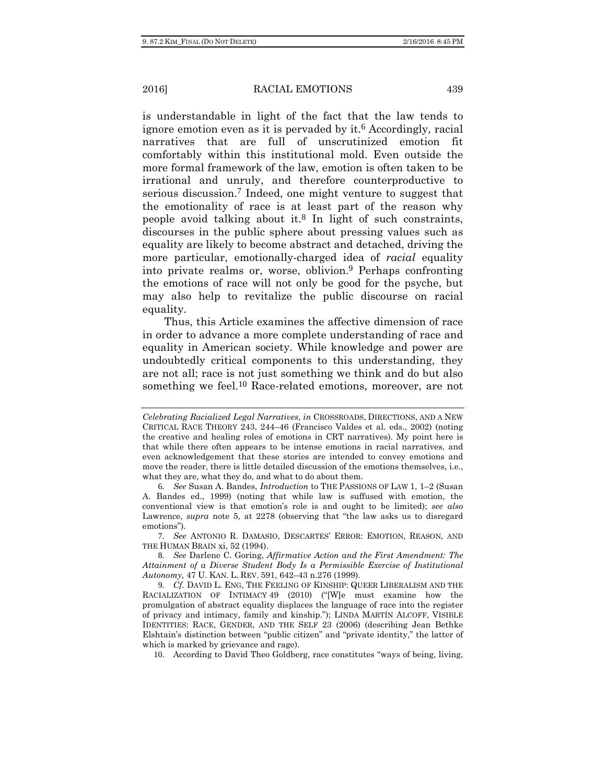is understandable in light of the fact that the law tends to ignore emotion even as it is pervaded by it.<sup>6</sup> Accordingly, racial narratives that are full of unscrutinized emotion fit comfortably within this institutional mold. Even outside the more formal framework of the law, emotion is often taken to be irrational and unruly, and therefore counterproductive to serious discussion.7 Indeed, one might venture to suggest that the emotionality of race is at least part of the reason why people avoid talking about it.8 In light of such constraints, discourses in the public sphere about pressing values such as equality are likely to become abstract and detached, driving the more particular, emotionally-charged idea of *racial* equality into private realms or, worse, oblivion.9 Perhaps confronting the emotions of race will not only be good for the psyche, but may also help to revitalize the public discourse on racial equality.

Thus, this Article examines the affective dimension of race in order to advance a more complete understanding of race and equality in American society. While knowledge and power are undoubtedly critical components to this understanding, they are not all; race is not just something we think and do but also something we feel.<sup>10</sup> Race-related emotions, moreover, are not

7*. See* ANTONIO R. DAMASIO, DESCARTES' ERROR: EMOTION, REASON, AND THE HUMAN BRAIN xi, 52 (1994).

8*. See* Darlene C. Goring, *Affirmative Action and the First Amendment: The Attainment of a Diverse Student Body Is a Permissible Exercise of Institutional Autonomy*, 47 U. KAN. L. REV. 591, 642–43 n.276 (1999).

9*. Cf.* DAVID L. ENG, THE FEELING OF KINSHIP: QUEER LIBERALISM AND THE RACIALIZATION OF INTIMACY 49 (2010) ("[W]e must examine how the promulgation of abstract equality displaces the language of race into the register of privacy and intimacy, family and kinship."); LINDA MARTÍN ALCOFF, VISIBLE IDENTITIES: RACE, GENDER, AND THE SELF 23 (2006) (describing Jean Bethke Elshtain's distinction between "public citizen" and "private identity," the latter of which is marked by grievance and rage).

10. According to David Theo Goldberg, race constitutes "ways of being, living,

*Celebrating Racialized Legal Narratives*, *in* CROSSROADS, DIRECTIONS, AND A NEW CRITICAL RACE THEORY 243, 244–46 (Francisco Valdes et al. eds., 2002) (noting the creative and healing roles of emotions in CRT narratives). My point here is that while there often appears to be intense emotions in racial narratives, and even acknowledgement that these stories are intended to convey emotions and move the reader, there is little detailed discussion of the emotions themselves, i.e., what they are, what they do, and what to do about them.

<sup>6</sup>*. See* Susan A. Bandes, *Introduction* to THE PASSIONS OF LAW 1, 1–2 (Susan A. Bandes ed., 1999) (noting that while law is suffused with emotion, the conventional view is that emotion's role is and ought to be limited); *see also*  Lawrence, *supra* note 5, at 2278 (observing that "the law asks us to disregard emotions").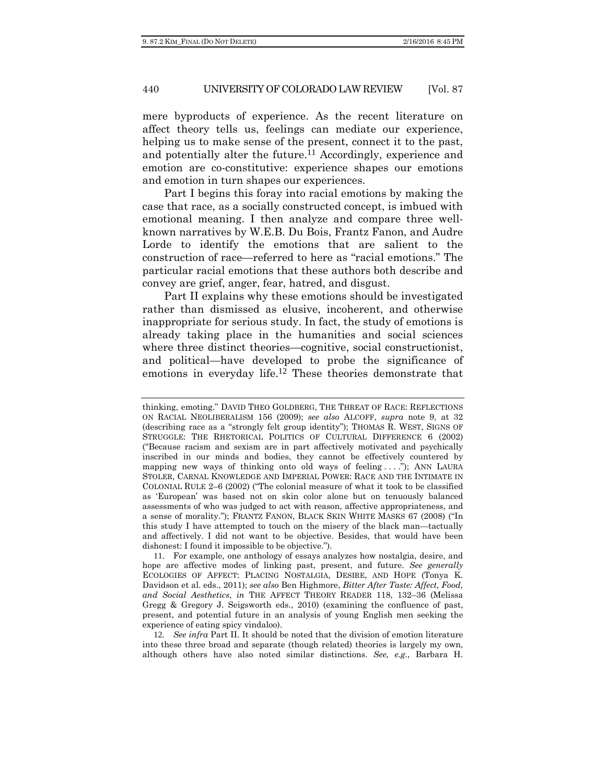mere byproducts of experience. As the recent literature on affect theory tells us, feelings can mediate our experience, helping us to make sense of the present, connect it to the past, and potentially alter the future.<sup>11</sup> Accordingly, experience and emotion are co-constitutive: experience shapes our emotions and emotion in turn shapes our experiences.

Part I begins this foray into racial emotions by making the case that race, as a socially constructed concept, is imbued with emotional meaning. I then analyze and compare three wellknown narratives by W.E.B. Du Bois, Frantz Fanon, and Audre Lorde to identify the emotions that are salient to the construction of race—referred to here as "racial emotions." The particular racial emotions that these authors both describe and convey are grief, anger, fear, hatred, and disgust.

Part II explains why these emotions should be investigated rather than dismissed as elusive, incoherent, and otherwise inappropriate for serious study. In fact, the study of emotions is already taking place in the humanities and social sciences where three distinct theories—cognitive, social constructionist, and political—have developed to probe the significance of emotions in everyday life.12 These theories demonstrate that

11. For example, one anthology of essays analyzes how nostalgia, desire, and hope are affective modes of linking past, present, and future. *See generally* ECOLOGIES OF AFFECT: PLACING NOSTALGIA, DESIRE, AND HOPE (Tonya K. Davidson et al. eds., 2011); *see also* Ben Highmore, *Bitter After Taste: Affect, Food, and Social Aesthetics*, *in* THE AFFECT THEORY READER 118, 132–36 (Melissa Gregg & Gregory J. Seigsworth eds., 2010) (examining the confluence of past, present, and potential future in an analysis of young English men seeking the experience of eating spicy vindaloo).

12*. See infra* Part II. It should be noted that the division of emotion literature into these three broad and separate (though related) theories is largely my own, although others have also noted similar distinctions. *See, e.g.*, Barbara H.

thinking, emoting." DAVID THEO GOLDBERG, THE THREAT OF RACE: REFLECTIONS ON RACIAL NEOLIBERALISM 156 (2009); *see also* ALCOFF, *supra* note 9, at 32 (describing race as a "strongly felt group identity"); THOMAS R. WEST, SIGNS OF STRUGGLE: THE RHETORICAL POLITICS OF CULTURAL DIFFERENCE 6 (2002) ("Because racism and sexism are in part affectively motivated and psychically inscribed in our minds and bodies, they cannot be effectively countered by mapping new ways of thinking onto old ways of feeling . . . ."); ANN LAURA STOLER, CARNAL KNOWLEDGE AND IMPERIAL POWER: RACE AND THE INTIMATE IN COLONIAL RULE 2–6 (2002) ("The colonial measure of what it took to be classified as 'European' was based not on skin color alone but on tenuously balanced assessments of who was judged to act with reason, affective appropriateness, and a sense of morality."); FRANTZ FANON, BLACK SKIN WHITE MASKS 67 (2008) ("In this study I have attempted to touch on the misery of the black man—tactually and affectively. I did not want to be objective. Besides, that would have been dishonest: I found it impossible to be objective.").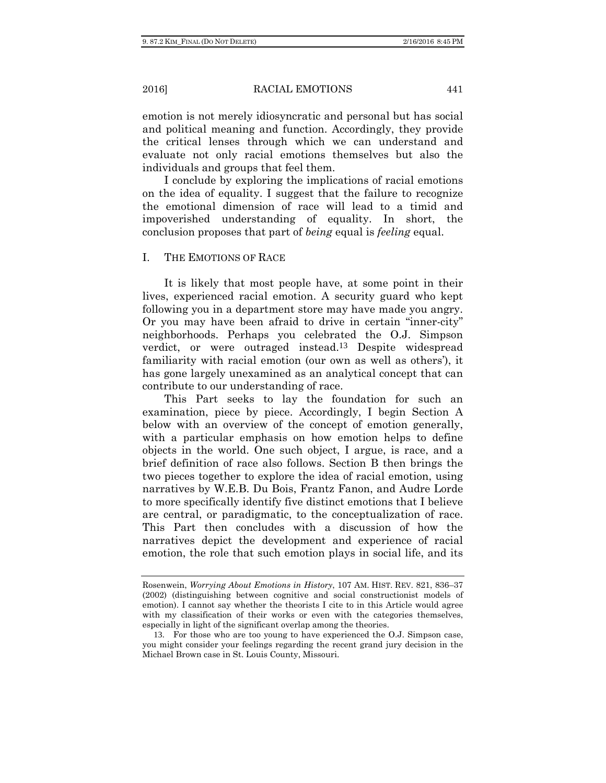emotion is not merely idiosyncratic and personal but has social and political meaning and function. Accordingly, they provide the critical lenses through which we can understand and evaluate not only racial emotions themselves but also the individuals and groups that feel them.

I conclude by exploring the implications of racial emotions on the idea of equality. I suggest that the failure to recognize the emotional dimension of race will lead to a timid and impoverished understanding of equality. In short, the conclusion proposes that part of *being* equal is *feeling* equal.

#### I. THE EMOTIONS OF RACE

It is likely that most people have, at some point in their lives, experienced racial emotion. A security guard who kept following you in a department store may have made you angry. Or you may have been afraid to drive in certain "inner-city" neighborhoods. Perhaps you celebrated the O.J. Simpson verdict, or were outraged instead.13 Despite widespread familiarity with racial emotion (our own as well as others'), it has gone largely unexamined as an analytical concept that can contribute to our understanding of race.

This Part seeks to lay the foundation for such an examination, piece by piece. Accordingly, I begin Section A below with an overview of the concept of emotion generally, with a particular emphasis on how emotion helps to define objects in the world. One such object, I argue, is race, and a brief definition of race also follows. Section B then brings the two pieces together to explore the idea of racial emotion, using narratives by W.E.B. Du Bois, Frantz Fanon, and Audre Lorde to more specifically identify five distinct emotions that I believe are central, or paradigmatic, to the conceptualization of race. This Part then concludes with a discussion of how the narratives depict the development and experience of racial emotion, the role that such emotion plays in social life, and its

Rosenwein, *Worrying About Emotions in History*, 107 AM. HIST. REV. 821, 836–37 (2002) (distinguishing between cognitive and social constructionist models of emotion). I cannot say whether the theorists I cite to in this Article would agree with my classification of their works or even with the categories themselves, especially in light of the significant overlap among the theories.

<sup>13</sup>. For those who are too young to have experienced the O.J. Simpson case, you might consider your feelings regarding the recent grand jury decision in the Michael Brown case in St. Louis County, Missouri.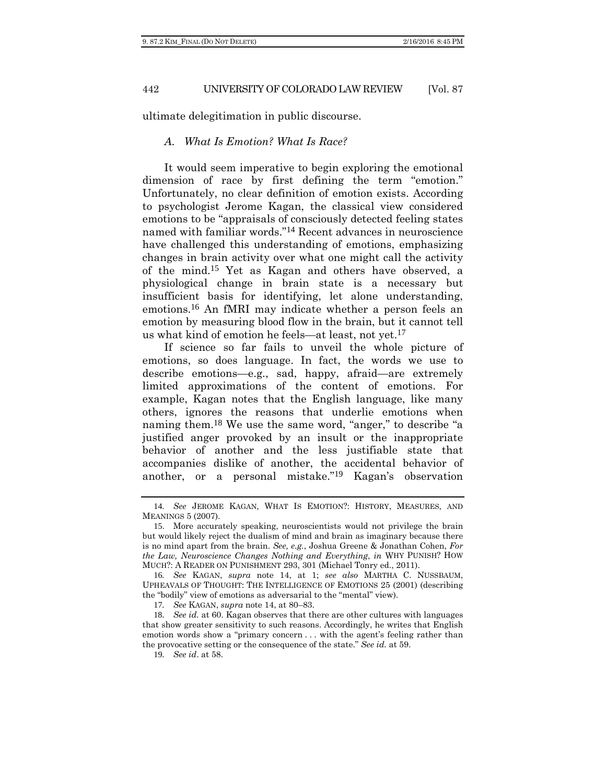ultimate delegitimation in public discourse.

# *A. What Is Emotion? What Is Race?*

It would seem imperative to begin exploring the emotional dimension of race by first defining the term "emotion." Unfortunately, no clear definition of emotion exists. According to psychologist Jerome Kagan, the classical view considered emotions to be "appraisals of consciously detected feeling states named with familiar words."14 Recent advances in neuroscience have challenged this understanding of emotions, emphasizing changes in brain activity over what one might call the activity of the mind.15 Yet as Kagan and others have observed, a physiological change in brain state is a necessary but insufficient basis for identifying, let alone understanding, emotions.16 An fMRI may indicate whether a person feels an emotion by measuring blood flow in the brain, but it cannot tell us what kind of emotion he feels—at least, not yet.17

If science so far fails to unveil the whole picture of emotions, so does language. In fact, the words we use to describe emotions—e.g., sad, happy, afraid—are extremely limited approximations of the content of emotions. For example, Kagan notes that the English language, like many others, ignores the reasons that underlie emotions when naming them.18 We use the same word, "anger," to describe "a justified anger provoked by an insult or the inappropriate behavior of another and the less justifiable state that accompanies dislike of another, the accidental behavior of another, or a personal mistake."19 Kagan's observation

17*. See* KAGAN, *supra* note 14, at 80–83.

<sup>14</sup>*. See* JEROME KAGAN, WHAT IS EMOTION?: HISTORY, MEASURES, AND MEANINGS 5 (2007).

<sup>15</sup>. More accurately speaking, neuroscientists would not privilege the brain but would likely reject the dualism of mind and brain as imaginary because there is no mind apart from the brain. *See, e.g.*, Joshua Greene & Jonathan Cohen, *For the Law, Neuroscience Changes Nothing and Everything*, *in* WHY PUNISH? HOW MUCH?: A READER ON PUNISHMENT 293, 301 (Michael Tonry ed., 2011).

<sup>16</sup>*. See* KAGAN, *supra* note 14, at 1; *see also* MARTHA C. NUSSBAUM, UPHEAVALS OF THOUGHT: THE INTELLIGENCE OF EMOTIONS 25 (2001) (describing the "bodily" view of emotions as adversarial to the "mental" view).

<sup>18</sup>*. See id.* at 60. Kagan observes that there are other cultures with languages that show greater sensitivity to such reasons. Accordingly, he writes that English emotion words show a "primary concern . . . with the agent's feeling rather than the provocative setting or the consequence of the state." *See id.* at 59.

<sup>19</sup>*. See id*. at 58.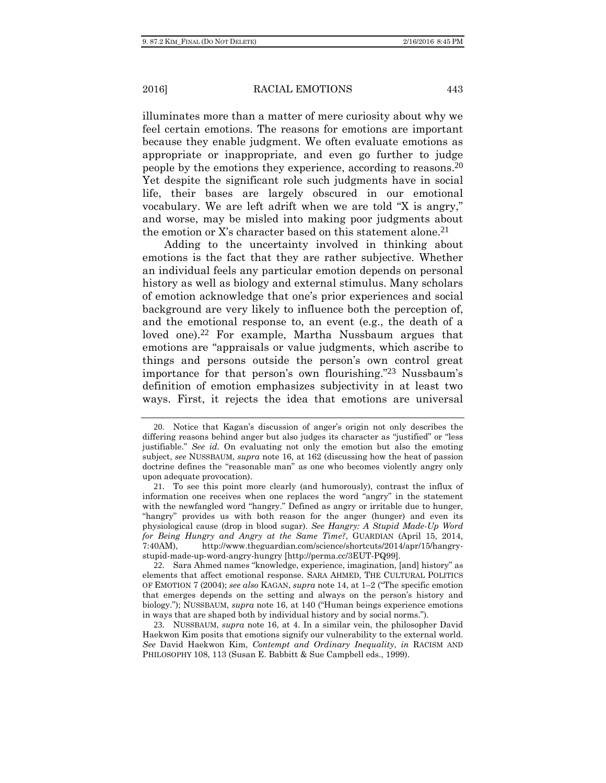illuminates more than a matter of mere curiosity about why we feel certain emotions. The reasons for emotions are important because they enable judgment. We often evaluate emotions as appropriate or inappropriate, and even go further to judge people by the emotions they experience, according to reasons.20 Yet despite the significant role such judgments have in social life, their bases are largely obscured in our emotional vocabulary. We are left adrift when we are told "X is angry," and worse, may be misled into making poor judgments about the emotion or X's character based on this statement alone.<sup>21</sup>

Adding to the uncertainty involved in thinking about emotions is the fact that they are rather subjective. Whether an individual feels any particular emotion depends on personal history as well as biology and external stimulus. Many scholars of emotion acknowledge that one's prior experiences and social background are very likely to influence both the perception of, and the emotional response to, an event (e.g., the death of a loved one).<sup>22</sup> For example, Martha Nussbaum argues that emotions are "appraisals or value judgments, which ascribe to things and persons outside the person's own control great importance for that person's own flourishing."23 Nussbaum's definition of emotion emphasizes subjectivity in at least two ways. First, it rejects the idea that emotions are universal

<sup>20</sup>. Notice that Kagan's discussion of anger's origin not only describes the differing reasons behind anger but also judges its character as "justified" or "less justifiable." *See id.* On evaluating not only the emotion but also the emoting subject, *see* NUSSBAUM, *supra* note 16, at 162 (discussing how the heat of passion doctrine defines the "reasonable man" as one who becomes violently angry only upon adequate provocation).

<sup>21</sup>. To see this point more clearly (and humorously), contrast the influx of information one receives when one replaces the word "angry" in the statement with the newfangled word "hangry." Defined as angry or irritable due to hunger, "hangry" provides us with both reason for the anger (hunger) and even its physiological cause (drop in blood sugar). *See Hangry: A Stupid Made-Up Word for Being Hungry and Angry at the Same Time?*, GUARDIAN (April 15, 2014, 7:40AM), http://www.theguardian.com/science/shortcuts/2014/apr/15/hangrystupid-made-up-word-angry-hungry [http://perma.cc/3EUT-PQ99].

<sup>22</sup>. Sara Ahmed names "knowledge, experience, imagination, [and] history" as elements that affect emotional response. SARA AHMED, THE CULTURAL POLITICS OF EMOTION 7 (2004); *see also* KAGAN, *supra* note 14, at 1–2 ("The specific emotion that emerges depends on the setting and always on the person's history and biology."); NUSSBAUM, *supra* note 16, at 140 ("Human beings experience emotions in ways that are shaped both by individual history and by social norms.").

<sup>23</sup>. NUSSBAUM, *supra* note 16, at 4. In a similar vein, the philosopher David Haekwon Kim posits that emotions signify our vulnerability to the external world. *See* David Haekwon Kim, *Contempt and Ordinary Inequality*, *in* RACISM AND PHILOSOPHY 108, 113 (Susan E. Babbitt & Sue Campbell eds., 1999).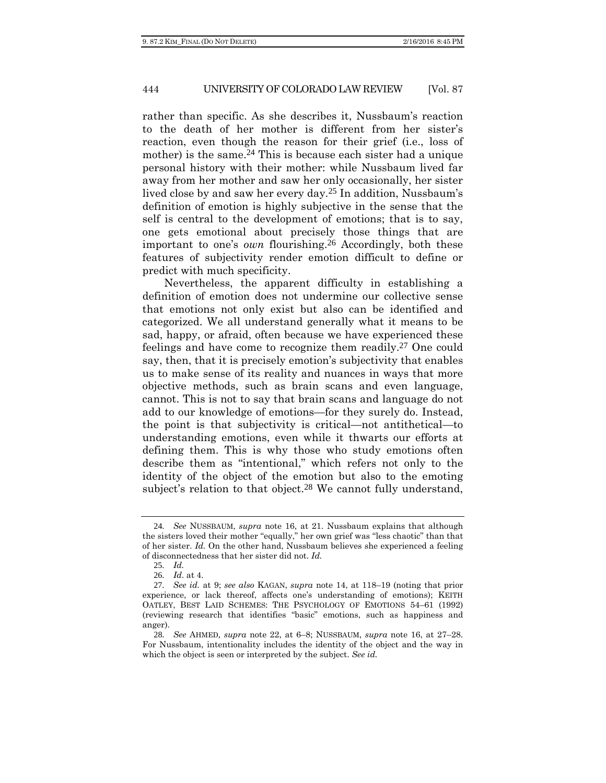rather than specific. As she describes it, Nussbaum's reaction to the death of her mother is different from her sister's reaction, even though the reason for their grief (i.e., loss of mother) is the same.<sup>24</sup> This is because each sister had a unique personal history with their mother: while Nussbaum lived far away from her mother and saw her only occasionally, her sister lived close by and saw her every day.25 In addition, Nussbaum's definition of emotion is highly subjective in the sense that the self is central to the development of emotions; that is to say, one gets emotional about precisely those things that are important to one's *own* flourishing.26 Accordingly, both these features of subjectivity render emotion difficult to define or predict with much specificity.

Nevertheless, the apparent difficulty in establishing a definition of emotion does not undermine our collective sense that emotions not only exist but also can be identified and categorized. We all understand generally what it means to be sad, happy, or afraid, often because we have experienced these feelings and have come to recognize them readily.27 One could say, then, that it is precisely emotion's subjectivity that enables us to make sense of its reality and nuances in ways that more objective methods, such as brain scans and even language, cannot. This is not to say that brain scans and language do not add to our knowledge of emotions—for they surely do. Instead, the point is that subjectivity is critical—not antithetical—to understanding emotions, even while it thwarts our efforts at defining them. This is why those who study emotions often describe them as "intentional," which refers not only to the identity of the object of the emotion but also to the emoting subject's relation to that object.<sup>28</sup> We cannot fully understand,

<sup>24</sup>*. See* NUSSBAUM, *supra* note 16, at 21. Nussbaum explains that although the sisters loved their mother "equally," her own grief was "less chaotic" than that of her sister. *Id.* On the other hand, Nussbaum believes she experienced a feeling of disconnectedness that her sister did not. *Id.*

<sup>25</sup>*. Id.*

<sup>26</sup>*. Id*. at 4.

<sup>27</sup>*. See id.* at 9; *see also* KAGAN, *supra* note 14, at 118–19 (noting that prior experience, or lack thereof, affects one's understanding of emotions); KEITH OATLEY, BEST LAID SCHEMES: THE PSYCHOLOGY OF EMOTIONS 54–61 (1992) (reviewing research that identifies "basic" emotions, such as happiness and anger).

<sup>28</sup>*. See* AHMED*, supra* note 22, at 6–8; NUSSBAUM, *supra* note 16, at 27–28. For Nussbaum, intentionality includes the identity of the object and the way in which the object is seen or interpreted by the subject. *See id.*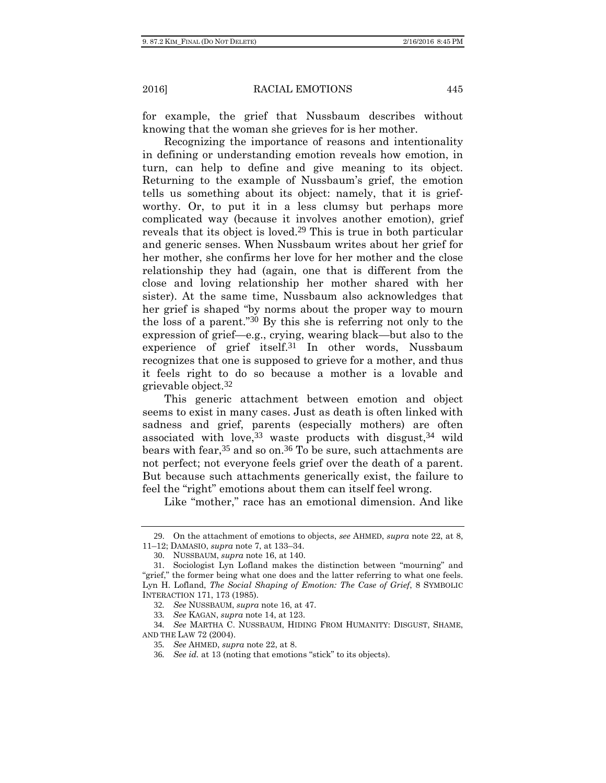for example, the grief that Nussbaum describes without knowing that the woman she grieves for is her mother.

Recognizing the importance of reasons and intentionality in defining or understanding emotion reveals how emotion, in turn, can help to define and give meaning to its object. Returning to the example of Nussbaum's grief, the emotion tells us something about its object: namely, that it is griefworthy. Or, to put it in a less clumsy but perhaps more complicated way (because it involves another emotion), grief reveals that its object is loved.29 This is true in both particular and generic senses. When Nussbaum writes about her grief for her mother, she confirms her love for her mother and the close relationship they had (again, one that is different from the close and loving relationship her mother shared with her sister). At the same time, Nussbaum also acknowledges that her grief is shaped "by norms about the proper way to mourn the loss of a parent."30 By this she is referring not only to the expression of grief—e.g., crying, wearing black—but also to the experience of grief itself.31 In other words, Nussbaum recognizes that one is supposed to grieve for a mother, and thus it feels right to do so because a mother is a lovable and grievable object.32

This generic attachment between emotion and object seems to exist in many cases. Just as death is often linked with sadness and grief, parents (especially mothers) are often associated with love,  $33$  waste products with disgust,  $34$  wild bears with fear,<sup>35</sup> and so on.<sup>36</sup> To be sure, such attachments are not perfect; not everyone feels grief over the death of a parent. But because such attachments generically exist, the failure to feel the "right" emotions about them can itself feel wrong.

Like "mother," race has an emotional dimension. And like

<sup>29</sup>. On the attachment of emotions to objects, *see* AHMED, *supra* note 22, at 8, 11–12; DAMASIO, *supra* note 7, at 133–34.

<sup>30</sup>. NUSSBAUM, *supra* note 16, at 140.

<sup>31</sup>. Sociologist Lyn Lofland makes the distinction between "mourning" and "grief," the former being what one does and the latter referring to what one feels. Lyn H. Lofland, *The Social Shaping of Emotion: The Case of Grief*, 8 SYMBOLIC INTERACTION 171, 173 (1985).

<sup>32</sup>*. See* NUSSBAUM, *supra* note 16, at 47.

<sup>33</sup>*. See* KAGAN, *supra* note 14, at 123.

<sup>34</sup>*. See* MARTHA C. NUSSBAUM, HIDING FROM HUMANITY: DISGUST, SHAME, AND THE LAW 72 (2004).

<sup>35</sup>*. See* AHMED, *supra* note 22, at 8.

<sup>36</sup>*. See id.* at 13 (noting that emotions "stick" to its objects).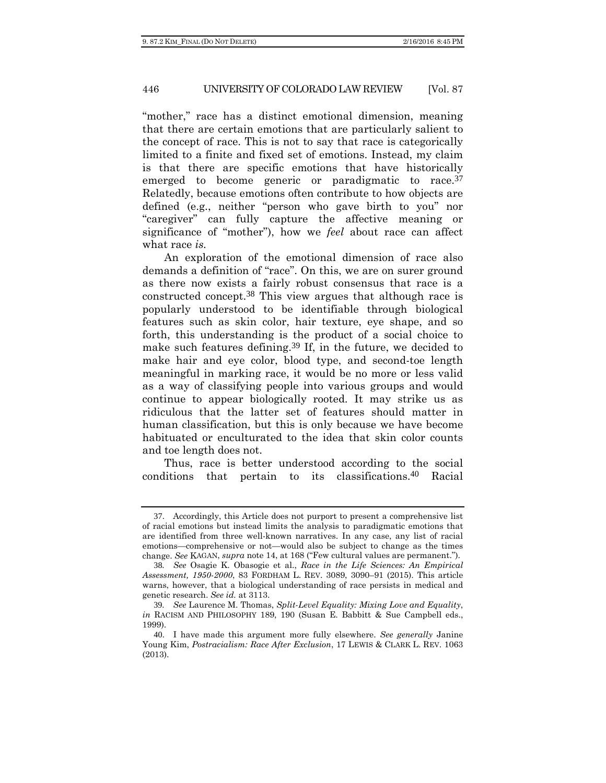"mother," race has a distinct emotional dimension, meaning that there are certain emotions that are particularly salient to the concept of race. This is not to say that race is categorically limited to a finite and fixed set of emotions. Instead, my claim is that there are specific emotions that have historically emerged to become generic or paradigmatic to race.<sup>37</sup> Relatedly, because emotions often contribute to how objects are defined (e.g., neither "person who gave birth to you" nor "caregiver" can fully capture the affective meaning or significance of "mother"), how we *feel* about race can affect what race *is.*

An exploration of the emotional dimension of race also demands a definition of "race". On this, we are on surer ground as there now exists a fairly robust consensus that race is a constructed concept.38 This view argues that although race is popularly understood to be identifiable through biological features such as skin color, hair texture, eye shape, and so forth, this understanding is the product of a social choice to make such features defining.<sup>39</sup> If, in the future, we decided to make hair and eye color, blood type, and second-toe length meaningful in marking race, it would be no more or less valid as a way of classifying people into various groups and would continue to appear biologically rooted. It may strike us as ridiculous that the latter set of features should matter in human classification, but this is only because we have become habituated or enculturated to the idea that skin color counts and toe length does not.

Thus, race is better understood according to the social conditions that pertain to its classifications.40 Racial

<sup>37</sup>. Accordingly, this Article does not purport to present a comprehensive list of racial emotions but instead limits the analysis to paradigmatic emotions that are identified from three well-known narratives. In any case, any list of racial emotions—comprehensive or not—would also be subject to change as the times change. *See* KAGAN, *supra* note 14, at 168 ("Few cultural values are permanent.").

<sup>38</sup>*. See* Osagie K. Obasogie et al., *Race in the Life Sciences: An Empirical Assessment, 1950-2000*, 83 FORDHAM L. REV. 3089, 3090–91 (2015). This article warns, however, that a biological understanding of race persists in medical and genetic research. *See id.* at 3113.

<sup>39</sup>*. See* Laurence M. Thomas, *Split-Level Equality: Mixing Love and Equality*, *in* RACISM AND PHILOSOPHY 189, 190 (Susan E. Babbitt & Sue Campbell eds., 1999).

<sup>40</sup>. I have made this argument more fully elsewhere. *See generally* Janine Young Kim, *Postracialism: Race After Exclusion*, 17 LEWIS & CLARK L. REV. 1063 (2013).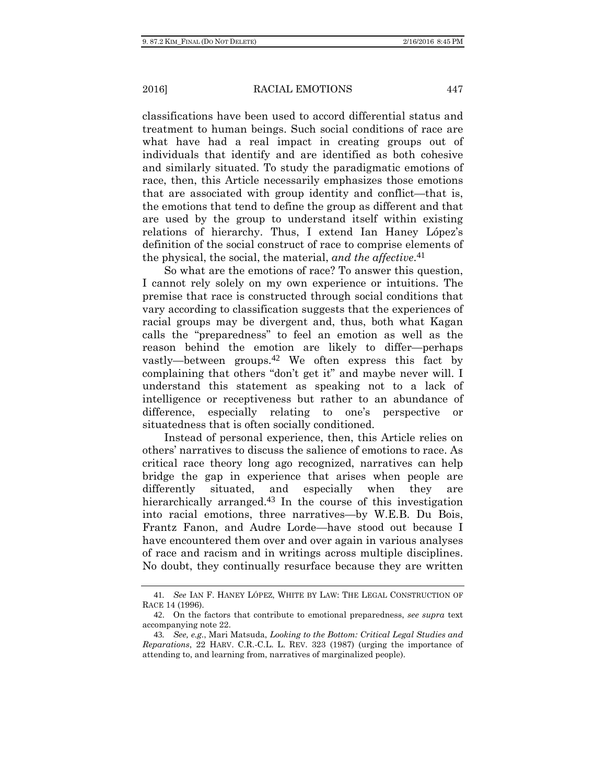classifications have been used to accord differential status and treatment to human beings. Such social conditions of race are what have had a real impact in creating groups out of individuals that identify and are identified as both cohesive and similarly situated. To study the paradigmatic emotions of race, then, this Article necessarily emphasizes those emotions that are associated with group identity and conflict—that is, the emotions that tend to define the group as different and that are used by the group to understand itself within existing relations of hierarchy. Thus, I extend Ian Haney López's definition of the social construct of race to comprise elements of the physical, the social, the material, *and the affective*.41

So what are the emotions of race? To answer this question, I cannot rely solely on my own experience or intuitions. The premise that race is constructed through social conditions that vary according to classification suggests that the experiences of racial groups may be divergent and, thus, both what Kagan calls the "preparedness" to feel an emotion as well as the reason behind the emotion are likely to differ—perhaps vastly—between groups.42 We often express this fact by complaining that others "don't get it" and maybe never will. I understand this statement as speaking not to a lack of intelligence or receptiveness but rather to an abundance of difference, especially relating to one's perspective or situatedness that is often socially conditioned.

Instead of personal experience, then, this Article relies on others' narratives to discuss the salience of emotions to race. As critical race theory long ago recognized, narratives can help bridge the gap in experience that arises when people are differently situated, and especially when they are hierarchically arranged.<sup>43</sup> In the course of this investigation into racial emotions, three narratives—by W.E.B. Du Bois, Frantz Fanon, and Audre Lorde—have stood out because I have encountered them over and over again in various analyses of race and racism and in writings across multiple disciplines. No doubt, they continually resurface because they are written

<sup>41</sup>*. See* IAN F. HANEY LÓPEZ, WHITE BY LAW: THE LEGAL CONSTRUCTION OF RACE 14 (1996).

<sup>42</sup>. On the factors that contribute to emotional preparedness, *see supra* text accompanying note 22.

<sup>43</sup>*. See, e.g.*, Mari Matsuda, *Looking to the Bottom: Critical Legal Studies and Reparations*, 22 HARV. C.R.-C.L. L. REV. 323 (1987) (urging the importance of attending to, and learning from, narratives of marginalized people).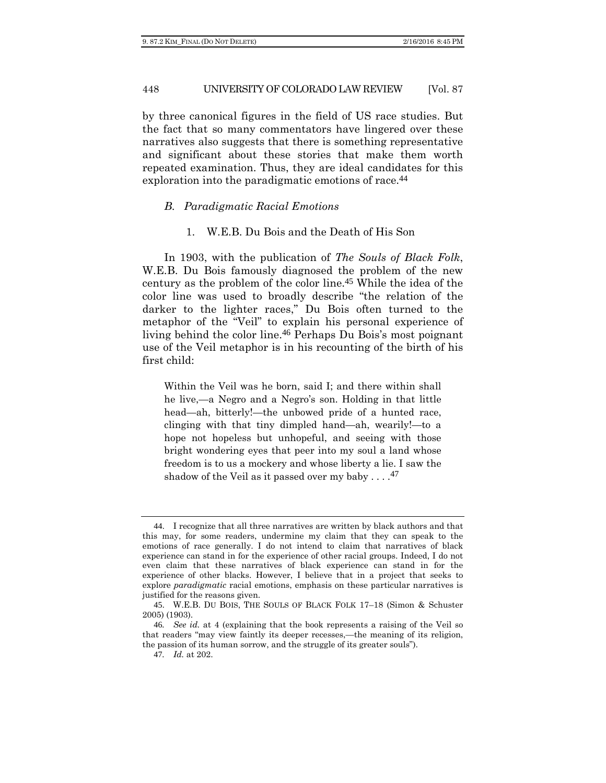by three canonical figures in the field of US race studies. But the fact that so many commentators have lingered over these narratives also suggests that there is something representative and significant about these stories that make them worth repeated examination. Thus, they are ideal candidates for this exploration into the paradigmatic emotions of race.<sup>44</sup>

# *B. Paradigmatic Racial Emotions*

#### 1. W.E.B. Du Bois and the Death of His Son

In 1903, with the publication of *The Souls of Black Folk*, W.E.B. Du Bois famously diagnosed the problem of the new century as the problem of the color line.45 While the idea of the color line was used to broadly describe "the relation of the darker to the lighter races," Du Bois often turned to the metaphor of the "Veil" to explain his personal experience of living behind the color line.46 Perhaps Du Bois's most poignant use of the Veil metaphor is in his recounting of the birth of his first child:

Within the Veil was he born, said I; and there within shall he live,—a Negro and a Negro's son. Holding in that little head—ah, bitterly!—the unbowed pride of a hunted race, clinging with that tiny dimpled hand—ah, wearily!—to a hope not hopeless but unhopeful, and seeing with those bright wondering eyes that peer into my soul a land whose freedom is to us a mockery and whose liberty a lie. I saw the shadow of the Veil as it passed over my baby  $\dots$ .<sup>47</sup>

<sup>44</sup>. I recognize that all three narratives are written by black authors and that this may, for some readers, undermine my claim that they can speak to the emotions of race generally. I do not intend to claim that narratives of black experience can stand in for the experience of other racial groups. Indeed, I do not even claim that these narratives of black experience can stand in for the experience of other blacks. However, I believe that in a project that seeks to explore *paradigmatic* racial emotions, emphasis on these particular narratives is justified for the reasons given.

<sup>45</sup>. W.E.B. DU BOIS, THE SOULS OF BLACK FOLK 17–18 (Simon & Schuster 2005) (1903).

<sup>46</sup>*. See id.* at 4 (explaining that the book represents a raising of the Veil so that readers "may view faintly its deeper recesses,—the meaning of its religion, the passion of its human sorrow, and the struggle of its greater souls").

<sup>47</sup>*. Id.* at 202.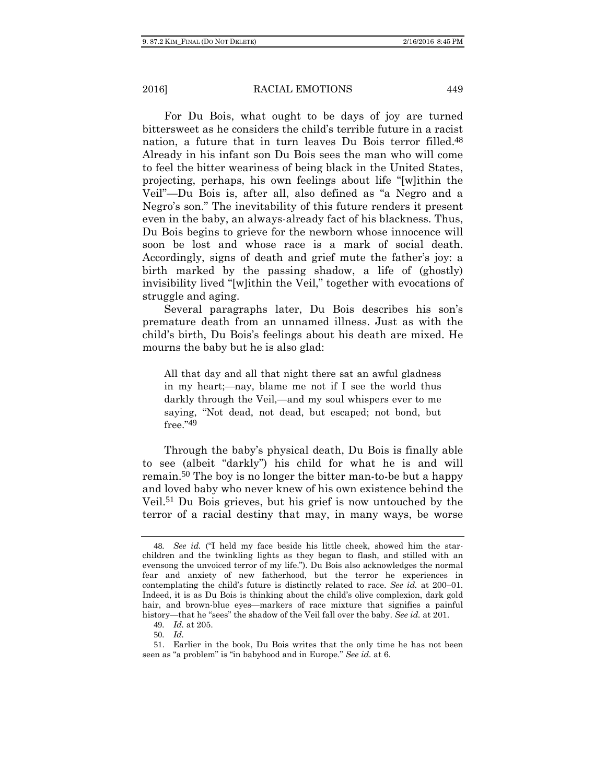For Du Bois, what ought to be days of joy are turned bittersweet as he considers the child's terrible future in a racist nation, a future that in turn leaves Du Bois terror filled.48 Already in his infant son Du Bois sees the man who will come to feel the bitter weariness of being black in the United States, projecting, perhaps, his own feelings about life "[w]ithin the Veil"—Du Bois is, after all, also defined as "a Negro and a Negro's son." The inevitability of this future renders it present even in the baby, an always-already fact of his blackness. Thus, Du Bois begins to grieve for the newborn whose innocence will soon be lost and whose race is a mark of social death. Accordingly, signs of death and grief mute the father's joy: a birth marked by the passing shadow, a life of (ghostly) invisibility lived "[w]ithin the Veil," together with evocations of struggle and aging.

Several paragraphs later, Du Bois describes his son's premature death from an unnamed illness. Just as with the child's birth, Du Bois's feelings about his death are mixed. He mourns the baby but he is also glad:

All that day and all that night there sat an awful gladness in my heart;—nay, blame me not if I see the world thus darkly through the Veil,—and my soul whispers ever to me saying, "Not dead, not dead, but escaped; not bond, but free."49

Through the baby's physical death, Du Bois is finally able to see (albeit "darkly") his child for what he is and will remain.50 The boy is no longer the bitter man-to-be but a happy and loved baby who never knew of his own existence behind the Veil.51 Du Bois grieves, but his grief is now untouched by the terror of a racial destiny that may, in many ways, be worse

<sup>48</sup>*. See id.* ("I held my face beside his little cheek, showed him the starchildren and the twinkling lights as they began to flash, and stilled with an evensong the unvoiced terror of my life."). Du Bois also acknowledges the normal fear and anxiety of new fatherhood, but the terror he experiences in contemplating the child's future is distinctly related to race. *See id.* at 200–01. Indeed, it is as Du Bois is thinking about the child's olive complexion, dark gold hair, and brown-blue eyes—markers of race mixture that signifies a painful history—that he "sees" the shadow of the Veil fall over the baby. *See id.* at 201.

<sup>49</sup>*. Id.* at 205.

<sup>50</sup>*. Id.*

<sup>51</sup>. Earlier in the book, Du Bois writes that the only time he has not been seen as "a problem" is "in babyhood and in Europe." *See id.* at 6.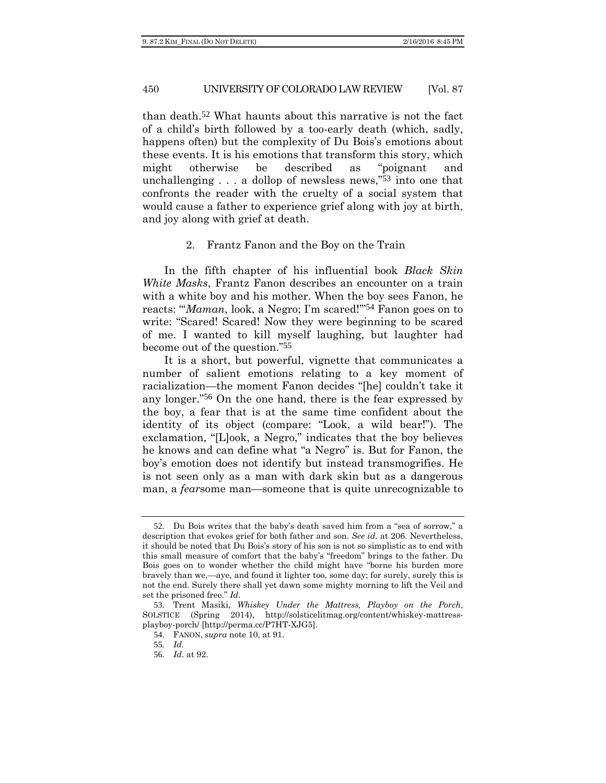than death.52 What haunts about this narrative is not the fact of a child's birth followed by a too-early death (which, sadly, happens often) but the complexity of Du Bois's emotions about these events. It is his emotions that transform this story, which might otherwise be described as "poignant and unchallenging . . . a dollop of newsless news,"53 into one that confronts the reader with the cruelty of a social system that would cause a father to experience grief along with joy at birth, and joy along with grief at death.

#### 2. Frantz Fanon and the Boy on the Train

In the fifth chapter of his influential book *Black Skin White Masks*, Frantz Fanon describes an encounter on a train with a white boy and his mother. When the boy sees Fanon, he reacts: "'*Maman*, look, a Negro; I'm scared!'"54 Fanon goes on to write: "Scared! Scared! Now they were beginning to be scared of me. I wanted to kill myself laughing, but laughter had become out of the question."55

It is a short, but powerful, vignette that communicates a number of salient emotions relating to a key moment of racialization—the moment Fanon decides "[he] couldn't take it any longer."56 On the one hand, there is the fear expressed by the boy, a fear that is at the same time confident about the identity of its object (compare: "Look, a wild bear!"). The exclamation, "[L]ook, a Negro," indicates that the boy believes he knows and can define what "a Negro" is. But for Fanon, the boy's emotion does not identify but instead transmogrifies. He is not seen only as a man with dark skin but as a dangerous man, a *fear*some man—someone that is quite unrecognizable to

<sup>52</sup>. Du Bois writes that the baby's death saved him from a "sea of sorrow," a description that evokes grief for both father and son. *See id.* at 206. Nevertheless, it should be noted that Du Bois's story of his son is not so simplistic as to end with this small measure of comfort that the baby's "freedom" brings to the father. Du Bois goes on to wonder whether the child might have "borne his burden more bravely than we,—aye, and found it lighter too, some day; for surely, surely this is not the end. Surely there shall yet dawn some mighty morning to lift the Veil and set the prisoned free." *Id.*

<sup>53</sup>. Trent Masiki, *Whiskey Under the Mattress, Playboy on the Porch*, SOLSTICE (Spring 2014), http://solsticelitmag.org/content/whiskey-mattressplayboy-porch/ [http://perma.cc/P7HT-XJG5].

<sup>54</sup>. FANON, *supra* note 10, at 91.

<sup>55</sup>*. Id.* 

<sup>56</sup>*. Id*. at 92.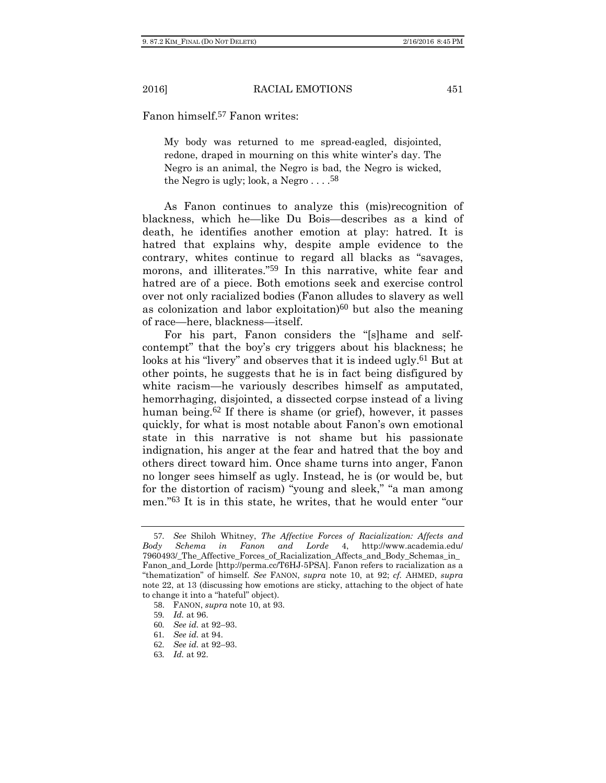Fanon himself.57 Fanon writes:

My body was returned to me spread-eagled, disjointed, redone, draped in mourning on this white winter's day. The Negro is an animal, the Negro is bad, the Negro is wicked, the Negro is ugly; look, a Negro  $\dots$ .<sup>58</sup>

As Fanon continues to analyze this (mis)recognition of blackness, which he—like Du Bois—describes as a kind of death, he identifies another emotion at play: hatred. It is hatred that explains why, despite ample evidence to the contrary, whites continue to regard all blacks as "savages, morons, and illiterates."59 In this narrative, white fear and hatred are of a piece. Both emotions seek and exercise control over not only racialized bodies (Fanon alludes to slavery as well as colonization and labor exploitation $60$  but also the meaning of race—here, blackness—itself.

For his part, Fanon considers the "[s]hame and selfcontempt" that the boy's cry triggers about his blackness; he looks at his "livery" and observes that it is indeed ugly.<sup>61</sup> But at other points, he suggests that he is in fact being disfigured by white racism—he variously describes himself as amputated, hemorrhaging, disjointed, a dissected corpse instead of a living human being.62 If there is shame (or grief), however, it passes quickly, for what is most notable about Fanon's own emotional state in this narrative is not shame but his passionate indignation, his anger at the fear and hatred that the boy and others direct toward him. Once shame turns into anger, Fanon no longer sees himself as ugly. Instead, he is (or would be, but for the distortion of racism) "young and sleek," "a man among men."63 It is in this state, he writes, that he would enter "our

<sup>57</sup>*. See* Shiloh Whitney, *The Affective Forces of Racialization: Affects and Body Schema in Fanon and Lorde* 4, http://www.academia.edu/ 7960493/\_The\_Affective\_Forces\_of\_Racialization\_Affects\_and\_Body\_Schemas\_in\_ Fanon\_and\_Lorde [http://perma.cc/T6HJ-5PSA]. Fanon refers to racialization as a "thematization" of himself. *See* FANON, *supra* note 10, at 92; *cf.* AHMED, *supra* note 22, at 13 (discussing how emotions are sticky, attaching to the object of hate to change it into a "hateful" object).

<sup>58</sup>. FANON, *supra* note 10, at 93.

<sup>59</sup>*. Id.* at 96.

<sup>60</sup>*. See id.* at 92–93.

<sup>61</sup>*. See id.* at 94.

<sup>62</sup>*. See id.* at 92–93.

<sup>63</sup>*. Id.* at 92.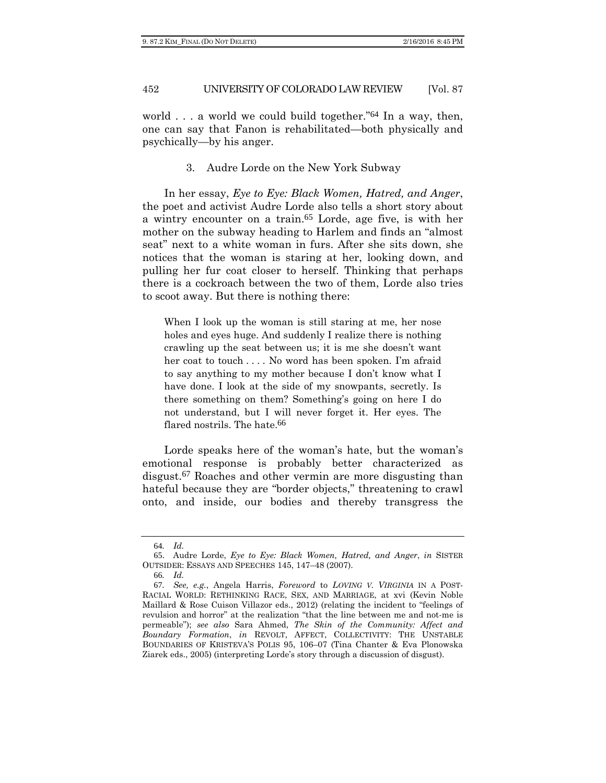world  $\ldots$  a world we could build together."<sup>64</sup> In a way, then, one can say that Fanon is rehabilitated—both physically and psychically—by his anger.

3. Audre Lorde on the New York Subway

In her essay, *Eye to Eye: Black Women, Hatred, and Anger*, the poet and activist Audre Lorde also tells a short story about a wintry encounter on a train.65 Lorde, age five, is with her mother on the subway heading to Harlem and finds an "almost seat" next to a white woman in furs. After she sits down, she notices that the woman is staring at her, looking down, and pulling her fur coat closer to herself. Thinking that perhaps there is a cockroach between the two of them, Lorde also tries to scoot away. But there is nothing there:

When I look up the woman is still staring at me, her nose holes and eyes huge. And suddenly I realize there is nothing crawling up the seat between us; it is me she doesn't want her coat to touch . . . . No word has been spoken. I'm afraid to say anything to my mother because I don't know what I have done. I look at the side of my snowpants, secretly. Is there something on them? Something's going on here I do not understand, but I will never forget it. Her eyes. The flared nostrils. The hate.<sup>66</sup>

Lorde speaks here of the woman's hate, but the woman's emotional response is probably better characterized as disgust.67 Roaches and other vermin are more disgusting than hateful because they are "border objects," threatening to crawl onto, and inside, our bodies and thereby transgress the

<sup>64</sup>*. Id.*

<sup>65</sup>. Audre Lorde, *Eye to Eye: Black Women, Hatred, and Anger*, *in* SISTER OUTSIDER: ESSAYS AND SPEECHES 145, 147–48 (2007).

<sup>66</sup>*. Id.*

<sup>67</sup>*. See, e.g.*, Angela Harris, *Foreword* to *LOVING V. VIRGINIA* IN A POST-RACIAL WORLD: RETHINKING RACE, SEX, AND MARRIAGE, at xvi (Kevin Noble Maillard & Rose Cuison Villazor eds., 2012) (relating the incident to "feelings of revulsion and horror" at the realization "that the line between me and not-me is permeable"); *see also* Sara Ahmed, *The Skin of the Community: Affect and Boundary Formation*, *in* REVOLT, AFFECT, COLLECTIVITY: THE UNSTABLE BOUNDARIES OF KRISTEVA'S POLIS 95, 106–07 (Tina Chanter & Eva Plonowska Ziarek eds., 2005) (interpreting Lorde's story through a discussion of disgust).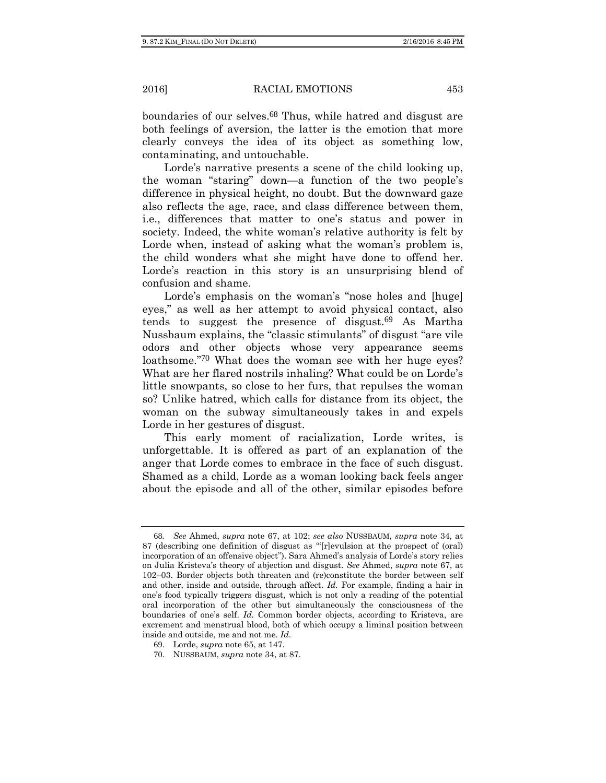boundaries of our selves.68 Thus, while hatred and disgust are both feelings of aversion, the latter is the emotion that more clearly conveys the idea of its object as something low, contaminating, and untouchable.

Lorde's narrative presents a scene of the child looking up, the woman "staring" down—a function of the two people's difference in physical height, no doubt. But the downward gaze also reflects the age, race, and class difference between them, i.e., differences that matter to one's status and power in society. Indeed, the white woman's relative authority is felt by Lorde when, instead of asking what the woman's problem is, the child wonders what she might have done to offend her. Lorde's reaction in this story is an unsurprising blend of confusion and shame.

Lorde's emphasis on the woman's "nose holes and [huge] eyes," as well as her attempt to avoid physical contact, also tends to suggest the presence of disgust.69 As Martha Nussbaum explains, the "classic stimulants" of disgust "are vile odors and other objects whose very appearance seems loathsome."70 What does the woman see with her huge eyes? What are her flared nostrils inhaling? What could be on Lorde's little snowpants, so close to her furs, that repulses the woman so? Unlike hatred, which calls for distance from its object, the woman on the subway simultaneously takes in and expels Lorde in her gestures of disgust.

This early moment of racialization, Lorde writes, is unforgettable. It is offered as part of an explanation of the anger that Lorde comes to embrace in the face of such disgust. Shamed as a child, Lorde as a woman looking back feels anger about the episode and all of the other, similar episodes before

<sup>68</sup>*. See* Ahmed, *supra* note 67, at 102; *see also* NUSSBAUM, *supra* note 34, at 87 (describing one definition of disgust as "'[r]evulsion at the prospect of (oral) incorporation of an offensive object"). Sara Ahmed's analysis of Lorde's story relies on Julia Kristeva's theory of abjection and disgust. *See* Ahmed, *supra* note 67, at 102–03. Border objects both threaten and (re)constitute the border between self and other, inside and outside, through affect. *Id.* For example, finding a hair in one's food typically triggers disgust, which is not only a reading of the potential oral incorporation of the other but simultaneously the consciousness of the boundaries of one's self. *Id.* Common border objects, according to Kristeva, are excrement and menstrual blood, both of which occupy a liminal position between inside and outside, me and not me. *Id*.

<sup>69</sup>. Lorde, *supra* note 65, at 147.

<sup>70</sup>. NUSSBAUM, *supra* note 34, at 87.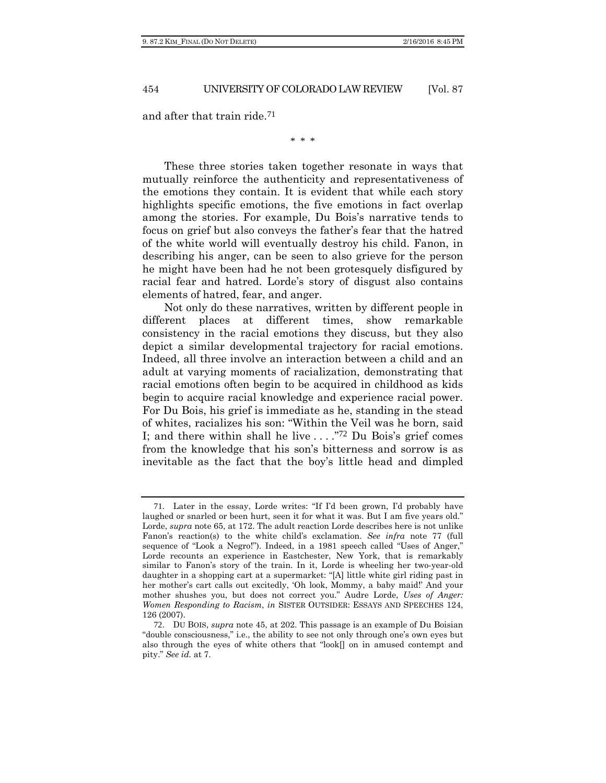and after that train ride.71

\* \* \*

These three stories taken together resonate in ways that mutually reinforce the authenticity and representativeness of the emotions they contain. It is evident that while each story highlights specific emotions, the five emotions in fact overlap among the stories. For example, Du Bois's narrative tends to focus on grief but also conveys the father's fear that the hatred of the white world will eventually destroy his child. Fanon, in describing his anger, can be seen to also grieve for the person he might have been had he not been grotesquely disfigured by racial fear and hatred. Lorde's story of disgust also contains elements of hatred, fear, and anger.

Not only do these narratives, written by different people in different places at different times, show remarkable consistency in the racial emotions they discuss, but they also depict a similar developmental trajectory for racial emotions. Indeed, all three involve an interaction between a child and an adult at varying moments of racialization, demonstrating that racial emotions often begin to be acquired in childhood as kids begin to acquire racial knowledge and experience racial power. For Du Bois, his grief is immediate as he, standing in the stead of whites, racializes his son: "Within the Veil was he born, said I; and there within shall he live . . . ."72 Du Bois's grief comes from the knowledge that his son's bitterness and sorrow is as inevitable as the fact that the boy's little head and dimpled

<sup>71</sup>. Later in the essay, Lorde writes: "If I'd been grown, I'd probably have laughed or snarled or been hurt, seen it for what it was. But I am five years old.' Lorde, *supra* note 65, at 172. The adult reaction Lorde describes here is not unlike Fanon's reaction(s) to the white child's exclamation. *See infra* note 77 (full sequence of "Look a Negro!"). Indeed, in a 1981 speech called "Uses of Anger," Lorde recounts an experience in Eastchester, New York, that is remarkably similar to Fanon's story of the train. In it, Lorde is wheeling her two-year-old daughter in a shopping cart at a supermarket: "[A] little white girl riding past in her mother's cart calls out excitedly, 'Oh look, Mommy, a baby maid!' And your mother shushes you, but does not correct you." Audre Lorde, *Uses of Anger: Women Responding to Racism*, *in* SISTER OUTSIDER: ESSAYS AND SPEECHES 124, 126 (2007).

<sup>72</sup>. DU BOIS, *supra* note 45, at 202. This passage is an example of Du Boisian "double consciousness," i.e., the ability to see not only through one's own eyes but also through the eyes of white others that "look $\parallel$  on in amused contempt and pity." *See id.* at 7.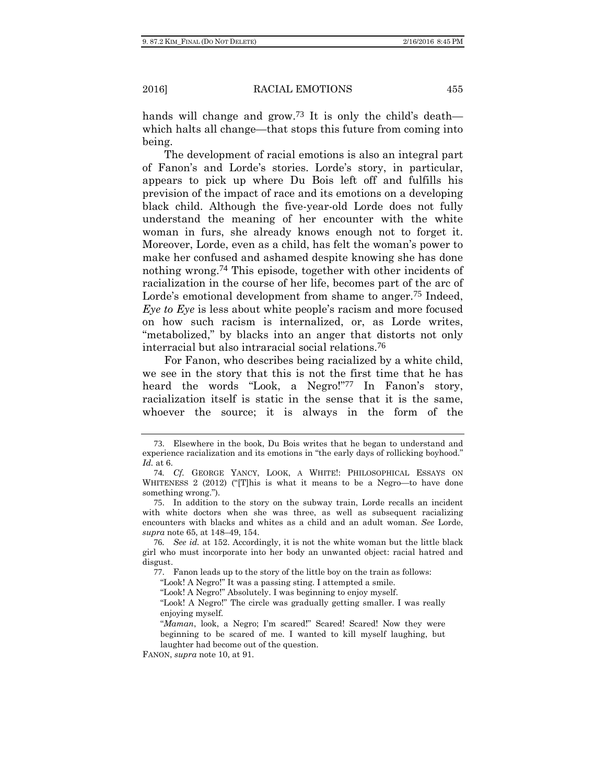hands will change and grow.<sup>73</sup> It is only the child's death which halts all change—that stops this future from coming into being.

The development of racial emotions is also an integral part of Fanon's and Lorde's stories. Lorde's story, in particular, appears to pick up where Du Bois left off and fulfills his prevision of the impact of race and its emotions on a developing black child. Although the five-year-old Lorde does not fully understand the meaning of her encounter with the white woman in furs, she already knows enough not to forget it. Moreover, Lorde, even as a child, has felt the woman's power to make her confused and ashamed despite knowing she has done nothing wrong.74 This episode, together with other incidents of racialization in the course of her life, becomes part of the arc of Lorde's emotional development from shame to anger.75 Indeed, *Eye to Eye* is less about white people's racism and more focused on how such racism is internalized, or, as Lorde writes, "metabolized," by blacks into an anger that distorts not only interracial but also intraracial social relations.76

For Fanon, who describes being racialized by a white child, we see in the story that this is not the first time that he has heard the words "Look, a Negro!"<sup>77</sup> In Fanon's story, racialization itself is static in the sense that it is the same, whoever the source; it is always in the form of the

<sup>73</sup>. Elsewhere in the book, Du Bois writes that he began to understand and experience racialization and its emotions in "the early days of rollicking boyhood." *Id.* at 6.

<sup>74</sup>*. Cf.* GEORGE YANCY, LOOK, A WHITE!: PHILOSOPHICAL ESSAYS ON WHITENESS 2 (2012) ("IT his is what it means to be a Negro—to have done something wrong.").

<sup>75</sup>. In addition to the story on the subway train, Lorde recalls an incident with white doctors when she was three, as well as subsequent racializing encounters with blacks and whites as a child and an adult woman. *See* Lorde, *supra* note 65, at 148–49, 154.

<sup>76</sup>*. See id.* at 152. Accordingly, it is not the white woman but the little black girl who must incorporate into her body an unwanted object: racial hatred and disgust.

<sup>77</sup>. Fanon leads up to the story of the little boy on the train as follows:

<sup>&</sup>quot;Look! A Negro!" It was a passing sting. I attempted a smile.

<sup>&</sup>quot;Look! A Negro!" Absolutely. I was beginning to enjoy myself.

<sup>&</sup>quot;Look! A Negro!" The circle was gradually getting smaller. I was really enjoying myself.

<sup>&</sup>quot;Maman, look, a Negro; I'm scared!" Scared! Scared! Now they were beginning to be scared of me. I wanted to kill myself laughing, but laughter had become out of the question.

FANON, *supra* note 10, at 91.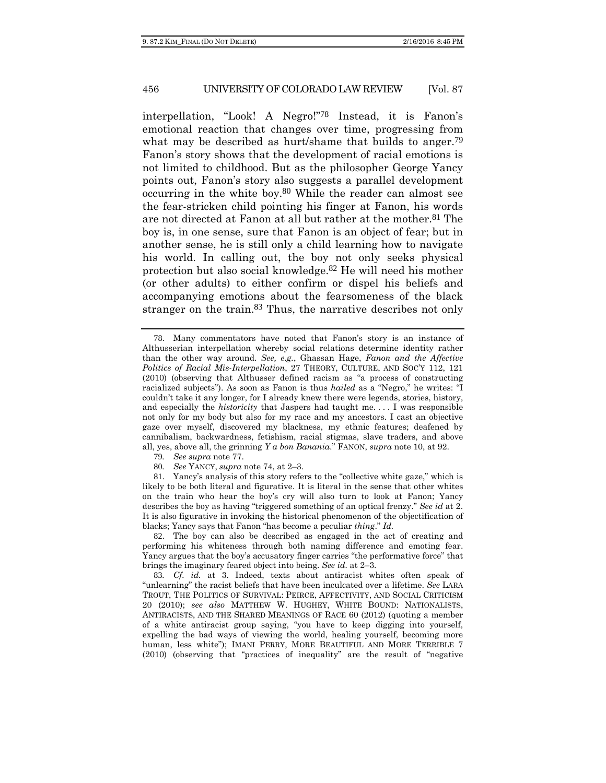interpellation, "Look! A Negro!"78 Instead, it is Fanon's emotional reaction that changes over time, progressing from what may be described as hurt/shame that builds to anger.<sup>79</sup> Fanon's story shows that the development of racial emotions is not limited to childhood. But as the philosopher George Yancy points out, Fanon's story also suggests a parallel development occurring in the white boy.80 While the reader can almost see the fear-stricken child pointing his finger at Fanon, his words are not directed at Fanon at all but rather at the mother.81 The boy is, in one sense, sure that Fanon is an object of fear; but in another sense, he is still only a child learning how to navigate his world. In calling out, the boy not only seeks physical protection but also social knowledge.82 He will need his mother (or other adults) to either confirm or dispel his beliefs and accompanying emotions about the fearsomeness of the black stranger on the train.<sup>83</sup> Thus, the narrative describes not only

- 79*. See supra* note 77.
- 80*. See* YANCY, *supra* note 74, at 2–3.

81. Yancy's analysis of this story refers to the "collective white gaze," which is likely to be both literal and figurative. It is literal in the sense that other whites on the train who hear the boy's cry will also turn to look at Fanon; Yancy describes the boy as having "triggered something of an optical frenzy." *See id* at 2. It is also figurative in invoking the historical phenomenon of the objectification of blacks; Yancy says that Fanon "has become a peculiar *thing*." *Id.*

82. The boy can also be described as engaged in the act of creating and performing his whiteness through both naming difference and emoting fear. Yancy argues that the boy's accusatory finger carries "the performative force" that brings the imaginary feared object into being. *See id.* at 2–3.

83*. Cf. id.* at 3. Indeed, texts about antiracist whites often speak of "unlearning" the racist beliefs that have been inculcated over a lifetime. *See* LARA TROUT, THE POLITICS OF SURVIVAL: PEIRCE, AFFECTIVITY, AND SOCIAL CRITICISM 20 (2010); *see also* MATTHEW W. HUGHEY, WHITE BOUND: NATIONALISTS, ANTIRACISTS, AND THE SHARED MEANINGS OF RACE 60 (2012) (quoting a member of a white antiracist group saying, "you have to keep digging into yourself, expelling the bad ways of viewing the world, healing yourself, becoming more human, less white"); IMANI PERRY, MORE BEAUTIFUL AND MORE TERRIBLE 7 (2010) (observing that "practices of inequality" are the result of "negative

<sup>78</sup>. Many commentators have noted that Fanon's story is an instance of Althusserian interpellation whereby social relations determine identity rather than the other way around. *See, e.g.*, Ghassan Hage, *Fanon and the Affective Politics of Racial Mis-Interpellation*, 27 THEORY, CULTURE, AND SOC'Y 112, 121 (2010) (observing that Althusser defined racism as "a process of constructing racialized subjects"). As soon as Fanon is thus *hailed* as a "Negro," he writes: "I couldn't take it any longer, for I already knew there were legends, stories, history, and especially the *historicity* that Jaspers had taught me. . . . I was responsible not only for my body but also for my race and my ancestors. I cast an objective gaze over myself, discovered my blackness, my ethnic features; deafened by cannibalism, backwardness, fetishism, racial stigmas, slave traders, and above all, yes, above all, the grinning *Y a bon Banania*." FANON, *supra* note 10, at 92.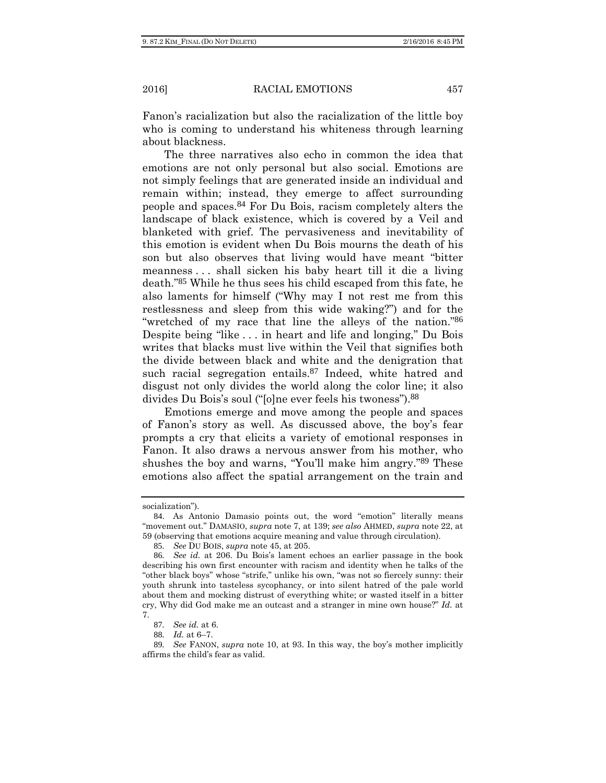Fanon's racialization but also the racialization of the little boy who is coming to understand his whiteness through learning about blackness.

The three narratives also echo in common the idea that emotions are not only personal but also social. Emotions are not simply feelings that are generated inside an individual and remain within; instead, they emerge to affect surrounding people and spaces.84 For Du Bois, racism completely alters the landscape of black existence, which is covered by a Veil and blanketed with grief. The pervasiveness and inevitability of this emotion is evident when Du Bois mourns the death of his son but also observes that living would have meant "bitter meanness . . . shall sicken his baby heart till it die a living death."85 While he thus sees his child escaped from this fate, he also laments for himself ("Why may I not rest me from this restlessness and sleep from this wide waking?") and for the "wretched of my race that line the alleys of the nation."86 Despite being "like . . . in heart and life and longing," Du Bois writes that blacks must live within the Veil that signifies both the divide between black and white and the denigration that such racial segregation entails.<sup>87</sup> Indeed, white hatred and disgust not only divides the world along the color line; it also divides Du Bois's soul ("[o]ne ever feels his twoness").88

Emotions emerge and move among the people and spaces of Fanon's story as well. As discussed above, the boy's fear prompts a cry that elicits a variety of emotional responses in Fanon. It also draws a nervous answer from his mother, who shushes the boy and warns, "You'll make him angry."89 These emotions also affect the spatial arrangement on the train and

socialization").

<sup>84</sup>. As Antonio Damasio points out, the word "emotion" literally means "movement out." DAMASIO, *supra* note 7, at 139; *see also* AHMED, *supra* note 22, at 59 (observing that emotions acquire meaning and value through circulation).

<sup>85</sup>*. See* DU BOIS, *supra* note 45, at 205.

<sup>86</sup>*. See id.* at 206. Du Bois's lament echoes an earlier passage in the book describing his own first encounter with racism and identity when he talks of the "other black boys" whose "strife," unlike his own, "was not so fiercely sunny: their youth shrunk into tasteless sycophancy, or into silent hatred of the pale world about them and mocking distrust of everything white; or wasted itself in a bitter cry, Why did God make me an outcast and a stranger in mine own house?" *Id.* at 7.

<sup>87</sup>*. See id.* at 6.

<sup>88</sup>*. Id.* at 6–7.

<sup>89</sup>*. See* FANON, *supra* note 10, at 93. In this way, the boy's mother implicitly affirms the child's fear as valid.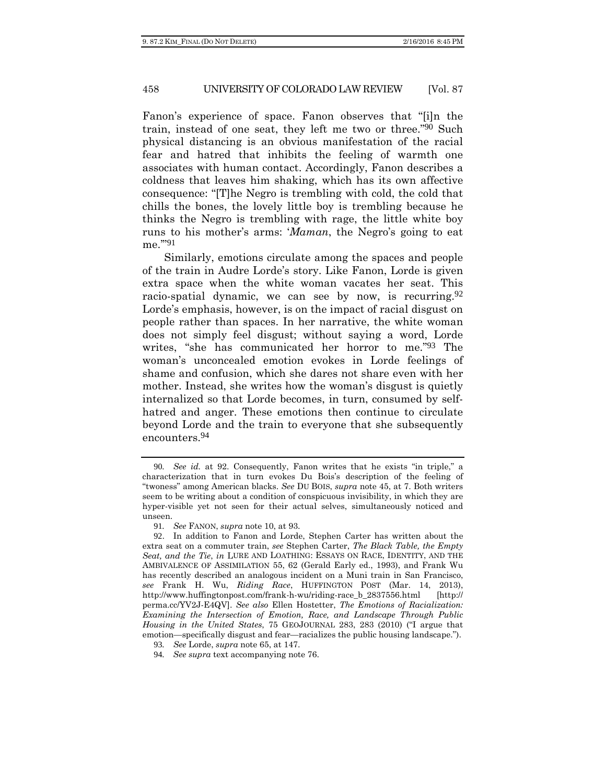Fanon's experience of space. Fanon observes that "[i]n the train, instead of one seat, they left me two or three."90 Such physical distancing is an obvious manifestation of the racial fear and hatred that inhibits the feeling of warmth one associates with human contact. Accordingly, Fanon describes a coldness that leaves him shaking, which has its own affective consequence: "[T]he Negro is trembling with cold, the cold that chills the bones, the lovely little boy is trembling because he thinks the Negro is trembling with rage, the little white boy runs to his mother's arms: '*Maman*, the Negro's going to eat me.'"91

Similarly, emotions circulate among the spaces and people of the train in Audre Lorde's story. Like Fanon, Lorde is given extra space when the white woman vacates her seat. This racio-spatial dynamic, we can see by now, is recurring.<sup>92</sup> Lorde's emphasis, however, is on the impact of racial disgust on people rather than spaces. In her narrative, the white woman does not simply feel disgust; without saying a word, Lorde writes, "she has communicated her horror to me."93 The woman's unconcealed emotion evokes in Lorde feelings of shame and confusion, which she dares not share even with her mother. Instead, she writes how the woman's disgust is quietly internalized so that Lorde becomes, in turn, consumed by selfhatred and anger. These emotions then continue to circulate beyond Lorde and the train to everyone that she subsequently encounters.94

<sup>90</sup>*. See id.* at 92. Consequently, Fanon writes that he exists "in triple," a characterization that in turn evokes Du Bois's description of the feeling of "twoness" among American blacks. *See* DU BOIS, *supra* note 45, at 7. Both writers seem to be writing about a condition of conspicuous invisibility, in which they are hyper-visible yet not seen for their actual selves, simultaneously noticed and unseen.

<sup>91</sup>*. See* FANON, *supra* note 10, at 93.

<sup>92</sup>. In addition to Fanon and Lorde, Stephen Carter has written about the extra seat on a commuter train, *see* Stephen Carter, *The Black Table, the Empty Seat, and the Tie*, *in* LURE AND LOATHING: ESSAYS ON RACE, IDENTITY, AND THE AMBIVALENCE OF ASSIMILATION 55, 62 (Gerald Early ed., 1993), and Frank Wu has recently described an analogous incident on a Muni train in San Francisco, *see* Frank H. Wu, *Riding Race*, HUFFINGTON POST (Mar. 14, 2013), http://www.huffingtonpost.com/frank-h-wu/riding-race\_b\_2837556.html [http:// perma.cc/YV2J-E4QV]. *See also* Ellen Hostetter, *The Emotions of Racialization: Examining the Intersection of Emotion, Race, and Landscape Through Public Housing in the United States*, 75 GEOJOURNAL 283, 283 (2010) ("I argue that emotion—specifically disgust and fear—racializes the public housing landscape.").

<sup>93</sup>*. See* Lorde, *supra* note 65, at 147.

<sup>94</sup>*. See supra* text accompanying note 76.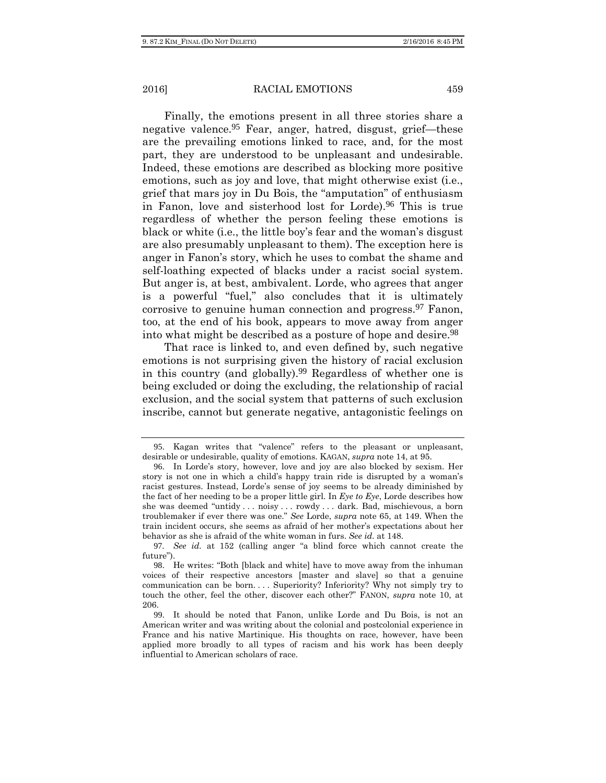Finally, the emotions present in all three stories share a negative valence.95 Fear, anger, hatred, disgust, grief—these are the prevailing emotions linked to race, and, for the most part, they are understood to be unpleasant and undesirable. Indeed, these emotions are described as blocking more positive emotions, such as joy and love, that might otherwise exist (i.e., grief that mars joy in Du Bois, the "amputation" of enthusiasm in Fanon, love and sisterhood lost for Lorde).96 This is true regardless of whether the person feeling these emotions is black or white (i.e., the little boy's fear and the woman's disgust are also presumably unpleasant to them). The exception here is anger in Fanon's story, which he uses to combat the shame and self-loathing expected of blacks under a racist social system. But anger is, at best, ambivalent. Lorde, who agrees that anger is a powerful "fuel," also concludes that it is ultimately corrosive to genuine human connection and progress.97 Fanon, too, at the end of his book, appears to move away from anger into what might be described as a posture of hope and desire.<sup>98</sup>

That race is linked to, and even defined by, such negative emotions is not surprising given the history of racial exclusion in this country (and globally).99 Regardless of whether one is being excluded or doing the excluding, the relationship of racial exclusion, and the social system that patterns of such exclusion inscribe, cannot but generate negative, antagonistic feelings on

<sup>95</sup>. Kagan writes that "valence" refers to the pleasant or unpleasant, desirable or undesirable, quality of emotions. KAGAN, *supra* note 14, at 95.

<sup>96</sup>. In Lorde's story, however, love and joy are also blocked by sexism. Her story is not one in which a child's happy train ride is disrupted by a woman's racist gestures. Instead, Lorde's sense of joy seems to be already diminished by the fact of her needing to be a proper little girl. In *Eye to Eye*, Lorde describes how she was deemed "untidy . . . noisy . . . rowdy . . . dark. Bad, mischievous, a born troublemaker if ever there was one." *See* Lorde, *supra* note 65, at 149. When the train incident occurs, she seems as afraid of her mother's expectations about her behavior as she is afraid of the white woman in furs. *See id.* at 148.

<sup>97</sup>*. See id.* at 152 (calling anger "a blind force which cannot create the future").

<sup>98</sup>. He writes: "Both [black and white] have to move away from the inhuman voices of their respective ancestors [master and slave] so that a genuine communication can be born. . . . Superiority? Inferiority? Why not simply try to touch the other, feel the other, discover each other?" FANON, *supra* note 10, at 206.

<sup>99</sup>. It should be noted that Fanon, unlike Lorde and Du Bois, is not an American writer and was writing about the colonial and postcolonial experience in France and his native Martinique. His thoughts on race, however, have been applied more broadly to all types of racism and his work has been deeply influential to American scholars of race.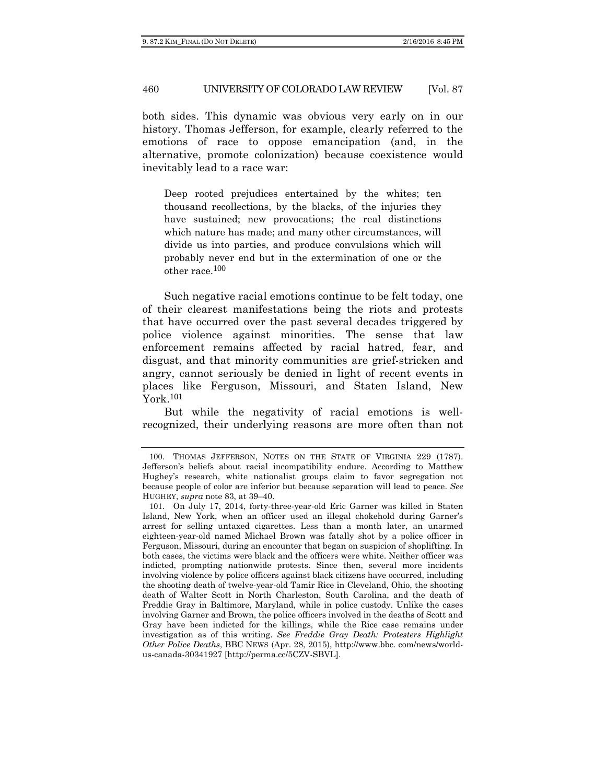both sides. This dynamic was obvious very early on in our history. Thomas Jefferson, for example, clearly referred to the emotions of race to oppose emancipation (and, in the alternative, promote colonization) because coexistence would inevitably lead to a race war:

Deep rooted prejudices entertained by the whites; ten thousand recollections, by the blacks, of the injuries they have sustained; new provocations; the real distinctions which nature has made; and many other circumstances, will divide us into parties, and produce convulsions which will probably never end but in the extermination of one or the other race.100

Such negative racial emotions continue to be felt today, one of their clearest manifestations being the riots and protests that have occurred over the past several decades triggered by police violence against minorities. The sense that law enforcement remains affected by racial hatred, fear, and disgust, and that minority communities are grief-stricken and angry, cannot seriously be denied in light of recent events in places like Ferguson, Missouri, and Staten Island, New York.101

But while the negativity of racial emotions is wellrecognized, their underlying reasons are more often than not

<sup>100</sup>. THOMAS JEFFERSON, NOTES ON THE STATE OF VIRGINIA 229 (1787). Jefferson's beliefs about racial incompatibility endure. According to Matthew Hughey's research, white nationalist groups claim to favor segregation not because people of color are inferior but because separation will lead to peace. *See* HUGHEY, *supra* note 83, at 39–40.

<sup>101</sup>. On July 17, 2014, forty-three-year-old Eric Garner was killed in Staten Island, New York, when an officer used an illegal chokehold during Garner's arrest for selling untaxed cigarettes. Less than a month later, an unarmed eighteen-year-old named Michael Brown was fatally shot by a police officer in Ferguson, Missouri, during an encounter that began on suspicion of shoplifting. In both cases, the victims were black and the officers were white. Neither officer was indicted, prompting nationwide protests. Since then, several more incidents involving violence by police officers against black citizens have occurred, including the shooting death of twelve-year-old Tamir Rice in Cleveland, Ohio, the shooting death of Walter Scott in North Charleston, South Carolina, and the death of Freddie Gray in Baltimore, Maryland, while in police custody. Unlike the cases involving Garner and Brown, the police officers involved in the deaths of Scott and Gray have been indicted for the killings, while the Rice case remains under investigation as of this writing. *See Freddie Gray Death: Protesters Highlight Other Police Deaths*, BBC NEWS (Apr. 28, 2015), http://www.bbc. com/news/worldus-canada-30341927 [http://perma.cc/5CZV-SBVL].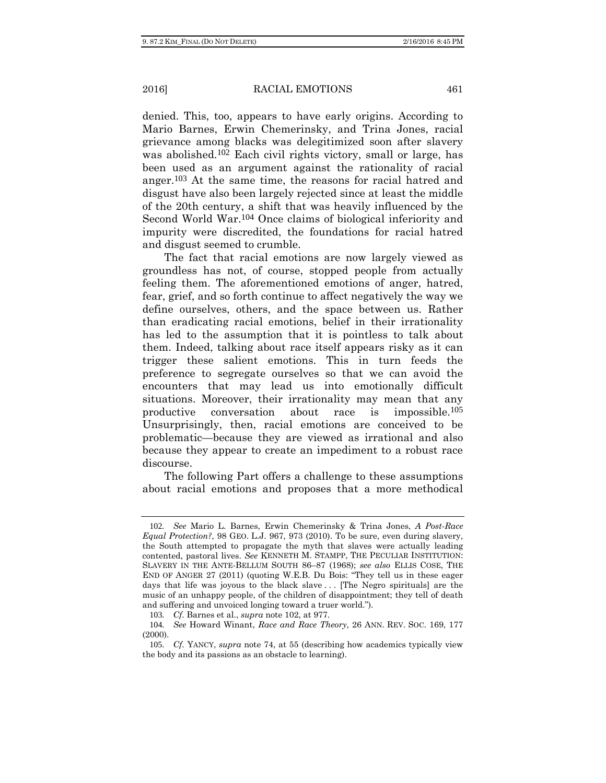denied. This, too, appears to have early origins. According to Mario Barnes, Erwin Chemerinsky, and Trina Jones, racial grievance among blacks was delegitimized soon after slavery was abolished.102 Each civil rights victory, small or large, has been used as an argument against the rationality of racial anger.103 At the same time, the reasons for racial hatred and disgust have also been largely rejected since at least the middle of the 20th century, a shift that was heavily influenced by the Second World War.104 Once claims of biological inferiority and impurity were discredited, the foundations for racial hatred and disgust seemed to crumble.

The fact that racial emotions are now largely viewed as groundless has not, of course, stopped people from actually feeling them. The aforementioned emotions of anger, hatred, fear, grief, and so forth continue to affect negatively the way we define ourselves, others, and the space between us. Rather than eradicating racial emotions, belief in their irrationality has led to the assumption that it is pointless to talk about them. Indeed, talking about race itself appears risky as it can trigger these salient emotions. This in turn feeds the preference to segregate ourselves so that we can avoid the encounters that may lead us into emotionally difficult situations. Moreover, their irrationality may mean that any productive conversation about race is impossible.105 Unsurprisingly, then, racial emotions are conceived to be problematic—because they are viewed as irrational and also because they appear to create an impediment to a robust race discourse.

The following Part offers a challenge to these assumptions about racial emotions and proposes that a more methodical

<sup>102</sup>*. See* Mario L. Barnes, Erwin Chemerinsky & Trina Jones, *A Post-Race Equal Protection?*, 98 GEO. L.J. 967, 973 (2010). To be sure, even during slavery, the South attempted to propagate the myth that slaves were actually leading contented, pastoral lives. *See* KENNETH M. STAMPP, THE PECULIAR INSTITUTION: SLAVERY IN THE ANTE-BELLUM SOUTH 86–87 (1968); *see also* ELLIS COSE, THE END OF ANGER 27 (2011) (quoting W.E.B. Du Bois: "They tell us in these eager days that life was joyous to the black slave . . . [The Negro spirituals] are the music of an unhappy people, of the children of disappointment; they tell of death and suffering and unvoiced longing toward a truer world.").

<sup>103</sup>*. Cf.* Barnes et al., *supra* note 102, at 977.

<sup>104</sup>*. See* Howard Winant, *Race and Race Theory*, 26 ANN. REV. SOC. 169, 177 (2000).

<sup>105</sup>*. Cf.* YANCY, *supra* note 74, at 55 (describing how academics typically view the body and its passions as an obstacle to learning).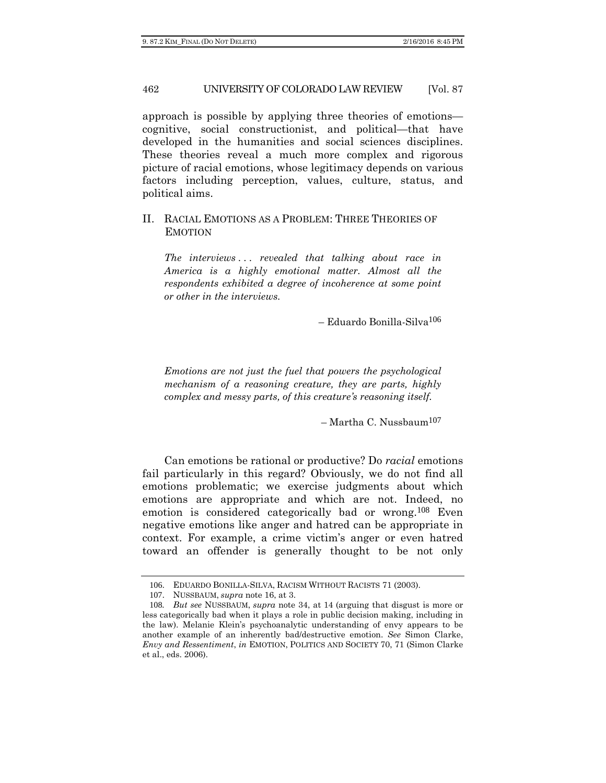approach is possible by applying three theories of emotions cognitive, social constructionist, and political—that have developed in the humanities and social sciences disciplines. These theories reveal a much more complex and rigorous picture of racial emotions, whose legitimacy depends on various factors including perception, values, culture, status, and political aims.

# II. RACIAL EMOTIONS AS A PROBLEM: THREE THEORIES OF EMOTION

*The interviews . . . revealed that talking about race in America is a highly emotional matter. Almost all the respondents exhibited a degree of incoherence at some point or other in the interviews.* 

– Eduardo Bonilla-Silva106

*Emotions are not just the fuel that powers the psychological mechanism of a reasoning creature, they are parts, highly complex and messy parts, of this creature's reasoning itself.* 

 $-$ Martha C. Nussbaum<sup>107</sup>

Can emotions be rational or productive? Do *racial* emotions fail particularly in this regard? Obviously, we do not find all emotions problematic; we exercise judgments about which emotions are appropriate and which are not. Indeed, no emotion is considered categorically bad or wrong.<sup>108</sup> Even negative emotions like anger and hatred can be appropriate in context. For example, a crime victim's anger or even hatred toward an offender is generally thought to be not only

<sup>106</sup>. EDUARDO BONILLA-SILVA, RACISM WITHOUT RACISTS 71 (2003).

<sup>107</sup>. NUSSBAUM, *supra* note 16, at 3.

<sup>108</sup>*. But see* NUSSBAUM, *supra* note 34, at 14 (arguing that disgust is more or less categorically bad when it plays a role in public decision making, including in the law). Melanie Klein's psychoanalytic understanding of envy appears to be another example of an inherently bad/destructive emotion. *See* Simon Clarke, *Envy and Ressentiment*, *in* EMOTION, POLITICS AND SOCIETY 70, 71 (Simon Clarke et al., eds. 2006).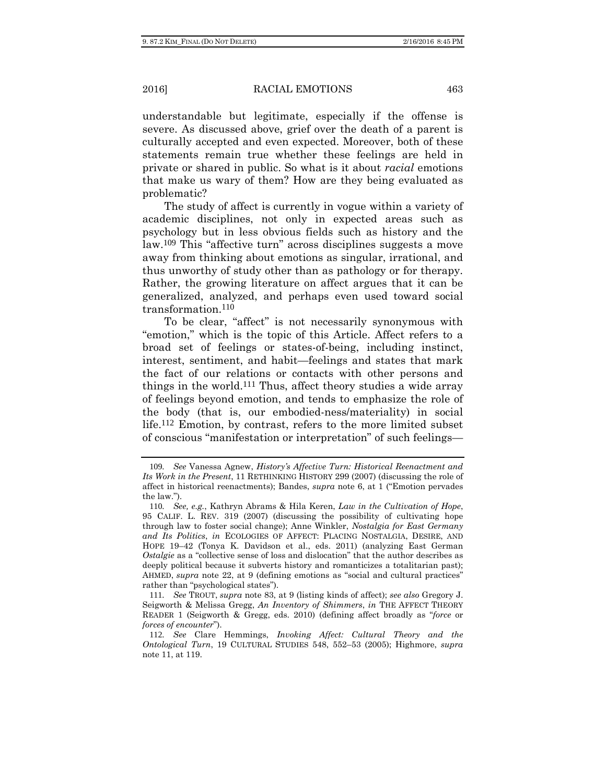understandable but legitimate, especially if the offense is severe. As discussed above, grief over the death of a parent is culturally accepted and even expected. Moreover, both of these statements remain true whether these feelings are held in private or shared in public. So what is it about *racial* emotions that make us wary of them? How are they being evaluated as problematic?

The study of affect is currently in vogue within a variety of academic disciplines, not only in expected areas such as psychology but in less obvious fields such as history and the law.109 This "affective turn" across disciplines suggests a move away from thinking about emotions as singular, irrational, and thus unworthy of study other than as pathology or for therapy. Rather, the growing literature on affect argues that it can be generalized, analyzed, and perhaps even used toward social transformation.110

To be clear, "affect" is not necessarily synonymous with "emotion," which is the topic of this Article. Affect refers to a broad set of feelings or states-of-being, including instinct, interest, sentiment, and habit—feelings and states that mark the fact of our relations or contacts with other persons and things in the world.111 Thus, affect theory studies a wide array of feelings beyond emotion, and tends to emphasize the role of the body (that is, our embodied-ness/materiality) in social life.112 Emotion, by contrast, refers to the more limited subset of conscious "manifestation or interpretation" of such feelings—

<sup>109</sup>*. See* Vanessa Agnew, *History's Affective Turn: Historical Reenactment and Its Work in the Present*, 11 RETHINKING HISTORY 299 (2007) (discussing the role of affect in historical reenactments); Bandes, *supra* note 6, at 1 ("Emotion pervades the law.").

<sup>110</sup>*. See, e.g.*, Kathryn Abrams & Hila Keren, *Law in the Cultivation of Hope*, 95 CALIF. L. REV. 319 (2007) (discussing the possibility of cultivating hope through law to foster social change); Anne Winkler, *Nostalgia for East Germany and Its Politics*, *in* ECOLOGIES OF AFFECT: PLACING NOSTALGIA, DESIRE, AND HOPE 19–42 (Tonya K. Davidson et al., eds. 2011) (analyzing East German *Ostalgie* as a "collective sense of loss and dislocation" that the author describes as deeply political because it subverts history and romanticizes a totalitarian past); AHMED, *supra* note 22, at 9 (defining emotions as "social and cultural practices" rather than "psychological states").

<sup>111</sup>*. See* TROUT, *supra* note 83, at 9 (listing kinds of affect); *see also* Gregory J. Seigworth & Melissa Gregg, *An Inventory of Shimmers*, *in* THE AFFECT THEORY READER 1 (Seigworth & Gregg, eds. 2010) (defining affect broadly as "*force* or *forces of encounter*").

<sup>112</sup>*. See* Clare Hemmings, *Invoking Affect: Cultural Theory and the Ontological Turn*, 19 CULTURAL STUDIES 548, 552–53 (2005); Highmore, *supra* note 11, at 119.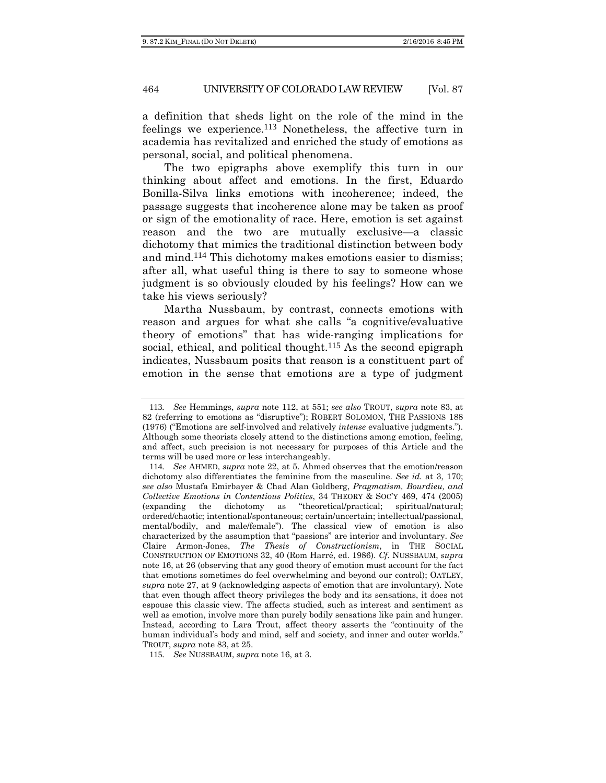a definition that sheds light on the role of the mind in the feelings we experience.113 Nonetheless, the affective turn in academia has revitalized and enriched the study of emotions as personal, social, and political phenomena.

The two epigraphs above exemplify this turn in our thinking about affect and emotions. In the first, Eduardo Bonilla-Silva links emotions with incoherence; indeed, the passage suggests that incoherence alone may be taken as proof or sign of the emotionality of race. Here, emotion is set against reason and the two are mutually exclusive—a classic dichotomy that mimics the traditional distinction between body and mind.114 This dichotomy makes emotions easier to dismiss; after all, what useful thing is there to say to someone whose judgment is so obviously clouded by his feelings? How can we take his views seriously?

Martha Nussbaum, by contrast, connects emotions with reason and argues for what she calls "a cognitive/evaluative theory of emotions" that has wide-ranging implications for social, ethical, and political thought.<sup>115</sup> As the second epigraph indicates, Nussbaum posits that reason is a constituent part of emotion in the sense that emotions are a type of judgment

<sup>113</sup>*. See* Hemmings, *supra* note 112, at 551; *see also* TROUT, *supra* note 83, at 82 (referring to emotions as "disruptive"); ROBERT SOLOMON, THE PASSIONS 188 (1976) ("Emotions are self-involved and relatively *intense* evaluative judgments."). Although some theorists closely attend to the distinctions among emotion, feeling, and affect, such precision is not necessary for purposes of this Article and the terms will be used more or less interchangeably.

<sup>114</sup>*. See* AHMED*, supra* note 22, at 5. Ahmed observes that the emotion/reason dichotomy also differentiates the feminine from the masculine. *See id.* at 3, 170; *see also* Mustafa Emirbayer & Chad Alan Goldberg, *Pragmatism, Bourdieu, and Collective Emotions in Contentious Politics*, 34 THEORY & SOC'Y 469, 474 (2005) (expanding the dichotomy as "theoretical/practical; spiritual/natural; ordered/chaotic; intentional/spontaneous; certain/uncertain; intellectual/passional, mental/bodily, and male/female"). The classical view of emotion is also characterized by the assumption that "passions" are interior and involuntary. *See*  Claire Armon-Jones, *The Thesis of Constructionism*, in THE SOCIAL CONSTRUCTION OF EMOTIONS 32, 40 (Rom Harré, ed. 1986). *Cf.* NUSSBAUM, *supra* note 16, at 26 (observing that any good theory of emotion must account for the fact that emotions sometimes do feel overwhelming and beyond our control); OATLEY, *supra* note 27, at 9 (acknowledging aspects of emotion that are involuntary). Note that even though affect theory privileges the body and its sensations, it does not espouse this classic view. The affects studied, such as interest and sentiment as well as emotion, involve more than purely bodily sensations like pain and hunger. Instead, according to Lara Trout, affect theory asserts the "continuity of the human individual's body and mind, self and society, and inner and outer worlds." TROUT, *supra* note 83, at 25.

<sup>115</sup>*. See* NUSSBAUM, *supra* note 16, at 3.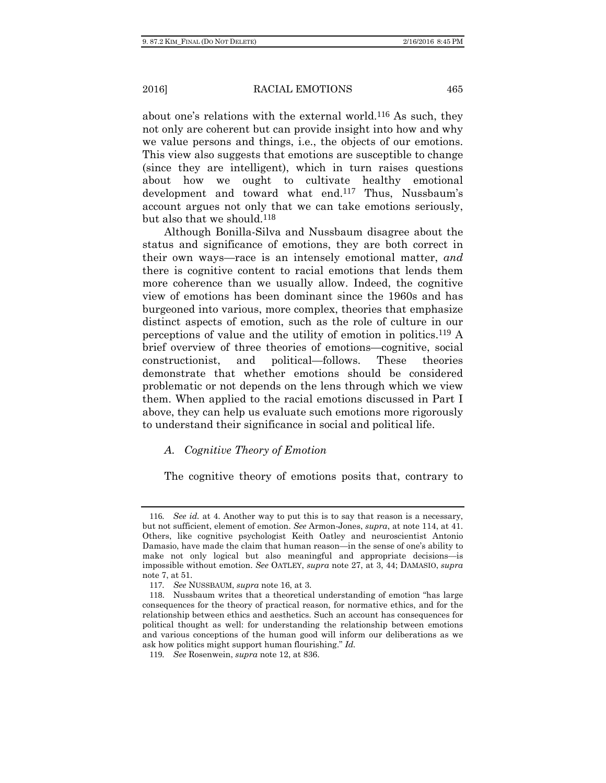about one's relations with the external world.116 As such, they not only are coherent but can provide insight into how and why we value persons and things, i.e., the objects of our emotions. This view also suggests that emotions are susceptible to change (since they are intelligent), which in turn raises questions about how we ought to cultivate healthy emotional development and toward what end.117 Thus, Nussbaum's account argues not only that we can take emotions seriously, but also that we should.<sup>118</sup>

Although Bonilla-Silva and Nussbaum disagree about the status and significance of emotions, they are both correct in their own ways—race is an intensely emotional matter, *and* there is cognitive content to racial emotions that lends them more coherence than we usually allow. Indeed, the cognitive view of emotions has been dominant since the 1960s and has burgeoned into various, more complex, theories that emphasize distinct aspects of emotion, such as the role of culture in our perceptions of value and the utility of emotion in politics.119 A brief overview of three theories of emotions—cognitive, social constructionist, and political—follows. These theories demonstrate that whether emotions should be considered problematic or not depends on the lens through which we view them. When applied to the racial emotions discussed in Part I above, they can help us evaluate such emotions more rigorously to understand their significance in social and political life.

#### *A. Cognitive Theory of Emotion*

The cognitive theory of emotions posits that, contrary to

<sup>116</sup>*. See id.* at 4. Another way to put this is to say that reason is a necessary, but not sufficient, element of emotion. *See* Armon-Jones, *supra*, at note 114, at 41. Others, like cognitive psychologist Keith Oatley and neuroscientist Antonio Damasio, have made the claim that human reason—in the sense of one's ability to make not only logical but also meaningful and appropriate decisions—is impossible without emotion. *See* OATLEY, *supra* note 27, at 3, 44; DAMASIO, *supra*  note 7, at 51.

<sup>117</sup>*. See* NUSSBAUM, *supra* note 16, at 3.

<sup>118</sup>. Nussbaum writes that a theoretical understanding of emotion "has large consequences for the theory of practical reason, for normative ethics, and for the relationship between ethics and aesthetics. Such an account has consequences for political thought as well: for understanding the relationship between emotions and various conceptions of the human good will inform our deliberations as we ask how politics might support human flourishing." *Id.*

<sup>119</sup>*. See* Rosenwein, *supra* note 12, at 836.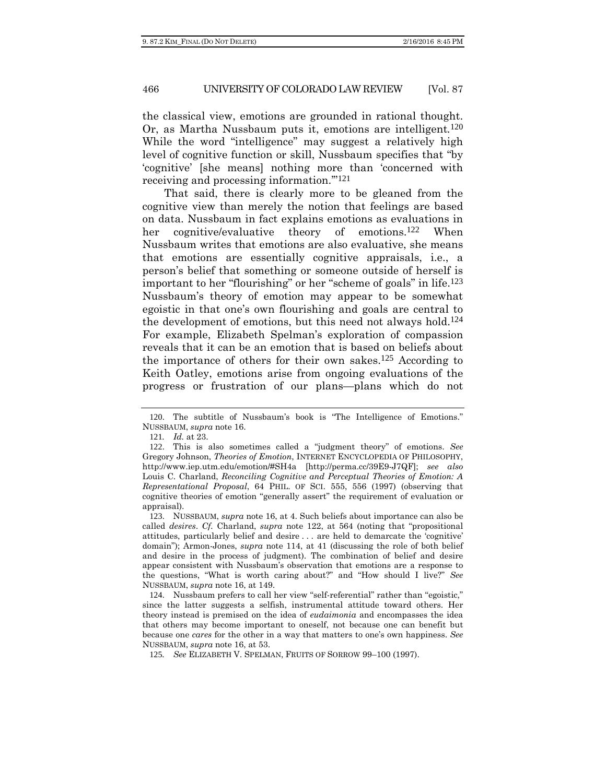the classical view, emotions are grounded in rational thought. Or, as Martha Nussbaum puts it, emotions are intelligent*.*120 While the word "intelligence" may suggest a relatively high level of cognitive function or skill, Nussbaum specifies that "by 'cognitive' [she means] nothing more than 'concerned with receiving and processing information.'"121

That said, there is clearly more to be gleaned from the cognitive view than merely the notion that feelings are based on data. Nussbaum in fact explains emotions as evaluations in her cognitive/evaluative theory of emotions.122 When Nussbaum writes that emotions are also evaluative, she means that emotions are essentially cognitive appraisals, i.e., a person's belief that something or someone outside of herself is important to her "flourishing" or her "scheme of goals" in life.123 Nussbaum's theory of emotion may appear to be somewhat egoistic in that one's own flourishing and goals are central to the development of emotions, but this need not always hold.124 For example, Elizabeth Spelman's exploration of compassion reveals that it can be an emotion that is based on beliefs about the importance of others for their own sakes.125 According to Keith Oatley, emotions arise from ongoing evaluations of the progress or frustration of our plans—plans which do not

<sup>120</sup>. The subtitle of Nussbaum's book is "The Intelligence of Emotions." NUSSBAUM, *supra* note 16.

<sup>121</sup>*. Id.* at 23.

<sup>122</sup>. This is also sometimes called a "judgment theory" of emotions. *See*  Gregory Johnson, *Theories of Emotion*, INTERNET ENCYCLOPEDIA OF PHILOSOPHY, http://www.iep.utm.edu/emotion/#SH4a [http://perma.cc/39E9-J7QF]; *see also*  Louis C. Charland, *Reconciling Cognitive and Perceptual Theories of Emotion: A Representational Proposal*, 64 PHIL. OF SCI. 555, 556 (1997) (observing that cognitive theories of emotion "generally assert" the requirement of evaluation or appraisal).

<sup>123</sup>. NUSSBAUM, *supra* note 16, at 4. Such beliefs about importance can also be called *desires*. *Cf.* Charland, *supra* note 122, at 564 (noting that "propositional attitudes, particularly belief and desire . . . are held to demarcate the 'cognitive' domain"); Armon-Jones, *supra* note 114, at 41 (discussing the role of both belief and desire in the process of judgment). The combination of belief and desire appear consistent with Nussbaum's observation that emotions are a response to the questions, "What is worth caring about?" and "How should I live?" *See*  NUSSBAUM, *supra* note 16, at 149.

<sup>124</sup>. Nussbaum prefers to call her view "self-referential" rather than "egoistic," since the latter suggests a selfish, instrumental attitude toward others. Her theory instead is premised on the idea of *eudaimonia* and encompasses the idea that others may become important to oneself, not because one can benefit but because one *cares* for the other in a way that matters to one's own happiness. *See*  NUSSBAUM, *supra* note 16, at 53.

<sup>125</sup>*. See* ELIZABETH V. SPELMAN, FRUITS OF SORROW 99–100 (1997).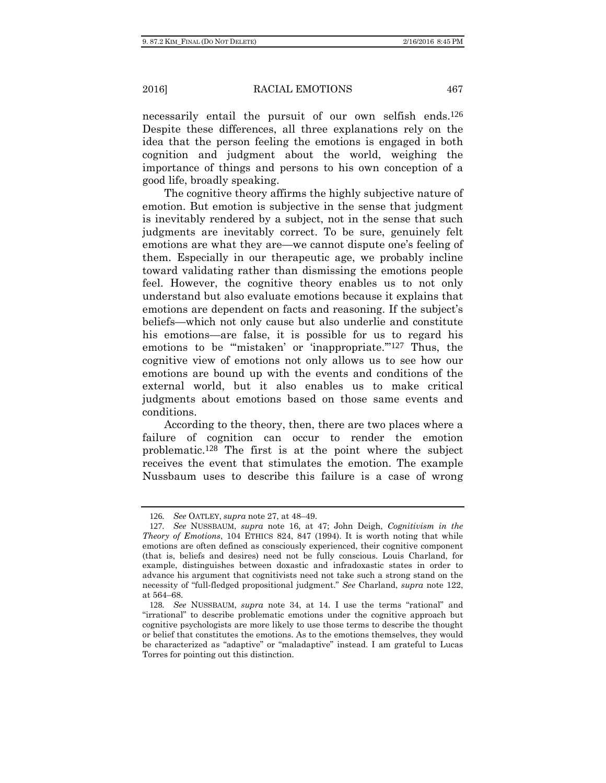necessarily entail the pursuit of our own selfish ends.<sup>126</sup> Despite these differences, all three explanations rely on the idea that the person feeling the emotions is engaged in both cognition and judgment about the world, weighing the importance of things and persons to his own conception of a good life, broadly speaking.

The cognitive theory affirms the highly subjective nature of emotion. But emotion is subjective in the sense that judgment is inevitably rendered by a subject, not in the sense that such judgments are inevitably correct. To be sure, genuinely felt emotions are what they are—we cannot dispute one's feeling of them. Especially in our therapeutic age, we probably incline toward validating rather than dismissing the emotions people feel. However, the cognitive theory enables us to not only understand but also evaluate emotions because it explains that emotions are dependent on facts and reasoning. If the subject's beliefs—which not only cause but also underlie and constitute his emotions—are false, it is possible for us to regard his emotions to be "mistaken' or 'inappropriate."<sup>127</sup> Thus, the cognitive view of emotions not only allows us to see how our emotions are bound up with the events and conditions of the external world, but it also enables us to make critical judgments about emotions based on those same events and conditions.

According to the theory, then, there are two places where a failure of cognition can occur to render the emotion problematic.128 The first is at the point where the subject receives the event that stimulates the emotion. The example Nussbaum uses to describe this failure is a case of wrong

<sup>126</sup>*. See* OATLEY, *supra* note 27, at 48–49.

<sup>127</sup>*. See* NUSSBAUM, *supra* note 16, at 47; John Deigh, *Cognitivism in the Theory of Emotions*, 104 ETHICS 824, 847 (1994). It is worth noting that while emotions are often defined as consciously experienced, their cognitive component (that is, beliefs and desires) need not be fully conscious. Louis Charland, for example, distinguishes between doxastic and infradoxastic states in order to advance his argument that cognitivists need not take such a strong stand on the necessity of "full-fledged propositional judgment." *See* Charland, *supra* note 122, at 564–68.

<sup>128</sup>*. See* NUSSBAUM, *supra* note 34, at 14. I use the terms "rational" and "irrational" to describe problematic emotions under the cognitive approach but cognitive psychologists are more likely to use those terms to describe the thought or belief that constitutes the emotions. As to the emotions themselves, they would be characterized as "adaptive" or "maladaptive" instead. I am grateful to Lucas Torres for pointing out this distinction.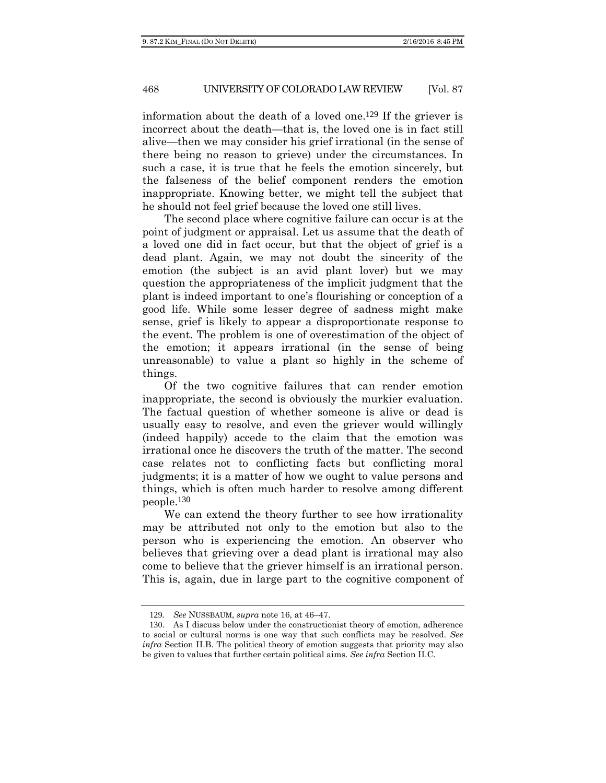information about the death of a loved one.129 If the griever is incorrect about the death—that is, the loved one is in fact still alive—then we may consider his grief irrational (in the sense of there being no reason to grieve) under the circumstances. In such a case, it is true that he feels the emotion sincerely, but the falseness of the belief component renders the emotion inappropriate. Knowing better, we might tell the subject that he should not feel grief because the loved one still lives.

The second place where cognitive failure can occur is at the point of judgment or appraisal. Let us assume that the death of a loved one did in fact occur, but that the object of grief is a dead plant. Again, we may not doubt the sincerity of the emotion (the subject is an avid plant lover) but we may question the appropriateness of the implicit judgment that the plant is indeed important to one's flourishing or conception of a good life. While some lesser degree of sadness might make sense, grief is likely to appear a disproportionate response to the event. The problem is one of overestimation of the object of the emotion; it appears irrational (in the sense of being unreasonable) to value a plant so highly in the scheme of things.

Of the two cognitive failures that can render emotion inappropriate, the second is obviously the murkier evaluation. The factual question of whether someone is alive or dead is usually easy to resolve, and even the griever would willingly (indeed happily) accede to the claim that the emotion was irrational once he discovers the truth of the matter. The second case relates not to conflicting facts but conflicting moral judgments; it is a matter of how we ought to value persons and things, which is often much harder to resolve among different people.130

We can extend the theory further to see how irrationality may be attributed not only to the emotion but also to the person who is experiencing the emotion. An observer who believes that grieving over a dead plant is irrational may also come to believe that the griever himself is an irrational person. This is, again, due in large part to the cognitive component of

<sup>129</sup>*. See* NUSSBAUM, *supra* note 16, at 46–47.

<sup>130</sup>. As I discuss below under the constructionist theory of emotion, adherence to social or cultural norms is one way that such conflicts may be resolved. *See infra* Section II.B. The political theory of emotion suggests that priority may also be given to values that further certain political aims. *See infra* Section II.C.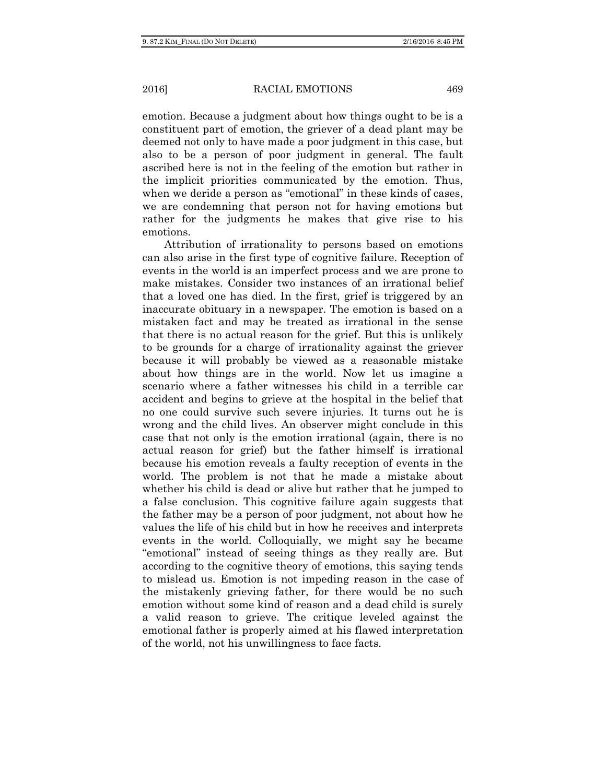emotion. Because a judgment about how things ought to be is a constituent part of emotion, the griever of a dead plant may be deemed not only to have made a poor judgment in this case, but also to be a person of poor judgment in general. The fault ascribed here is not in the feeling of the emotion but rather in the implicit priorities communicated by the emotion. Thus, when we deride a person as "emotional" in these kinds of cases, we are condemning that person not for having emotions but rather for the judgments he makes that give rise to his emotions.

Attribution of irrationality to persons based on emotions can also arise in the first type of cognitive failure. Reception of events in the world is an imperfect process and we are prone to make mistakes. Consider two instances of an irrational belief that a loved one has died. In the first, grief is triggered by an inaccurate obituary in a newspaper. The emotion is based on a mistaken fact and may be treated as irrational in the sense that there is no actual reason for the grief. But this is unlikely to be grounds for a charge of irrationality against the griever because it will probably be viewed as a reasonable mistake about how things are in the world. Now let us imagine a scenario where a father witnesses his child in a terrible car accident and begins to grieve at the hospital in the belief that no one could survive such severe injuries. It turns out he is wrong and the child lives. An observer might conclude in this case that not only is the emotion irrational (again, there is no actual reason for grief) but the father himself is irrational because his emotion reveals a faulty reception of events in the world. The problem is not that he made a mistake about whether his child is dead or alive but rather that he jumped to a false conclusion. This cognitive failure again suggests that the father may be a person of poor judgment, not about how he values the life of his child but in how he receives and interprets events in the world. Colloquially, we might say he became "emotional" instead of seeing things as they really are. But according to the cognitive theory of emotions, this saying tends to mislead us. Emotion is not impeding reason in the case of the mistakenly grieving father, for there would be no such emotion without some kind of reason and a dead child is surely a valid reason to grieve. The critique leveled against the emotional father is properly aimed at his flawed interpretation of the world, not his unwillingness to face facts.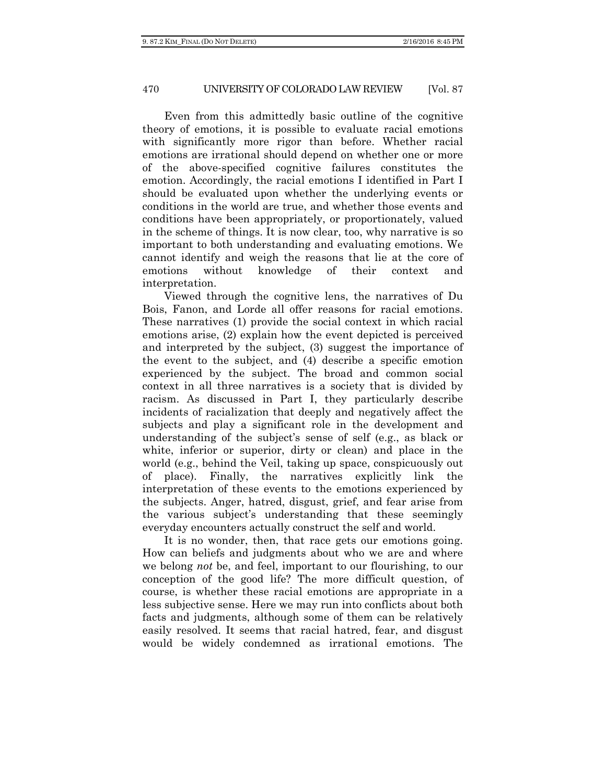Even from this admittedly basic outline of the cognitive theory of emotions, it is possible to evaluate racial emotions with significantly more rigor than before. Whether racial emotions are irrational should depend on whether one or more of the above-specified cognitive failures constitutes the emotion. Accordingly, the racial emotions I identified in Part I should be evaluated upon whether the underlying events or conditions in the world are true, and whether those events and conditions have been appropriately, or proportionately, valued in the scheme of things. It is now clear, too, why narrative is so important to both understanding and evaluating emotions. We cannot identify and weigh the reasons that lie at the core of emotions without knowledge of their context and interpretation.

Viewed through the cognitive lens, the narratives of Du Bois, Fanon, and Lorde all offer reasons for racial emotions. These narratives (1) provide the social context in which racial emotions arise, (2) explain how the event depicted is perceived and interpreted by the subject, (3) suggest the importance of the event to the subject, and (4) describe a specific emotion experienced by the subject. The broad and common social context in all three narratives is a society that is divided by racism. As discussed in Part I, they particularly describe incidents of racialization that deeply and negatively affect the subjects and play a significant role in the development and understanding of the subject's sense of self (e.g., as black or white, inferior or superior, dirty or clean) and place in the world (e.g., behind the Veil, taking up space, conspicuously out of place). Finally, the narratives explicitly link the interpretation of these events to the emotions experienced by the subjects. Anger, hatred, disgust, grief, and fear arise from the various subject's understanding that these seemingly everyday encounters actually construct the self and world.

It is no wonder, then, that race gets our emotions going. How can beliefs and judgments about who we are and where we belong *not* be, and feel, important to our flourishing, to our conception of the good life? The more difficult question, of course, is whether these racial emotions are appropriate in a less subjective sense. Here we may run into conflicts about both facts and judgments, although some of them can be relatively easily resolved. It seems that racial hatred, fear, and disgust would be widely condemned as irrational emotions. The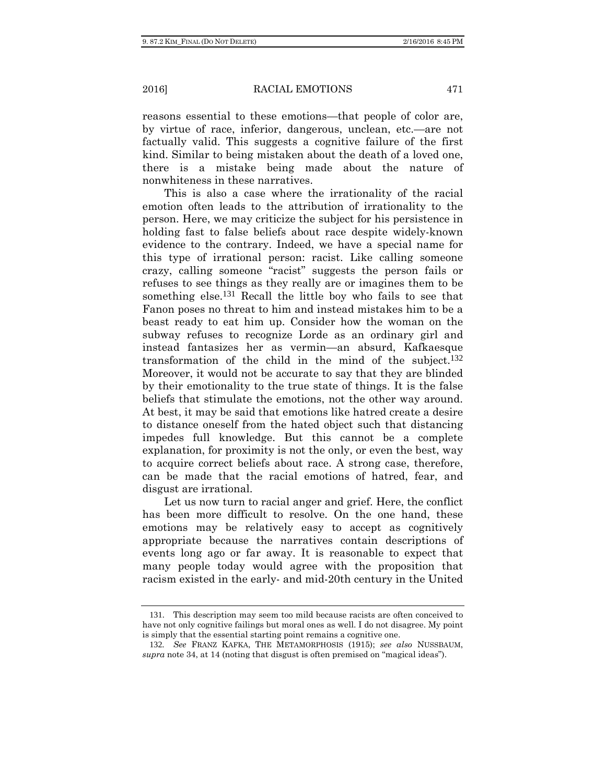reasons essential to these emotions—that people of color are, by virtue of race, inferior, dangerous, unclean, etc.—are not factually valid. This suggests a cognitive failure of the first kind. Similar to being mistaken about the death of a loved one, there is a mistake being made about the nature of nonwhiteness in these narratives.

This is also a case where the irrationality of the racial emotion often leads to the attribution of irrationality to the person. Here, we may criticize the subject for his persistence in holding fast to false beliefs about race despite widely-known evidence to the contrary. Indeed, we have a special name for this type of irrational person: racist. Like calling someone crazy, calling someone "racist" suggests the person fails or refuses to see things as they really are or imagines them to be something else.<sup>131</sup> Recall the little boy who fails to see that Fanon poses no threat to him and instead mistakes him to be a beast ready to eat him up. Consider how the woman on the subway refuses to recognize Lorde as an ordinary girl and instead fantasizes her as vermin—an absurd, Kafkaesque transformation of the child in the mind of the subject.132 Moreover, it would not be accurate to say that they are blinded by their emotionality to the true state of things. It is the false beliefs that stimulate the emotions, not the other way around. At best, it may be said that emotions like hatred create a desire to distance oneself from the hated object such that distancing impedes full knowledge. But this cannot be a complete explanation, for proximity is not the only, or even the best, way to acquire correct beliefs about race. A strong case, therefore, can be made that the racial emotions of hatred, fear, and disgust are irrational.

Let us now turn to racial anger and grief. Here, the conflict has been more difficult to resolve. On the one hand, these emotions may be relatively easy to accept as cognitively appropriate because the narratives contain descriptions of events long ago or far away. It is reasonable to expect that many people today would agree with the proposition that racism existed in the early- and mid-20th century in the United

<sup>131</sup>. This description may seem too mild because racists are often conceived to have not only cognitive failings but moral ones as well. I do not disagree. My point is simply that the essential starting point remains a cognitive one.

<sup>132</sup>*. See* FRANZ KAFKA, THE METAMORPHOSIS (1915); *see also* NUSSBAUM, *supra* note 34, at 14 (noting that disgust is often premised on "magical ideas").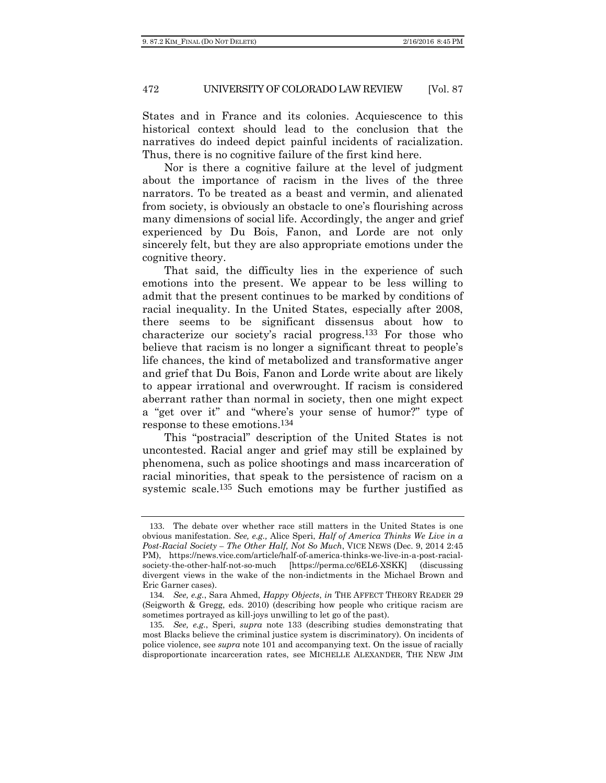States and in France and its colonies. Acquiescence to this historical context should lead to the conclusion that the narratives do indeed depict painful incidents of racialization. Thus, there is no cognitive failure of the first kind here.

Nor is there a cognitive failure at the level of judgment about the importance of racism in the lives of the three narrators. To be treated as a beast and vermin, and alienated from society, is obviously an obstacle to one's flourishing across many dimensions of social life. Accordingly, the anger and grief experienced by Du Bois, Fanon, and Lorde are not only sincerely felt, but they are also appropriate emotions under the cognitive theory.

That said, the difficulty lies in the experience of such emotions into the present. We appear to be less willing to admit that the present continues to be marked by conditions of racial inequality. In the United States, especially after 2008, there seems to be significant dissensus about how to characterize our society's racial progress.133 For those who believe that racism is no longer a significant threat to people's life chances, the kind of metabolized and transformative anger and grief that Du Bois, Fanon and Lorde write about are likely to appear irrational and overwrought. If racism is considered aberrant rather than normal in society, then one might expect a "get over it" and "where's your sense of humor?" type of response to these emotions.134

This "postracial" description of the United States is not uncontested. Racial anger and grief may still be explained by phenomena, such as police shootings and mass incarceration of racial minorities, that speak to the persistence of racism on a systemic scale.135 Such emotions may be further justified as

<sup>133</sup>. The debate over whether race still matters in the United States is one obvious manifestation. *See, e.g.,* Alice Speri, *Half of America Thinks We Live in a Post-Racial Society – The Other Half, Not So Much*, VICE NEWS (Dec. 9, 2014 2:45 PM), https://news.vice.com/article/half-of-america-thinks-we-live-in-a-post-racialsociety-the-other-half-not-so-much [https://perma.cc/6EL6-XSKK] (discussing divergent views in the wake of the non-indictments in the Michael Brown and Eric Garner cases).

<sup>134</sup>*. See, e.g.*, Sara Ahmed, *Happy Objects*, *in* THE AFFECT THEORY READER 29 (Seigworth & Gregg, eds. 2010) (describing how people who critique racism are sometimes portrayed as kill-joys unwilling to let go of the past).

<sup>135</sup>*. See, e.g.*, Speri, *supra* note 133 (describing studies demonstrating that most Blacks believe the criminal justice system is discriminatory). On incidents of police violence, see *supra* note 101 and accompanying text. On the issue of racially disproportionate incarceration rates, see MICHELLE ALEXANDER, THE NEW JIM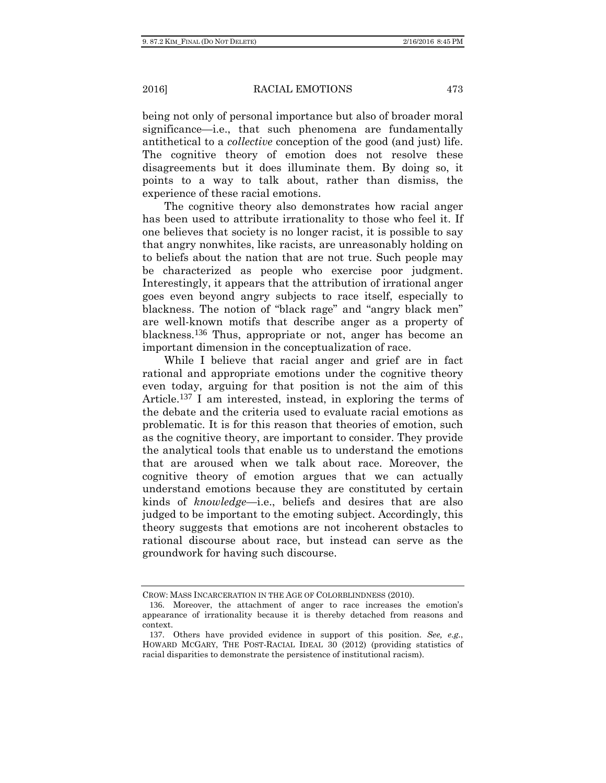being not only of personal importance but also of broader moral significance—i.e., that such phenomena are fundamentally antithetical to a *collective* conception of the good (and just) life. The cognitive theory of emotion does not resolve these disagreements but it does illuminate them. By doing so, it points to a way to talk about, rather than dismiss, the experience of these racial emotions.

The cognitive theory also demonstrates how racial anger has been used to attribute irrationality to those who feel it. If one believes that society is no longer racist, it is possible to say that angry nonwhites, like racists, are unreasonably holding on to beliefs about the nation that are not true. Such people may be characterized as people who exercise poor judgment. Interestingly, it appears that the attribution of irrational anger goes even beyond angry subjects to race itself, especially to blackness. The notion of "black rage" and "angry black men" are well-known motifs that describe anger as a property of blackness.136 Thus, appropriate or not, anger has become an important dimension in the conceptualization of race.

While I believe that racial anger and grief are in fact rational and appropriate emotions under the cognitive theory even today, arguing for that position is not the aim of this Article.137 I am interested, instead, in exploring the terms of the debate and the criteria used to evaluate racial emotions as problematic. It is for this reason that theories of emotion, such as the cognitive theory, are important to consider. They provide the analytical tools that enable us to understand the emotions that are aroused when we talk about race. Moreover, the cognitive theory of emotion argues that we can actually understand emotions because they are constituted by certain kinds of *knowledge*—i.e., beliefs and desires that are also judged to be important to the emoting subject. Accordingly, this theory suggests that emotions are not incoherent obstacles to rational discourse about race, but instead can serve as the groundwork for having such discourse.

CROW: MASS INCARCERATION IN THE AGE OF COLORBLINDNESS (2010).

<sup>136</sup>. Moreover, the attachment of anger to race increases the emotion's appearance of irrationality because it is thereby detached from reasons and context.

<sup>137</sup>. Others have provided evidence in support of this position. *See, e.g.*, HOWARD MCGARY, THE POST-RACIAL IDEAL 30 (2012) (providing statistics of racial disparities to demonstrate the persistence of institutional racism).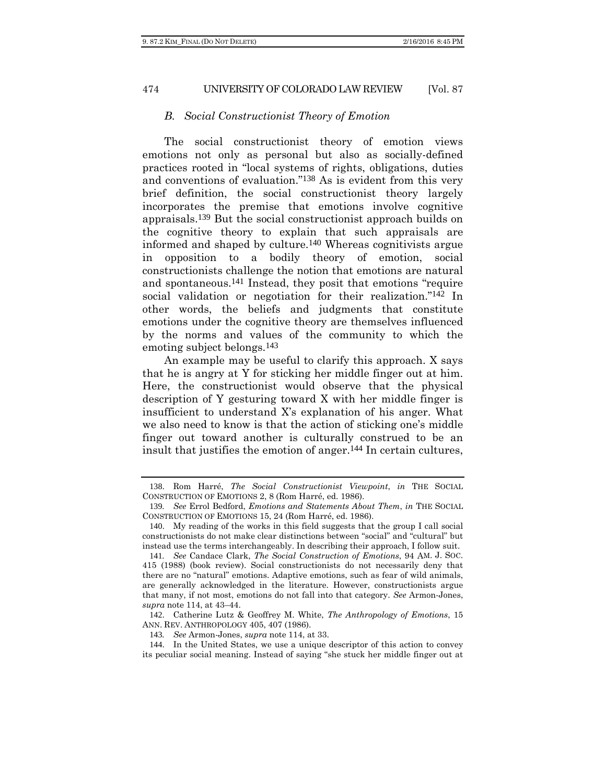#### *B. Social Constructionist Theory of Emotion*

The social constructionist theory of emotion views emotions not only as personal but also as socially-defined practices rooted in "local systems of rights, obligations, duties and conventions of evaluation."138 As is evident from this very brief definition, the social constructionist theory largely incorporates the premise that emotions involve cognitive appraisals.139 But the social constructionist approach builds on the cognitive theory to explain that such appraisals are informed and shaped by culture.140 Whereas cognitivists argue in opposition to a bodily theory of emotion, social constructionists challenge the notion that emotions are natural and spontaneous.141 Instead, they posit that emotions "require social validation or negotiation for their realization."<sup>142</sup> In other words, the beliefs and judgments that constitute emotions under the cognitive theory are themselves influenced by the norms and values of the community to which the emoting subject belongs.143

An example may be useful to clarify this approach. X says that he is angry at Y for sticking her middle finger out at him. Here, the constructionist would observe that the physical description of Y gesturing toward X with her middle finger is insufficient to understand X's explanation of his anger. What we also need to know is that the action of sticking one's middle finger out toward another is culturally construed to be an insult that justifies the emotion of anger.144 In certain cultures,

142. Catherine Lutz & Geoffrey M. White, *The Anthropology of Emotions*, 15 ANN. REV. ANTHROPOLOGY 405, 407 (1986).

143*. See* Armon-Jones, *supra* note 114, at 33.

<sup>138</sup>. Rom Harré, *The Social Constructionist Viewpoint*, *in* THE SOCIAL CONSTRUCTION OF EMOTIONS 2, 8 (Rom Harré, ed. 1986).

<sup>139</sup>*. See* Errol Bedford, *Emotions and Statements About Them*, *in* THE SOCIAL CONSTRUCTION OF EMOTIONS 15, 24 (Rom Harré, ed. 1986).

<sup>140</sup>. My reading of the works in this field suggests that the group I call social constructionists do not make clear distinctions between "social" and "cultural" but instead use the terms interchangeably. In describing their approach, I follow suit.

<sup>141</sup>*. See* Candace Clark, *The Social Construction of Emotions*, 94 AM. J. SOC. 415 (1988) (book review). Social constructionists do not necessarily deny that there are no "natural" emotions. Adaptive emotions, such as fear of wild animals, are generally acknowledged in the literature. However, constructionists argue that many, if not most, emotions do not fall into that category. *See* Armon-Jones, *supra* note 114, at 43–44.

<sup>144</sup>. In the United States, we use a unique descriptor of this action to convey its peculiar social meaning. Instead of saying "she stuck her middle finger out at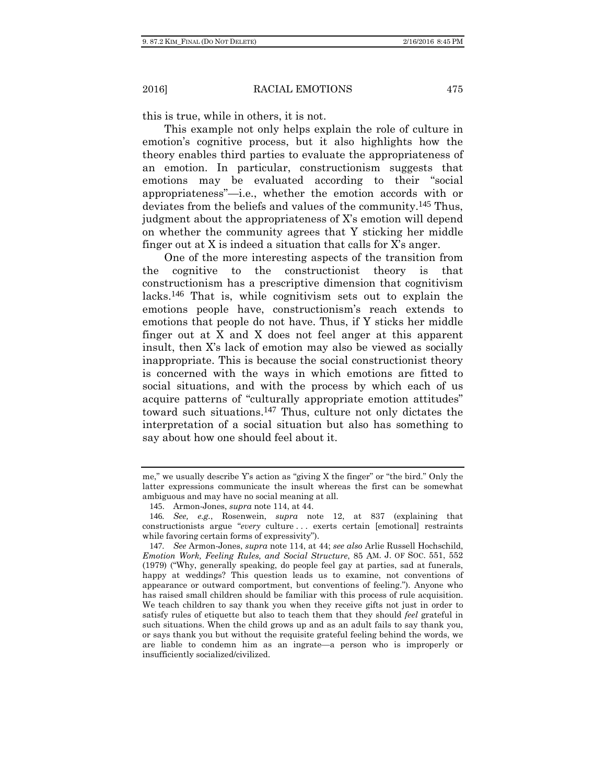this is true, while in others, it is not.

This example not only helps explain the role of culture in emotion's cognitive process, but it also highlights how the theory enables third parties to evaluate the appropriateness of an emotion. In particular, constructionism suggests that emotions may be evaluated according to their "social appropriateness"—i.e., whether the emotion accords with or deviates from the beliefs and values of the community.145 Thus, judgment about the appropriateness of X's emotion will depend on whether the community agrees that Y sticking her middle finger out at X is indeed a situation that calls for X's anger.

One of the more interesting aspects of the transition from the cognitive to the constructionist theory is that constructionism has a prescriptive dimension that cognitivism lacks.146 That is, while cognitivism sets out to explain the emotions people have, constructionism's reach extends to emotions that people do not have. Thus, if Y sticks her middle finger out at X and X does not feel anger at this apparent insult, then X's lack of emotion may also be viewed as socially inappropriate. This is because the social constructionist theory is concerned with the ways in which emotions are fitted to social situations, and with the process by which each of us acquire patterns of "culturally appropriate emotion attitudes" toward such situations.147 Thus, culture not only dictates the interpretation of a social situation but also has something to say about how one should feel about it.

me," we usually describe Y's action as "giving X the finger" or "the bird." Only the latter expressions communicate the insult whereas the first can be somewhat ambiguous and may have no social meaning at all.

<sup>145</sup>. Armon-Jones, *supra* note 114, at 44.

<sup>146</sup>*. See, e.g.*, Rosenwein, *supra* note 12, at 837 (explaining that constructionists argue "*every* culture . . . exerts certain [emotional] restraints while favoring certain forms of expressivity").

<sup>147</sup>*. See* Armon-Jones, *supra* note 114, at 44; *see also* Arlie Russell Hochschild, *Emotion Work, Feeling Rules, and Social Structure*, 85 AM. J. OF SOC. 551, 552 (1979) ("Why, generally speaking, do people feel gay at parties, sad at funerals, happy at weddings? This question leads us to examine, not conventions of appearance or outward comportment, but conventions of feeling."). Anyone who has raised small children should be familiar with this process of rule acquisition. We teach children to say thank you when they receive gifts not just in order to satisfy rules of etiquette but also to teach them that they should *feel* grateful in such situations. When the child grows up and as an adult fails to say thank you, or says thank you but without the requisite grateful feeling behind the words, we are liable to condemn him as an ingrate—a person who is improperly or insufficiently socialized/civilized.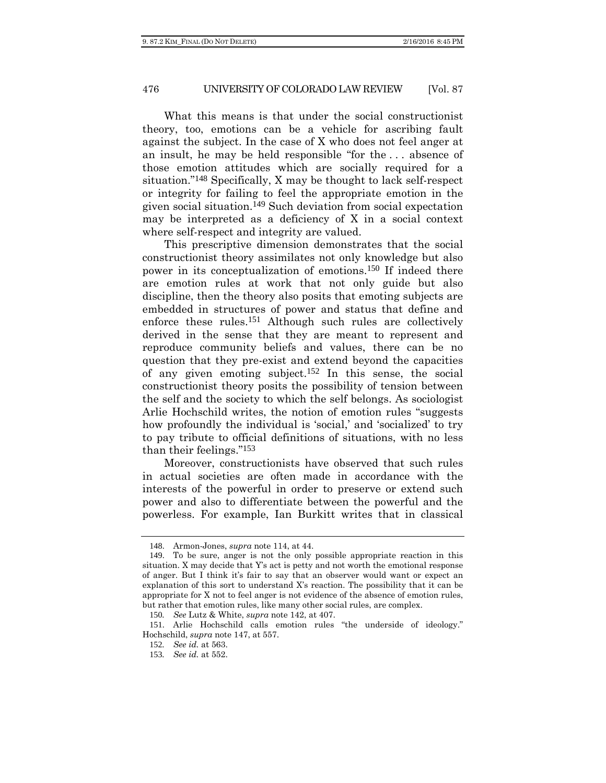What this means is that under the social constructionist theory, too, emotions can be a vehicle for ascribing fault against the subject. In the case of X who does not feel anger at an insult, he may be held responsible "for the . . . absence of those emotion attitudes which are socially required for a situation."148 Specifically, X may be thought to lack self-respect or integrity for failing to feel the appropriate emotion in the given social situation.149 Such deviation from social expectation may be interpreted as a deficiency of X in a social context where self-respect and integrity are valued.

This prescriptive dimension demonstrates that the social constructionist theory assimilates not only knowledge but also power in its conceptualization of emotions.150 If indeed there are emotion rules at work that not only guide but also discipline, then the theory also posits that emoting subjects are embedded in structures of power and status that define and enforce these rules.151 Although such rules are collectively derived in the sense that they are meant to represent and reproduce community beliefs and values, there can be no question that they pre-exist and extend beyond the capacities of any given emoting subject.<sup>152</sup> In this sense, the social constructionist theory posits the possibility of tension between the self and the society to which the self belongs. As sociologist Arlie Hochschild writes, the notion of emotion rules "suggests how profoundly the individual is 'social,' and 'socialized' to try to pay tribute to official definitions of situations, with no less than their feelings."153

Moreover, constructionists have observed that such rules in actual societies are often made in accordance with the interests of the powerful in order to preserve or extend such power and also to differentiate between the powerful and the powerless. For example, Ian Burkitt writes that in classical

<sup>148</sup>. Armon-Jones, *supra* note 114, at 44.

<sup>149</sup>. To be sure, anger is not the only possible appropriate reaction in this situation. X may decide that Y's act is petty and not worth the emotional response of anger. But I think it's fair to say that an observer would want or expect an explanation of this sort to understand X's reaction. The possibility that it can be appropriate for X not to feel anger is not evidence of the absence of emotion rules, but rather that emotion rules, like many other social rules, are complex.

<sup>150</sup>*. See* Lutz & White, *supra* note 142, at 407.

<sup>151</sup>. Arlie Hochschild calls emotion rules "the underside of ideology." Hochschild, *supra* note 147, at 557.

<sup>152</sup>*. See id.* at 563.

<sup>153</sup>*. See id.* at 552.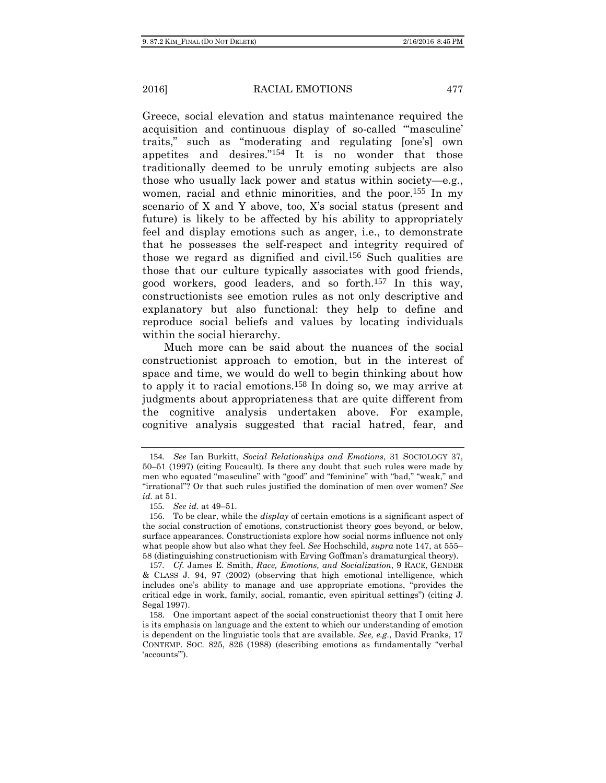Greece, social elevation and status maintenance required the acquisition and continuous display of so-called "'masculine' traits," such as "moderating and regulating [one's] own appetites and desires."154 It is no wonder that those traditionally deemed to be unruly emoting subjects are also those who usually lack power and status within society—e.g., women, racial and ethnic minorities, and the poor.155 In my scenario of X and Y above, too, X's social status (present and future) is likely to be affected by his ability to appropriately feel and display emotions such as anger, i.e., to demonstrate that he possesses the self-respect and integrity required of those we regard as dignified and civil.156 Such qualities are those that our culture typically associates with good friends, good workers, good leaders, and so forth.157 In this way, constructionists see emotion rules as not only descriptive and explanatory but also functional: they help to define and reproduce social beliefs and values by locating individuals within the social hierarchy.

Much more can be said about the nuances of the social constructionist approach to emotion, but in the interest of space and time, we would do well to begin thinking about how to apply it to racial emotions.158 In doing so, we may arrive at judgments about appropriateness that are quite different from the cognitive analysis undertaken above. For example, cognitive analysis suggested that racial hatred, fear, and

<sup>154</sup>*. See* Ian Burkitt, *Social Relationships and Emotions*, 31 SOCIOLOGY 37, 50–51 (1997) (citing Foucault). Is there any doubt that such rules were made by men who equated "masculine" with "good" and "feminine" with "bad," "weak," and "irrational"? Or that such rules justified the domination of men over women? *See id.* at 51.

<sup>155</sup>*. See id.* at 49–51.

<sup>156</sup>. To be clear, while the *display* of certain emotions is a significant aspect of the social construction of emotions, constructionist theory goes beyond, or below, surface appearances. Constructionists explore how social norms influence not only what people show but also what they feel. *See* Hochschild, *supra* note 147, at 555– 58 (distinguishing constructionism with Erving Goffman's dramaturgical theory).

<sup>157</sup>*. Cf.* James E. Smith, *Race, Emotions, and Socialization*, 9 RACE, GENDER & CLASS J. 94, 97 (2002) (observing that high emotional intelligence, which includes one's ability to manage and use appropriate emotions, "provides the critical edge in work, family, social, romantic, even spiritual settings") (citing J. Segal 1997).

<sup>158</sup>. One important aspect of the social constructionist theory that I omit here is its emphasis on language and the extent to which our understanding of emotion is dependent on the linguistic tools that are available. *See, e.g.*, David Franks, 17 CONTEMP. SOC. 825, 826 (1988) (describing emotions as fundamentally "verbal 'accounts'").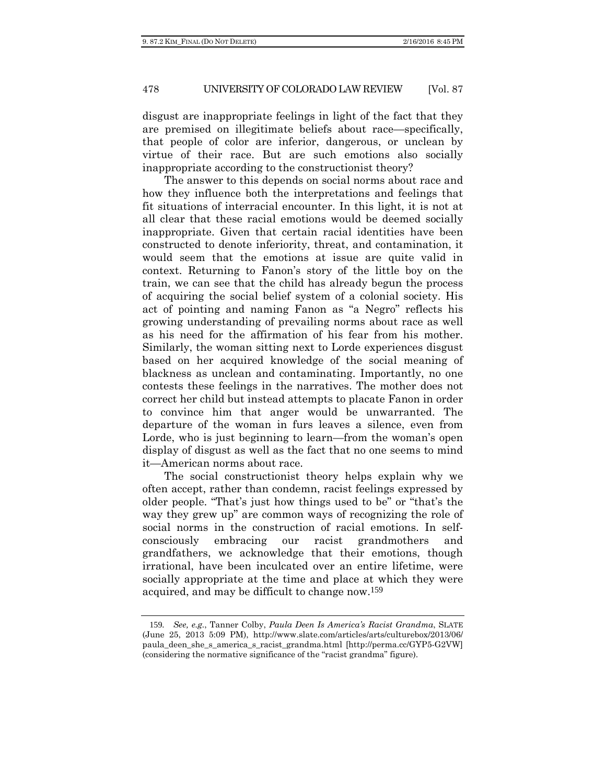disgust are inappropriate feelings in light of the fact that they are premised on illegitimate beliefs about race—specifically, that people of color are inferior, dangerous, or unclean by virtue of their race. But are such emotions also socially inappropriate according to the constructionist theory?

The answer to this depends on social norms about race and how they influence both the interpretations and feelings that fit situations of interracial encounter. In this light, it is not at all clear that these racial emotions would be deemed socially inappropriate. Given that certain racial identities have been constructed to denote inferiority, threat, and contamination, it would seem that the emotions at issue are quite valid in context. Returning to Fanon's story of the little boy on the train, we can see that the child has already begun the process of acquiring the social belief system of a colonial society. His act of pointing and naming Fanon as "a Negro" reflects his growing understanding of prevailing norms about race as well as his need for the affirmation of his fear from his mother. Similarly, the woman sitting next to Lorde experiences disgust based on her acquired knowledge of the social meaning of blackness as unclean and contaminating. Importantly, no one contests these feelings in the narratives. The mother does not correct her child but instead attempts to placate Fanon in order to convince him that anger would be unwarranted. The departure of the woman in furs leaves a silence, even from Lorde, who is just beginning to learn—from the woman's open display of disgust as well as the fact that no one seems to mind it—American norms about race.

The social constructionist theory helps explain why we often accept, rather than condemn, racist feelings expressed by older people. "That's just how things used to be" or "that's the way they grew up" are common ways of recognizing the role of social norms in the construction of racial emotions. In selfconsciously embracing our racist grandmothers and grandfathers, we acknowledge that their emotions, though irrational, have been inculcated over an entire lifetime, were socially appropriate at the time and place at which they were acquired, and may be difficult to change now.159

<sup>159</sup>*. See, e.g.*, Tanner Colby, *Paula Deen Is America's Racist Grandma*, SLATE (June 25, 2013 5:09 PM), http://www.slate.com/articles/arts/culturebox/2013/06/ paula\_deen\_she\_s\_america\_s\_racist\_grandma.html [http://perma.cc/GYP5-G2VW] (considering the normative significance of the "racist grandma" figure).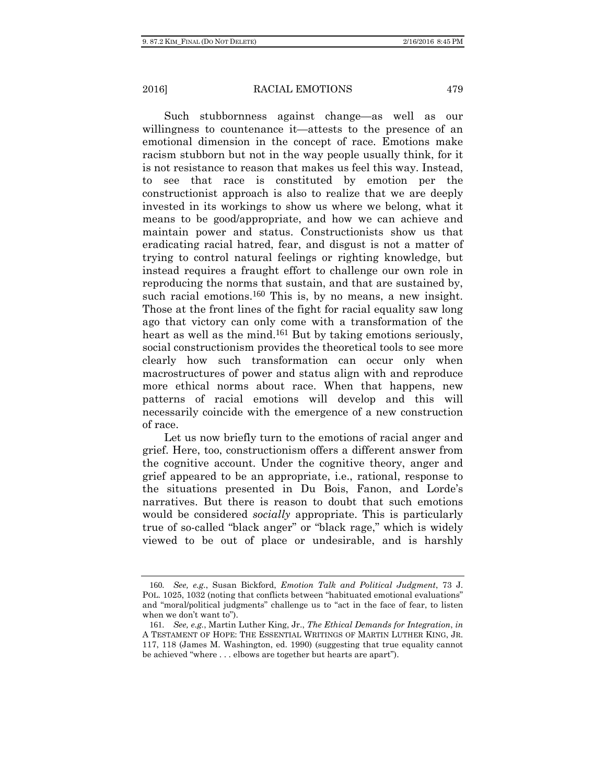Such stubbornness against change—as well as our willingness to countenance it—attests to the presence of an emotional dimension in the concept of race. Emotions make racism stubborn but not in the way people usually think, for it is not resistance to reason that makes us feel this way. Instead, to see that race is constituted by emotion per the constructionist approach is also to realize that we are deeply invested in its workings to show us where we belong, what it means to be good/appropriate, and how we can achieve and maintain power and status. Constructionists show us that eradicating racial hatred, fear, and disgust is not a matter of trying to control natural feelings or righting knowledge, but instead requires a fraught effort to challenge our own role in reproducing the norms that sustain, and that are sustained by, such racial emotions.<sup>160</sup> This is, by no means, a new insight. Those at the front lines of the fight for racial equality saw long ago that victory can only come with a transformation of the heart as well as the mind.<sup>161</sup> But by taking emotions seriously, social constructionism provides the theoretical tools to see more clearly how such transformation can occur only when macrostructures of power and status align with and reproduce more ethical norms about race. When that happens, new patterns of racial emotions will develop and this will necessarily coincide with the emergence of a new construction of race.

Let us now briefly turn to the emotions of racial anger and grief. Here, too, constructionism offers a different answer from the cognitive account. Under the cognitive theory, anger and grief appeared to be an appropriate, i.e., rational, response to the situations presented in Du Bois, Fanon, and Lorde's narratives. But there is reason to doubt that such emotions would be considered *socially* appropriate. This is particularly true of so-called "black anger" or "black rage," which is widely viewed to be out of place or undesirable, and is harshly

<sup>160</sup>*. See, e.g.*, Susan Bickford, *Emotion Talk and Political Judgment*, 73 J. POL. 1025, 1032 (noting that conflicts between "habituated emotional evaluations" and "moral/political judgments" challenge us to "act in the face of fear, to listen when we don't want to").

<sup>161</sup>*. See, e.g.*, Martin Luther King, Jr., *The Ethical Demands for Integration*, *in* A TESTAMENT OF HOPE: THE ESSENTIAL WRITINGS OF MARTIN LUTHER KING, JR. 117, 118 (James M. Washington, ed. 1990) (suggesting that true equality cannot be achieved "where . . . elbows are together but hearts are apart").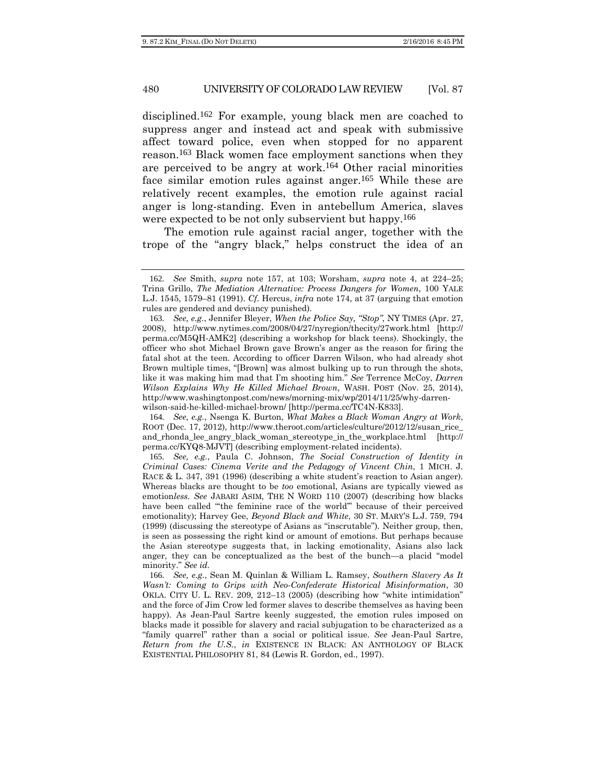disciplined.162 For example, young black men are coached to suppress anger and instead act and speak with submissive affect toward police, even when stopped for no apparent reason.163 Black women face employment sanctions when they are perceived to be angry at work.<sup>164</sup> Other racial minorities face similar emotion rules against anger.165 While these are relatively recent examples, the emotion rule against racial anger is long-standing. Even in antebellum America, slaves were expected to be not only subservient but happy.<sup>166</sup>

The emotion rule against racial anger, together with the trope of the "angry black," helps construct the idea of an

164*. See, e.g.*, Nsenga K. Burton, *What Makes a Black Woman Angry at Work*, ROOT (Dec. 17, 2012), http://www.theroot.com/articles/culture/2012/12/susan\_rice\_ and\_rhonda\_lee\_angry\_black\_woman\_stereotype\_in\_the\_workplace.html [http:// perma.cc/KYQ8-MJVT] (describing employment-related incidents).

165*. See, e.g.*, Paula C. Johnson, *The Social Construction of Identity in Criminal Cases: Cinema Verite and the Pedagogy of Vincent Chin*, 1 MICH. J. RACE & L. 347, 391 (1996) (describing a white student's reaction to Asian anger). Whereas blacks are thought to be *too* emotional, Asians are typically viewed as emotion*less. See* JABARI ASIM, THE N WORD 110 (2007) (describing how blacks have been called "'the feminine race of the world'" because of their perceived emotionality); Harvey Gee, *Beyond Black and White*, 30 ST. MARY'S L.J. 759, 794 (1999) (discussing the stereotype of Asians as "inscrutable"). Neither group, then, is seen as possessing the right kind or amount of emotions. But perhaps because the Asian stereotype suggests that, in lacking emotionality, Asians also lack anger, they can be conceptualized as the best of the bunch—a placid "model minority." *See id.*

166*. See, e.g.*, Sean M. Quinlan & William L. Ramsey, *Southern Slavery As It Wasn't: Coming to Grips with Neo-Confederate Historical Misinformation*, 30 OKLA. CITY U. L. REV. 209, 212–13 (2005) (describing how "white intimidation" and the force of Jim Crow led former slaves to describe themselves as having been happy). As Jean-Paul Sartre keenly suggested, the emotion rules imposed on blacks made it possible for slavery and racial subjugation to be characterized as a "family quarrel" rather than a social or political issue. *See* Jean-Paul Sartre, *Return from the U.S.*, *in* EXISTENCE IN BLACK: AN ANTHOLOGY OF BLACK EXISTENTIAL PHILOSOPHY 81, 84 (Lewis R. Gordon, ed., 1997).

<sup>162</sup>*. See* Smith, *supra* note 157, at 103; Worsham, *supra* note 4, at 224–25; Trina Grillo, *The Mediation Alternative: Process Dangers for Women*, 100 YALE L.J. 1545, 1579–81 (1991). *Cf.* Hercus, *infra* note 174, at 37 (arguing that emotion rules are gendered and deviancy punished).

<sup>163</sup>*. See, e.g.*, Jennifer Bleyer, *When the Police Say, "Stop"*, NY TIMES (Apr. 27, 2008), http://www.nytimes.com/2008/04/27/nyregion/thecity/27work.html [http:// perma.cc/M5QH-AMK2] (describing a workshop for black teens). Shockingly, the officer who shot Michael Brown gave Brown's anger as the reason for firing the fatal shot at the teen. According to officer Darren Wilson, who had already shot Brown multiple times, "[Brown] was almost bulking up to run through the shots, like it was making him mad that I'm shooting him." *See* Terrence McCoy, *Darren Wilson Explains Why He Killed Michael Brown*, WASH. POST (Nov. 25, 2014), http://www.washingtonpost.com/news/morning-mix/wp/2014/11/25/why-darrenwilson-said-he-killed-michael-brown/ [http://perma.cc/TC4N-K833].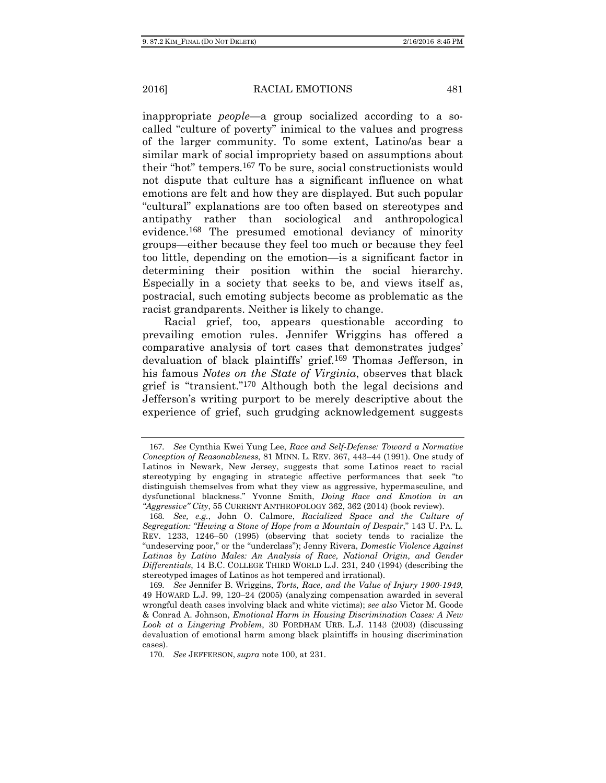inappropriate *people*—a group socialized according to a socalled "culture of poverty" inimical to the values and progress of the larger community. To some extent, Latino/as bear a similar mark of social impropriety based on assumptions about their "hot" tempers.167 To be sure, social constructionists would not dispute that culture has a significant influence on what emotions are felt and how they are displayed. But such popular "cultural" explanations are too often based on stereotypes and antipathy rather than sociological and anthropological evidence.168 The presumed emotional deviancy of minority groups—either because they feel too much or because they feel too little, depending on the emotion—is a significant factor in determining their position within the social hierarchy. Especially in a society that seeks to be, and views itself as, postracial, such emoting subjects become as problematic as the racist grandparents. Neither is likely to change.

Racial grief, too, appears questionable according to prevailing emotion rules. Jennifer Wriggins has offered a comparative analysis of tort cases that demonstrates judges' devaluation of black plaintiffs' grief.169 Thomas Jefferson, in his famous *Notes on the State of Virginia*, observes that black grief is "transient."170 Although both the legal decisions and Jefferson's writing purport to be merely descriptive about the experience of grief, such grudging acknowledgement suggests

<sup>167</sup>*. See* Cynthia Kwei Yung Lee, *Race and Self-Defense: Toward a Normative Conception of Reasonableness*, 81 MINN. L. REV. 367, 443–44 (1991). One study of Latinos in Newark, New Jersey, suggests that some Latinos react to racial stereotyping by engaging in strategic affective performances that seek "to distinguish themselves from what they view as aggressive, hypermasculine, and dysfunctional blackness." Yvonne Smith, *Doing Race and Emotion in an "Aggressive" City*, 55 CURRENT ANTHROPOLOGY 362, 362 (2014) (book review).

<sup>168</sup>*. See, e.g.*, John O. Calmore, *Racialized Space and the Culture of Segregation: "Hewing a Stone of Hope from a Mountain of Despair*," 143 U. PA. L. REV. 1233, 1246–50 (1995) (observing that society tends to racialize the "undeserving poor," or the "underclass"); Jenny Rivera, *Domestic Violence Against*  Latinas by Latino Males: An Analysis of Race, National Origin, and Gender *Differentials*, 14 B.C. COLLEGE THIRD WORLD L.J. 231, 240 (1994) (describing the stereotyped images of Latinos as hot tempered and irrational).

<sup>169</sup>*. See* Jennifer B. Wriggins, *Torts, Race, and the Value of Injury 1900-1949*, 49 HOWARD L.J. 99, 120–24 (2005) (analyzing compensation awarded in several wrongful death cases involving black and white victims); *see also* Victor M. Goode & Conrad A. Johnson, *Emotional Harm in Housing Discrimination Cases: A New Look at a Lingering Problem*, 30 FORDHAM URB. L.J. 1143 (2003) (discussing devaluation of emotional harm among black plaintiffs in housing discrimination cases).

<sup>170</sup>*. See* JEFFERSON, *supra* note 100, at 231.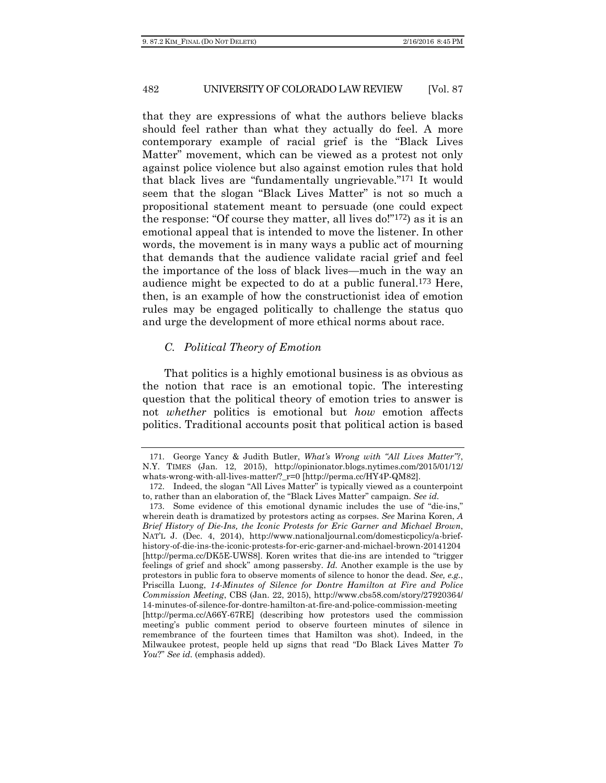that they are expressions of what the authors believe blacks should feel rather than what they actually do feel. A more contemporary example of racial grief is the "Black Lives Matter" movement, which can be viewed as a protest not only against police violence but also against emotion rules that hold that black lives are "fundamentally ungrievable."171 It would seem that the slogan "Black Lives Matter" is not so much a propositional statement meant to persuade (one could expect the response: "Of course they matter, all lives do!"172) as it is an emotional appeal that is intended to move the listener. In other words, the movement is in many ways a public act of mourning that demands that the audience validate racial grief and feel the importance of the loss of black lives—much in the way an audience might be expected to do at a public funeral.173 Here, then, is an example of how the constructionist idea of emotion rules may be engaged politically to challenge the status quo and urge the development of more ethical norms about race.

# *C. Political Theory of Emotion*

That politics is a highly emotional business is as obvious as the notion that race is an emotional topic. The interesting question that the political theory of emotion tries to answer is not *whether* politics is emotional but *how* emotion affects politics. Traditional accounts posit that political action is based

<sup>171</sup>. George Yancy & Judith Butler, *What's Wrong with "All Lives Matter"?*, N.Y. TIMES (Jan. 12, 2015), http://opinionator.blogs.nytimes.com/2015/01/12/ whats-wrong-with-all-lives-matter/?\_r=0 [http://perma.cc/HY4P-QM82].

<sup>172</sup>. Indeed, the slogan "All Lives Matter" is typically viewed as a counterpoint to, rather than an elaboration of, the "Black Lives Matter" campaign. *See id.*

<sup>173</sup>. Some evidence of this emotional dynamic includes the use of "die-ins," wherein death is dramatized by protestors acting as corpses. *See* Marina Koren, *A Brief History of Die-Ins, the Iconic Protests for Eric Garner and Michael Brown*, NAT'L J. (Dec. 4, 2014), http://www.nationaljournal.com/domesticpolicy/a-briefhistory-of-die-ins-the-iconic-protests-for-eric-garner-and-michael-brown-20141204 [http://perma.cc/DK5E-UWS8]. Koren writes that die-ins are intended to "trigger feelings of grief and shock" among passersby. *Id.* Another example is the use by protestors in public fora to observe moments of silence to honor the dead. *See, e.g.*, Priscilla Luong, *14-Minutes of Silence for Dontre Hamilton at Fire and Police Commission Meeting*, CBS (Jan. 22, 2015), http://www.cbs58.com/story/27920364/ 14-minutes-of-silence-for-dontre-hamilton-at-fire-and-police-commission-meeting [http://perma.cc/A66Y-67RE] (describing how protestors used the commission meeting's public comment period to observe fourteen minutes of silence in remembrance of the fourteen times that Hamilton was shot). Indeed, in the Milwaukee protest, people held up signs that read "Do Black Lives Matter *To You*?" *See id.* (emphasis added).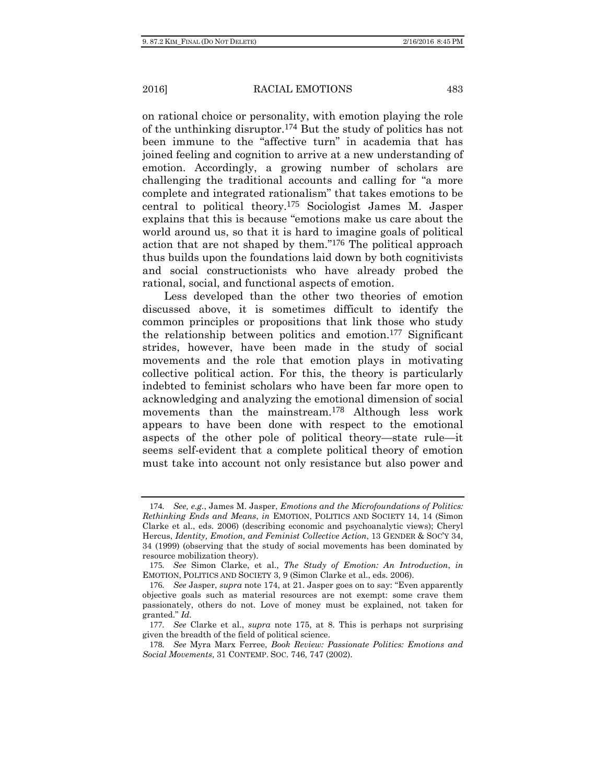on rational choice or personality, with emotion playing the role of the unthinking disruptor.174 But the study of politics has not been immune to the "affective turn" in academia that has joined feeling and cognition to arrive at a new understanding of emotion. Accordingly, a growing number of scholars are challenging the traditional accounts and calling for "a more complete and integrated rationalism" that takes emotions to be central to political theory.175 Sociologist James M. Jasper explains that this is because "emotions make us care about the world around us, so that it is hard to imagine goals of political action that are not shaped by them."176 The political approach thus builds upon the foundations laid down by both cognitivists and social constructionists who have already probed the rational, social, and functional aspects of emotion.

Less developed than the other two theories of emotion discussed above, it is sometimes difficult to identify the common principles or propositions that link those who study the relationship between politics and emotion.177 Significant strides, however, have been made in the study of social movements and the role that emotion plays in motivating collective political action. For this, the theory is particularly indebted to feminist scholars who have been far more open to acknowledging and analyzing the emotional dimension of social movements than the mainstream.178 Although less work appears to have been done with respect to the emotional aspects of the other pole of political theory—state rule—it seems self-evident that a complete political theory of emotion must take into account not only resistance but also power and

<sup>174</sup>*. See, e.g.*, James M. Jasper, *Emotions and the Microfoundations of Politics: Rethinking Ends and Means*, *in* EMOTION, POLITICS AND SOCIETY 14, 14 (Simon Clarke et al., eds. 2006) (describing economic and psychoanalytic views); Cheryl Hercus, *Identity, Emotion, and Feminist Collective Action*, 13 GENDER & SOC'Y 34, 34 (1999) (observing that the study of social movements has been dominated by resource mobilization theory).

<sup>175</sup>*. See* Simon Clarke, et al., *The Study of Emotion: An Introduction*, *in*  EMOTION, POLITICS AND SOCIETY 3, 9 (Simon Clarke et al., eds. 2006).

<sup>176</sup>*. See* Jasper, *supra* note 174, at 21. Jasper goes on to say: "Even apparently objective goals such as material resources are not exempt: some crave them passionately, others do not. Love of money must be explained, not taken for granted." *Id.* 

<sup>177</sup>*. See* Clarke et al., *supra* note 175, at 8. This is perhaps not surprising given the breadth of the field of political science.

<sup>178</sup>*. See* Myra Marx Ferree, *Book Review: Passionate Politics: Emotions and Social Movements*, 31 CONTEMP. SOC. 746, 747 (2002).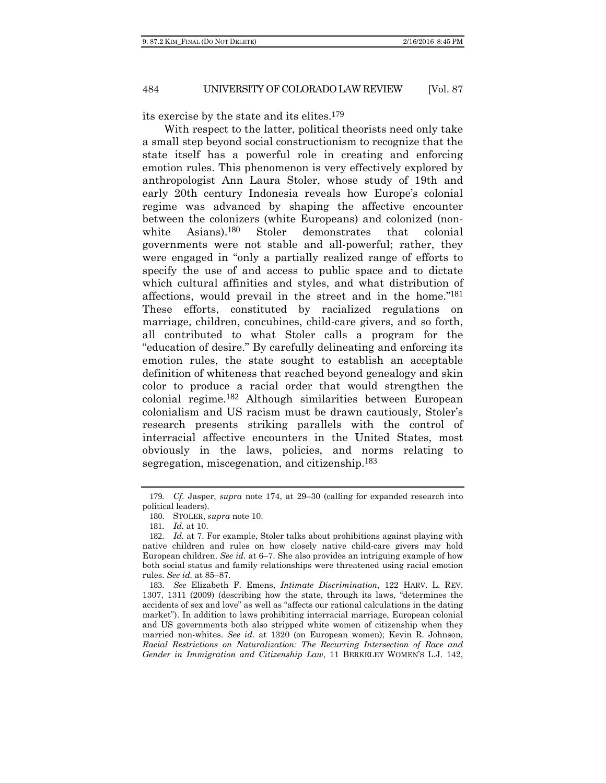its exercise by the state and its elites.179

With respect to the latter, political theorists need only take a small step beyond social constructionism to recognize that the state itself has a powerful role in creating and enforcing emotion rules. This phenomenon is very effectively explored by anthropologist Ann Laura Stoler, whose study of 19th and early 20th century Indonesia reveals how Europe's colonial regime was advanced by shaping the affective encounter between the colonizers (white Europeans) and colonized (nonwhite Asians).<sup>180</sup> Stoler demonstrates that colonial governments were not stable and all-powerful; rather, they were engaged in "only a partially realized range of efforts to specify the use of and access to public space and to dictate which cultural affinities and styles, and what distribution of affections, would prevail in the street and in the home."181 These efforts, constituted by racialized regulations on marriage, children, concubines, child-care givers, and so forth, all contributed to what Stoler calls a program for the "education of desire." By carefully delineating and enforcing its emotion rules, the state sought to establish an acceptable definition of whiteness that reached beyond genealogy and skin color to produce a racial order that would strengthen the colonial regime.182 Although similarities between European colonialism and US racism must be drawn cautiously, Stoler's research presents striking parallels with the control of interracial affective encounters in the United States, most obviously in the laws, policies, and norms relating to segregation, miscegenation, and citizenship.183

<sup>179</sup>*. Cf.* Jasper, *supra* note 174, at 29–30 (calling for expanded research into political leaders).

<sup>180</sup>. STOLER, *supra* note 10.

<sup>181</sup>*. Id.* at 10.

<sup>182</sup>*. Id.* at 7. For example, Stoler talks about prohibitions against playing with native children and rules on how closely native child-care givers may hold European children. *See id.* at 6–7. She also provides an intriguing example of how both social status and family relationships were threatened using racial emotion rules. *See id.* at 85–87.

<sup>183</sup>*. See* Elizabeth F. Emens, *Intimate Discrimination*, 122 HARV. L. REV. 1307, 1311 (2009) (describing how the state, through its laws, "determines the accidents of sex and love" as well as "affects our rational calculations in the dating market"). In addition to laws prohibiting interracial marriage, European colonial and US governments both also stripped white women of citizenship when they married non-whites. *See id.* at 1320 (on European women); Kevin R. Johnson, *Racial Restrictions on Naturalization: The Recurring Intersection of Race and Gender in Immigration and Citizenship Law*, 11 BERKELEY WOMEN'S L.J. 142,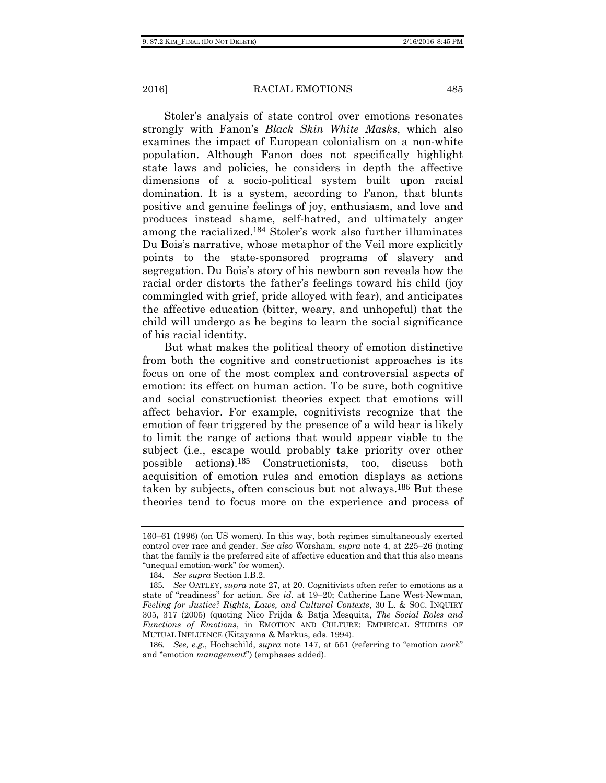Stoler's analysis of state control over emotions resonates strongly with Fanon's *Black Skin White Masks*, which also examines the impact of European colonialism on a non-white population. Although Fanon does not specifically highlight state laws and policies, he considers in depth the affective dimensions of a socio-political system built upon racial domination. It is a system, according to Fanon, that blunts positive and genuine feelings of joy, enthusiasm, and love and produces instead shame, self-hatred, and ultimately anger among the racialized.184 Stoler's work also further illuminates Du Bois's narrative, whose metaphor of the Veil more explicitly points to the state-sponsored programs of slavery and segregation. Du Bois's story of his newborn son reveals how the racial order distorts the father's feelings toward his child (joy commingled with grief, pride alloyed with fear), and anticipates the affective education (bitter, weary, and unhopeful) that the child will undergo as he begins to learn the social significance of his racial identity.

But what makes the political theory of emotion distinctive from both the cognitive and constructionist approaches is its focus on one of the most complex and controversial aspects of emotion: its effect on human action. To be sure, both cognitive and social constructionist theories expect that emotions will affect behavior. For example, cognitivists recognize that the emotion of fear triggered by the presence of a wild bear is likely to limit the range of actions that would appear viable to the subject (i.e., escape would probably take priority over other possible actions).185 Constructionists, too, discuss both acquisition of emotion rules and emotion displays as actions taken by subjects, often conscious but not always.186 But these theories tend to focus more on the experience and process of

<sup>160–61 (1996) (</sup>on US women). In this way, both regimes simultaneously exerted control over race and gender. *See also* Worsham, *supra* note 4, at 225–26 (noting that the family is the preferred site of affective education and that this also means "unequal emotion-work" for women).

<sup>184</sup>*. See supra* Section I.B.2.

<sup>185</sup>*. See* OATLEY, *supra* note 27, at 20. Cognitivists often refer to emotions as a state of "readiness" for action. *See id.* at 19–20; Catherine Lane West-Newman, *Feeling for Justice? Rights, Laws, and Cultural Contexts*, 30 L. & SOC. INQUIRY 305, 317 (2005) (quoting Nico Frijda & Batja Mesquita, *The Social Roles and Functions of Emotions*, in EMOTION AND CULTURE: EMPIRICAL STUDIES OF MUTUAL INFLUENCE (Kitayama & Markus, eds. 1994).

<sup>186</sup>*. See, e.g*., Hochschild, *supra* note 147, at 551 (referring to "emotion *work*" and "emotion *management*") (emphases added).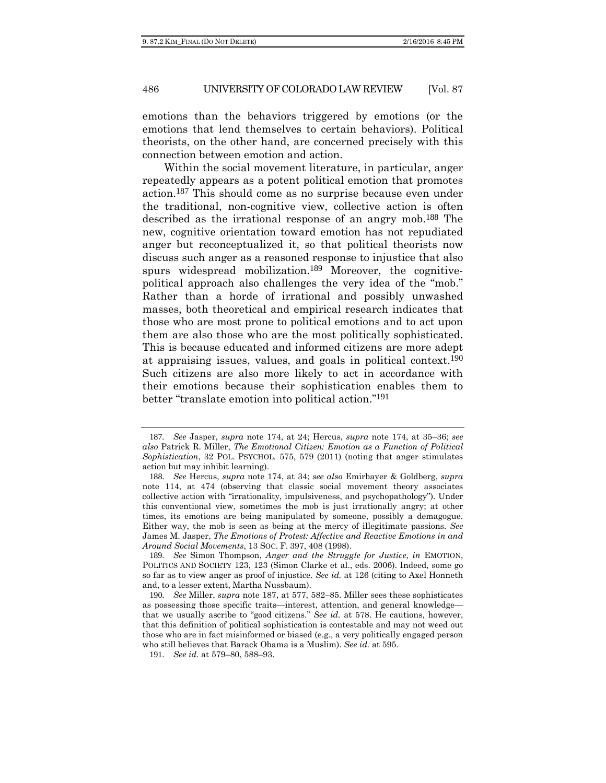emotions than the behaviors triggered by emotions (or the emotions that lend themselves to certain behaviors). Political theorists, on the other hand, are concerned precisely with this connection between emotion and action.

Within the social movement literature, in particular, anger repeatedly appears as a potent political emotion that promotes action.187 This should come as no surprise because even under the traditional, non-cognitive view, collective action is often described as the irrational response of an angry mob.188 The new, cognitive orientation toward emotion has not repudiated anger but reconceptualized it, so that political theorists now discuss such anger as a reasoned response to injustice that also spurs widespread mobilization.<sup>189</sup> Moreover, the cognitivepolitical approach also challenges the very idea of the "mob." Rather than a horde of irrational and possibly unwashed masses, both theoretical and empirical research indicates that those who are most prone to political emotions and to act upon them are also those who are the most politically sophisticated. This is because educated and informed citizens are more adept at appraising issues, values, and goals in political context.190 Such citizens are also more likely to act in accordance with their emotions because their sophistication enables them to better "translate emotion into political action."191

<sup>187</sup>*. See* Jasper, *supra* note 174, at 24; Hercus, *supra* note 174, at 35–36; *see also* Patrick R. Miller, *The Emotional Citizen: Emotion as a Function of Political Sophistication*, 32 POL. PSYCHOL. 575, 579 (2011) (noting that anger stimulates action but may inhibit learning).

<sup>188</sup>*. See* Hercus, *supra* note 174, at 34; *see also* Emirbayer & Goldberg, *supra* note 114, at 474 (observing that classic social movement theory associates collective action with "irrationality, impulsiveness, and psychopathology"). Under this conventional view, sometimes the mob is just irrationally angry; at other times, its emotions are being manipulated by someone, possibly a demagogue. Either way, the mob is seen as being at the mercy of illegitimate passions. *See*  James M. Jasper, *The Emotions of Protest: Affective and Reactive Emotions in and Around Social Movements*, 13 SOC. F. 397, 408 (1998).

<sup>189</sup>*. See* Simon Thompson, *Anger and the Struggle for Justice*, *in* EMOTION, POLITICS AND SOCIETY 123, 123 (Simon Clarke et al., eds. 2006). Indeed, some go so far as to view anger as proof of injustice. *See id.* at 126 (citing to Axel Honneth and, to a lesser extent, Martha Nussbaum).

<sup>190</sup>*. See* Miller, *supra* note 187, at 577, 582–85. Miller sees these sophisticates as possessing those specific traits—interest, attention, and general knowledge that we usually ascribe to "good citizens." *See id.* at 578. He cautions, however, that this definition of political sophistication is contestable and may not weed out those who are in fact misinformed or biased (e.g., a very politically engaged person who still believes that Barack Obama is a Muslim). *See id.* at 595.

<sup>191</sup>*. See id.* at 579–80, 588–93.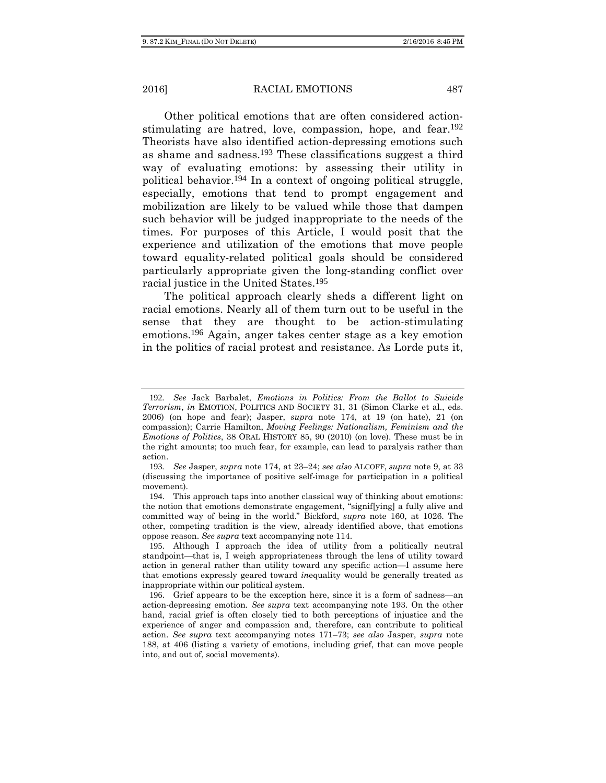Other political emotions that are often considered actionstimulating are hatred, love, compassion, hope, and fear.192 Theorists have also identified action-depressing emotions such as shame and sadness.193 These classifications suggest a third way of evaluating emotions: by assessing their utility in political behavior.194 In a context of ongoing political struggle, especially, emotions that tend to prompt engagement and mobilization are likely to be valued while those that dampen such behavior will be judged inappropriate to the needs of the times. For purposes of this Article, I would posit that the experience and utilization of the emotions that move people toward equality-related political goals should be considered particularly appropriate given the long-standing conflict over racial justice in the United States.195

The political approach clearly sheds a different light on racial emotions. Nearly all of them turn out to be useful in the sense that they are thought to be action-stimulating emotions.196 Again, anger takes center stage as a key emotion in the politics of racial protest and resistance. As Lorde puts it,

<sup>192</sup>*. See* Jack Barbalet, *Emotions in Politics: From the Ballot to Suicide Terrorism*, *in* EMOTION, POLITICS AND SOCIETY 31, 31 (Simon Clarke et al., eds. 2006) (on hope and fear); Jasper, *supra* note 174, at 19 (on hate), 21 (on compassion); Carrie Hamilton, *Moving Feelings: Nationalism, Feminism and the Emotions of Politics*, 38 ORAL HISTORY 85, 90 (2010) (on love). These must be in the right amounts; too much fear, for example, can lead to paralysis rather than action.

<sup>193</sup>*. See* Jasper, *supra* note 174, at 23–24; *see also* ALCOFF, *supra* note 9, at 33 (discussing the importance of positive self-image for participation in a political movement).

<sup>194</sup>. This approach taps into another classical way of thinking about emotions: the notion that emotions demonstrate engagement, "signif[ying] a fully alive and committed way of being in the world." Bickford, *supra* note 160, at 1026. The other, competing tradition is the view, already identified above, that emotions oppose reason. *See supra* text accompanying note 114.

<sup>195</sup>. Although I approach the idea of utility from a politically neutral standpoint—that is, I weigh appropriateness through the lens of utility toward action in general rather than utility toward any specific action—I assume here that emotions expressly geared toward *in*equality would be generally treated as inappropriate within our political system.

<sup>196</sup>. Grief appears to be the exception here, since it is a form of sadness—an action-depressing emotion. *See supra* text accompanying note 193. On the other hand, racial grief is often closely tied to both perceptions of injustice and the experience of anger and compassion and, therefore, can contribute to political action. *See supra* text accompanying notes 171–73; *see also* Jasper, *supra* note 188, at 406 (listing a variety of emotions, including grief, that can move people into, and out of, social movements).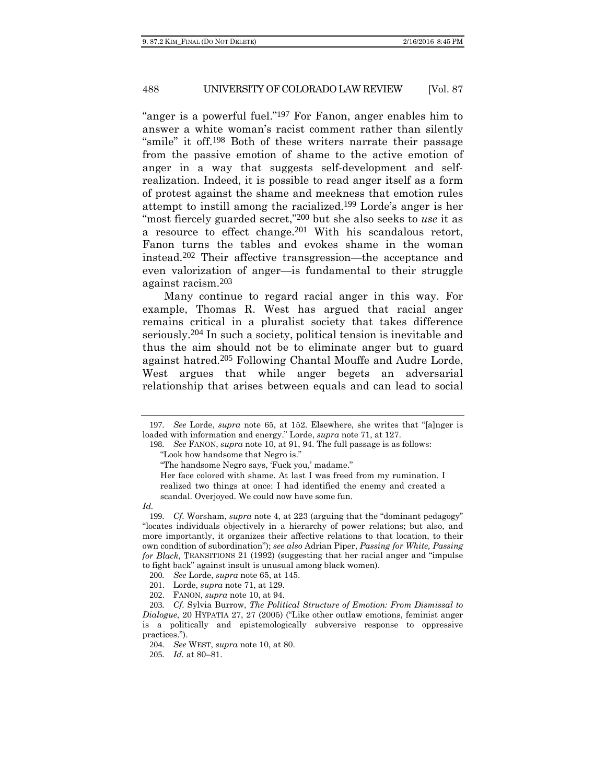"anger is a powerful fuel."197 For Fanon, anger enables him to answer a white woman's racist comment rather than silently "smile" it off.<sup>198</sup> Both of these writers narrate their passage from the passive emotion of shame to the active emotion of anger in a way that suggests self-development and selfrealization. Indeed, it is possible to read anger itself as a form of protest against the shame and meekness that emotion rules attempt to instill among the racialized.199 Lorde's anger is her "most fiercely guarded secret,"200 but she also seeks to *use* it as a resource to effect change.201 With his scandalous retort, Fanon turns the tables and evokes shame in the woman instead.202 Their affective transgression—the acceptance and even valorization of anger—is fundamental to their struggle against racism.203

Many continue to regard racial anger in this way. For example, Thomas R. West has argued that racial anger remains critical in a pluralist society that takes difference seriously.204 In such a society, political tension is inevitable and thus the aim should not be to eliminate anger but to guard against hatred.205 Following Chantal Mouffe and Audre Lorde, West argues that while anger begets an adversarial relationship that arises between equals and can lead to social

<sup>197</sup>*. See* Lorde, *supra* note 65, at 152. Elsewhere, she writes that "[a]nger is loaded with information and energy." Lorde, *supra* note 71, at 127.

<sup>198</sup>*. See* FANON, *supra* note 10, at 91, 94. The full passage is as follows:

<sup>&</sup>quot;Look how handsome that Negro is."

<sup>&</sup>quot;The handsome Negro says, 'Fuck you,' madame."

Her face colored with shame. At last I was freed from my rumination. I realized two things at once: I had identified the enemy and created a scandal. Overjoyed. We could now have some fun.

*Id.*

<sup>199</sup>*. Cf.* Worsham, *supra* note 4, at 223 (arguing that the "dominant pedagogy" "locates individuals objectively in a hierarchy of power relations; but also, and more importantly, it organizes their affective relations to that location, to their own condition of subordination"); *see also* Adrian Piper, *Passing for White, Passing for Black*, TRANSITIONS 21 (1992) (suggesting that her racial anger and "impulse to fight back" against insult is unusual among black women).

<sup>200</sup>*. See* Lorde, *supra* note 65, at 145.

<sup>201</sup>. Lorde, *supra* note 71, at 129.

<sup>202</sup>. FANON, *supra* note 10, at 94.

<sup>203</sup>*. Cf.* Sylvia Burrow, *The Political Structure of Emotion: From Dismissal to Dialogue*, 20 HYPATIA 27, 27 (2005) ("Like other outlaw emotions, feminist anger is a politically and epistemologically subversive response to oppressive practices.").

<sup>204</sup>*. See* WEST, *supra* note 10, at 80.

<sup>205</sup>*. Id.* at 80–81.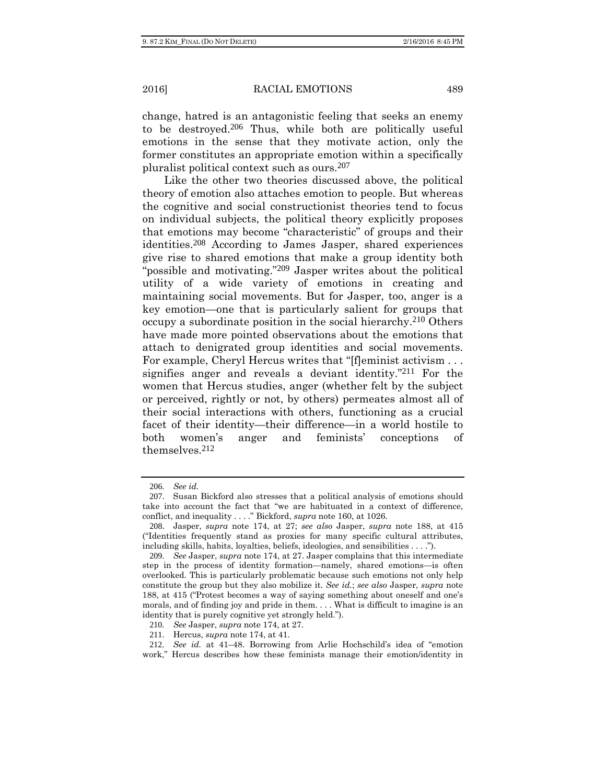change, hatred is an antagonistic feeling that seeks an enemy to be destroyed.206 Thus, while both are politically useful emotions in the sense that they motivate action, only the former constitutes an appropriate emotion within a specifically pluralist political context such as ours.207

Like the other two theories discussed above, the political theory of emotion also attaches emotion to people. But whereas the cognitive and social constructionist theories tend to focus on individual subjects, the political theory explicitly proposes that emotions may become "characteristic" of groups and their identities.208 According to James Jasper, shared experiences give rise to shared emotions that make a group identity both "possible and motivating."<sup>209</sup> Jasper writes about the political utility of a wide variety of emotions in creating and maintaining social movements. But for Jasper, too, anger is a key emotion—one that is particularly salient for groups that occupy a subordinate position in the social hierarchy.210 Others have made more pointed observations about the emotions that attach to denigrated group identities and social movements. For example, Cheryl Hercus writes that "[f]eminist activism . . . signifies anger and reveals a deviant identity."211 For the women that Hercus studies, anger (whether felt by the subject or perceived, rightly or not, by others) permeates almost all of their social interactions with others, functioning as a crucial facet of their identity—their difference—in a world hostile to both women's anger and feminists' conceptions of themselves.212

<sup>206</sup>*. See id.* 

<sup>207</sup>. Susan Bickford also stresses that a political analysis of emotions should take into account the fact that "we are habituated in a context of difference, conflict, and inequality . . . ." Bickford, *supra* note 160, at 1026.

<sup>208</sup>. Jasper, *supra* note 174, at 27; *see also* Jasper, *supra* note 188, at 415 ("Identities frequently stand as proxies for many specific cultural attributes, including skills, habits, loyalties, beliefs, ideologies, and sensibilities . . . .").

<sup>209</sup>*. See* Jasper, *supra* note 174, at 27. Jasper complains that this intermediate step in the process of identity formation—namely, shared emotions—is often overlooked. This is particularly problematic because such emotions not only help constitute the group but they also mobilize it. *See id.*; *see also* Jasper, *supra* note 188, at 415 ("Protest becomes a way of saying something about oneself and one's morals, and of finding joy and pride in them. . . . What is difficult to imagine is an identity that is purely cognitive yet strongly held.").

<sup>210</sup>*. See* Jasper, *supra* note 174, at 27.

<sup>211</sup>. Hercus, *supra* note 174, at 41.

<sup>212</sup>*. See id.* at 41–48. Borrowing from Arlie Hochschild's idea of "emotion work," Hercus describes how these feminists manage their emotion/identity in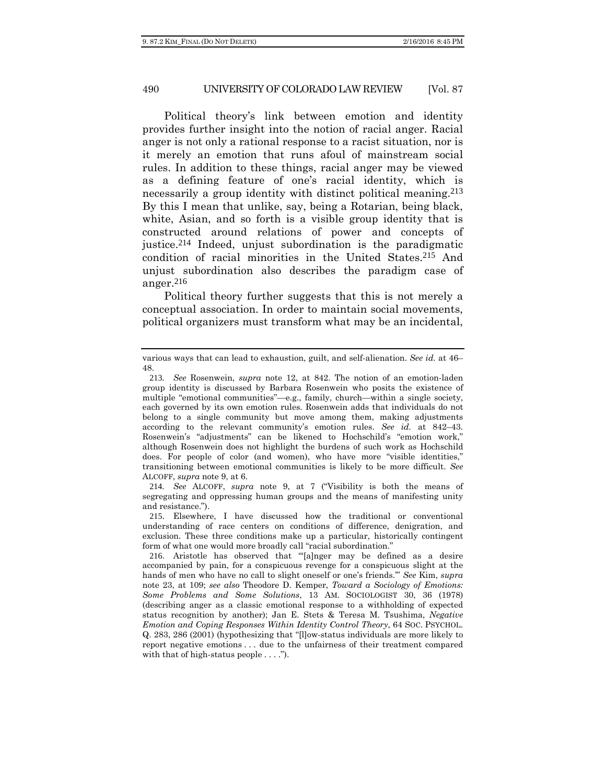Political theory's link between emotion and identity provides further insight into the notion of racial anger. Racial anger is not only a rational response to a racist situation, nor is it merely an emotion that runs afoul of mainstream social rules. In addition to these things, racial anger may be viewed as a defining feature of one's racial identity, which is necessarily a group identity with distinct political meaning.<sup>213</sup> By this I mean that unlike, say, being a Rotarian, being black, white, Asian, and so forth is a visible group identity that is constructed around relations of power and concepts of justice.214 Indeed, unjust subordination is the paradigmatic condition of racial minorities in the United States.215 And unjust subordination also describes the paradigm case of anger.216

Political theory further suggests that this is not merely a conceptual association. In order to maintain social movements, political organizers must transform what may be an incidental,

214*. See* ALCOFF, *supra* note 9, at 7 ("Visibility is both the means of segregating and oppressing human groups and the means of manifesting unity and resistance.").

215. Elsewhere, I have discussed how the traditional or conventional understanding of race centers on conditions of difference, denigration, and exclusion. These three conditions make up a particular, historically contingent form of what one would more broadly call "racial subordination."

various ways that can lead to exhaustion, guilt, and self-alienation. *See id.* at 46– 48.

<sup>213</sup>*. See* Rosenwein, *supra* note 12, at 842. The notion of an emotion-laden group identity is discussed by Barbara Rosenwein who posits the existence of multiple "emotional communities"—e.g., family, church—within a single society, each governed by its own emotion rules. Rosenwein adds that individuals do not belong to a single community but move among them, making adjustments according to the relevant community's emotion rules. *See id.* at 842–43. Rosenwein's "adjustments" can be likened to Hochschild's "emotion work," although Rosenwein does not highlight the burdens of such work as Hochschild does. For people of color (and women), who have more "visible identities," transitioning between emotional communities is likely to be more difficult. *See*  ALCOFF, *supra* note 9, at 6.

<sup>216</sup>. Aristotle has observed that "'[a]nger may be defined as a desire accompanied by pain, for a conspicuous revenge for a conspicuous slight at the hands of men who have no call to slight oneself or one's friends.'" *See* Kim, *supra* note 23, at 109; *see also* Theodore D. Kemper, *Toward a Sociology of Emotions: Some Problems and Some Solutions*, 13 AM. SOCIOLOGIST 30, 36 (1978) (describing anger as a classic emotional response to a withholding of expected status recognition by another); Jan E. Stets & Teresa M. Tsushima, *Negative Emotion and Coping Responses Within Identity Control Theory*, 64 SOC. PSYCHOL. Q. 283, 286 (2001) (hypothesizing that "[l]ow-status individuals are more likely to report negative emotions . . . due to the unfairness of their treatment compared with that of high-status people  $\dots$ .").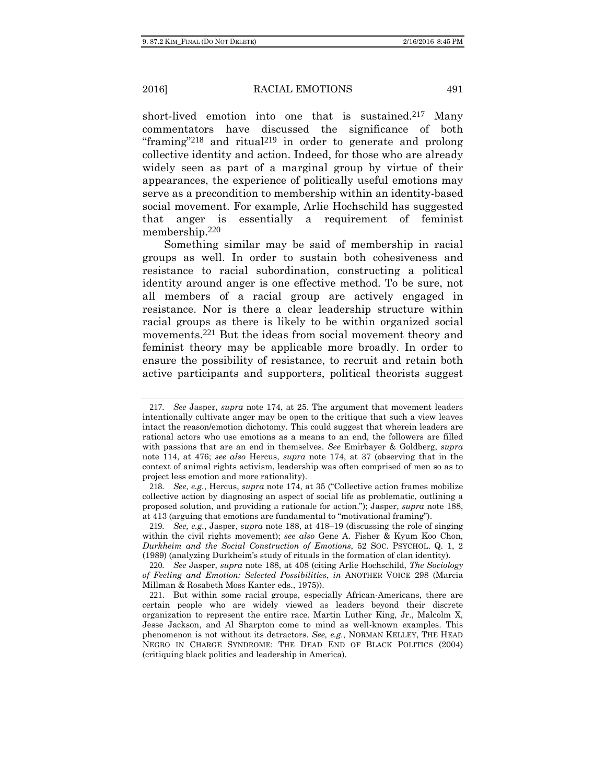short-lived emotion into one that is sustained.<sup>217</sup> Many commentators have discussed the significance of both "framing"<sup>218</sup> and ritual<sup>219</sup> in order to generate and prolong collective identity and action. Indeed, for those who are already widely seen as part of a marginal group by virtue of their appearances, the experience of politically useful emotions may serve as a precondition to membership within an identity-based social movement. For example, Arlie Hochschild has suggested that anger is essentially a requirement of feminist membership.220

Something similar may be said of membership in racial groups as well. In order to sustain both cohesiveness and resistance to racial subordination, constructing a political identity around anger is one effective method. To be sure, not all members of a racial group are actively engaged in resistance. Nor is there a clear leadership structure within racial groups as there is likely to be within organized social movements.221 But the ideas from social movement theory and feminist theory may be applicable more broadly. In order to ensure the possibility of resistance, to recruit and retain both active participants and supporters, political theorists suggest

<sup>217</sup>*. See* Jasper, *supra* note 174, at 25. The argument that movement leaders intentionally cultivate anger may be open to the critique that such a view leaves intact the reason/emotion dichotomy. This could suggest that wherein leaders are rational actors who use emotions as a means to an end, the followers are filled with passions that are an end in themselves. *See* Emirbayer & Goldberg, *supra* note 114, at 476; *see also* Hercus, *supra* note 174, at 37 (observing that in the context of animal rights activism, leadership was often comprised of men so as to project less emotion and more rationality).

<sup>218</sup>*. See, e.g.*, Hercus, *supra* note 174, at 35 ("Collective action frames mobilize collective action by diagnosing an aspect of social life as problematic, outlining a proposed solution, and providing a rationale for action."); Jasper, *supra* note 188, at 413 (arguing that emotions are fundamental to "motivational framing").

<sup>219</sup>*. See, e.g.*, Jasper, *supra* note 188, at 418–19 (discussing the role of singing within the civil rights movement); *see also* Gene A. Fisher & Kyum Koo Chon, *Durkheim and the Social Construction of Emotions*, 52 SOC. PSYCHOL. Q. 1, 2 (1989) (analyzing Durkheim's study of rituals in the formation of clan identity).

<sup>220</sup>*. See* Jasper, *supra* note 188, at 408 (citing Arlie Hochschild, *The Sociology of Feeling and Emotion: Selected Possibilities*, *in* ANOTHER VOICE 298 (Marcia Millman & Rosabeth Moss Kanter eds., 1975)).

<sup>221</sup>. But within some racial groups, especially African-Americans, there are certain people who are widely viewed as leaders beyond their discrete organization to represent the entire race. Martin Luther King, Jr., Malcolm X, Jesse Jackson, and Al Sharpton come to mind as well-known examples. This phenomenon is not without its detractors. *See, e.g.*, NORMAN KELLEY, THE HEAD NEGRO IN CHARGE SYNDROME: THE DEAD END OF BLACK POLITICS (2004) (critiquing black politics and leadership in America).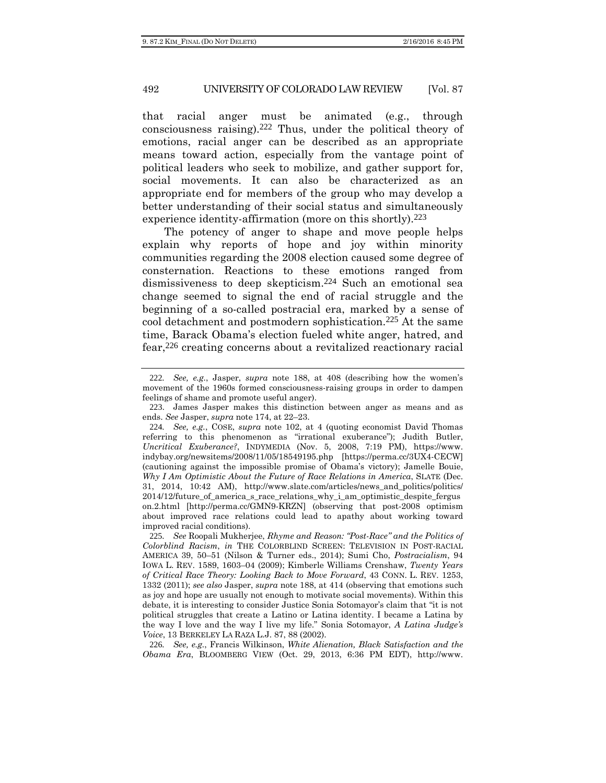that racial anger must be animated (e.g., through consciousness raising).222 Thus, under the political theory of emotions, racial anger can be described as an appropriate means toward action, especially from the vantage point of political leaders who seek to mobilize, and gather support for, social movements. It can also be characterized as an appropriate end for members of the group who may develop a better understanding of their social status and simultaneously experience identity-affirmation (more on this shortly).<sup>223</sup>

The potency of anger to shape and move people helps explain why reports of hope and joy within minority communities regarding the 2008 election caused some degree of consternation. Reactions to these emotions ranged from dismissiveness to deep skepticism.224 Such an emotional sea change seemed to signal the end of racial struggle and the beginning of a so-called postracial era, marked by a sense of cool detachment and postmodern sophistication.225 At the same time, Barack Obama's election fueled white anger, hatred, and fear,226 creating concerns about a revitalized reactionary racial

226*. See, e.g.*, Francis Wilkinson, *White Alienation, Black Satisfaction and the Obama Era*, BLOOMBERG VIEW (Oct. 29, 2013, 6:36 PM EDT), http://www.

<sup>222</sup>*. See, e.g.*, Jasper, *supra* note 188, at 408 (describing how the women's movement of the 1960s formed consciousness-raising groups in order to dampen feelings of shame and promote useful anger).

<sup>223</sup>. James Jasper makes this distinction between anger as means and as ends. *See* Jasper, *supra* note 174, at 22–23.

<sup>224</sup>*. See, e.g.*, COSE, *supra* note 102, at 4 (quoting economist David Thomas referring to this phenomenon as "irrational exuberance"); Judith Butler, *Uncritical Exuberance?*, INDYMEDIA (Nov. 5, 2008, 7:19 PM), https://www. indybay.org/newsitems/2008/11/05/18549195.php [https://perma.cc/3UX4-CECW] (cautioning against the impossible promise of Obama's victory); Jamelle Bouie, *Why I Am Optimistic About the Future of Race Relations in America*, SLATE (Dec. 31, 2014, 10:42 AM), http://www.slate.com/articles/news\_and\_politics/politics/  $2014/12$  future of america s race relations why i am optimistic despite fergus on.2.html [http://perma.cc/GMN9-KRZN] (observing that post-2008 optimism about improved race relations could lead to apathy about working toward improved racial conditions).

<sup>225</sup>*. See* Roopali Mukherjee, *Rhyme and Reason: "Post-Race" and the Politics of Colorblind Racism*, *in* THE COLORBLIND SCREEN: TELEVISION IN POST-RACIAL AMERICA 39, 50–51 (Nilson & Turner eds., 2014); Sumi Cho, *Postracialism*, 94 IOWA L. REV. 1589, 1603–04 (2009); Kimberle Williams Crenshaw, *Twenty Years of Critical Race Theory: Looking Back to Move Forward*, 43 CONN. L. REV. 1253, 1332 (2011); *see also* Jasper, *supra* note 188, at 414 (observing that emotions such as joy and hope are usually not enough to motivate social movements). Within this debate, it is interesting to consider Justice Sonia Sotomayor's claim that "it is not political struggles that create a Latino or Latina identity. I became a Latina by the way I love and the way I live my life." Sonia Sotomayor, *A Latina Judge's Voice*, 13 BERKELEY LA RAZA L.J. 87, 88 (2002).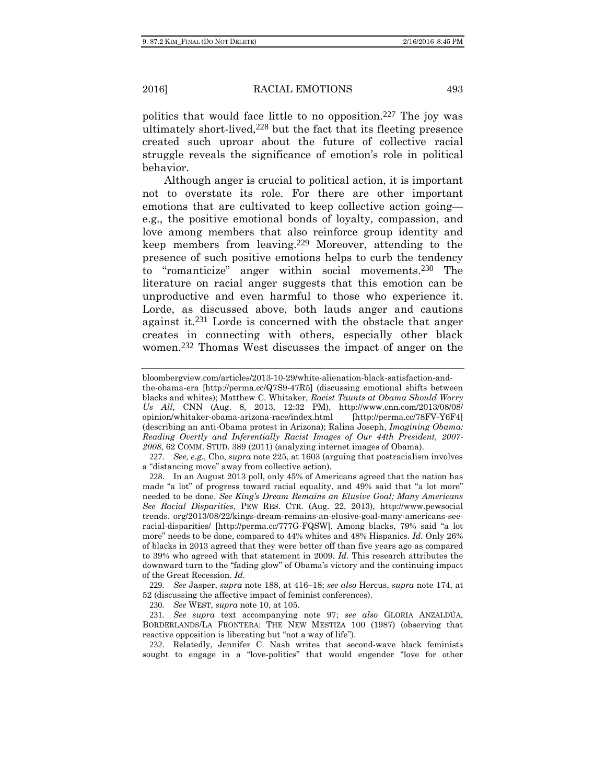politics that would face little to no opposition.227 The joy was ultimately short-lived,228 but the fact that its fleeting presence created such uproar about the future of collective racial struggle reveals the significance of emotion's role in political behavior.

Although anger is crucial to political action, it is important not to overstate its role. For there are other important emotions that are cultivated to keep collective action going e.g., the positive emotional bonds of loyalty, compassion, and love among members that also reinforce group identity and keep members from leaving.229 Moreover, attending to the presence of such positive emotions helps to curb the tendency to "romanticize" anger within social movements.230 The literature on racial anger suggests that this emotion can be unproductive and even harmful to those who experience it. Lorde, as discussed above, both lauds anger and cautions against it.231 Lorde is concerned with the obstacle that anger creates in connecting with others, especially other black women.232 Thomas West discusses the impact of anger on the

bloombergview.com/articles/2013-10-29/white-alienation-black-satisfaction-andthe-obama-era [http://perma.cc/Q7S9-47R5] (discussing emotional shifts between blacks and whites); Matthew C. Whitaker, *Racist Taunts at Obama Should Worry Us All*, CNN (Aug. 8, 2013, 12:32 PM), http://www.cnn.com/2013/08/08/ opinion/whitaker-obama-arizona-race/index.html [http://perma.cc/78FV-Y6F4] (describing an anti-Obama protest in Arizona); Ralina Joseph, *Imagining Obama: Reading Overtly and Inferentially Racist Images of Our 44th President, 2007-*

*<sup>2008</sup>*, 62 COMM. STUD. 389 (2011) (analyzing internet images of Obama).

<sup>227</sup>*. See, e.g.*, Cho, *supra* note 225, at 1603 (arguing that postracialism involves a "distancing move" away from collective action).

<sup>228</sup>. In an August 2013 poll, only 45% of Americans agreed that the nation has made "a lot" of progress toward racial equality, and 49% said that "a lot more" needed to be done. *See King's Dream Remains an Elusive Goal; Many Americans See Racial Disparities*, PEW RES. CTR. (Aug. 22, 2013), http://www.pewsocial trends. org/2013/08/22/kings-dream-remains-an-elusive-goal-many-americans-seeracial-disparities/ [http://perma.cc/777G-FQSW]. Among blacks, 79% said "a lot more" needs to be done, compared to 44% whites and 48% Hispanics. *Id.* Only 26% of blacks in 2013 agreed that they were better off than five years ago as compared to 39% who agreed with that statement in 2009. *Id.* This research attributes the downward turn to the "fading glow" of Obama's victory and the continuing impact of the Great Recession. *Id.* 

<sup>229</sup>*. See* Jasper, *supra* note 188, at 416–18; *see also* Hercus, *supra* note 174, at 52 (discussing the affective impact of feminist conferences).

<sup>230</sup>*. See* WEST, *supra* note 10, at 105.

<sup>231</sup>*. See supra* text accompanying note 97; *see also* GLORIA ANZALDÚA, BORDERLANDS/LA FRONTERA: THE NEW MESTIZA 100 (1987) (observing that reactive opposition is liberating but "not a way of life").

<sup>232</sup>. Relatedly, Jennifer C. Nash writes that second-wave black feminists sought to engage in a "love-politics" that would engender "love for other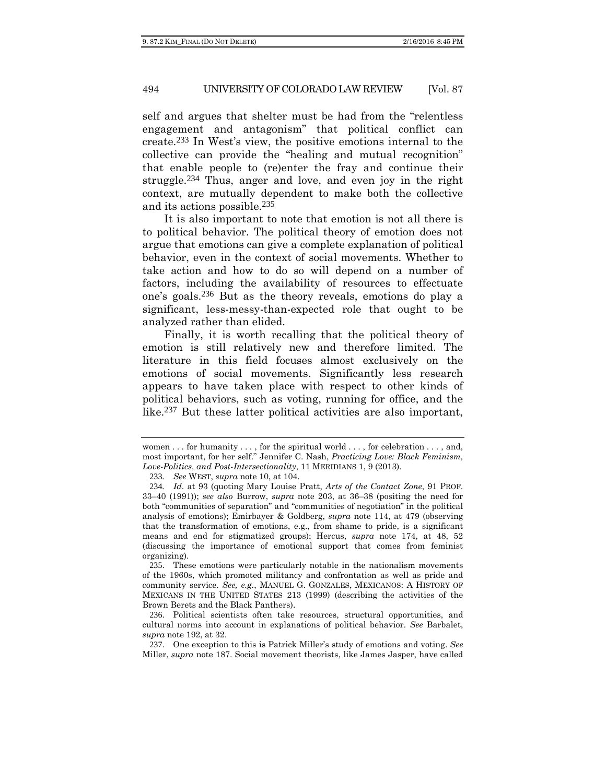self and argues that shelter must be had from the "relentless engagement and antagonism" that political conflict can create.233 In West's view, the positive emotions internal to the collective can provide the "healing and mutual recognition" that enable people to (re)enter the fray and continue their struggle.234 Thus, anger and love, and even joy in the right context, are mutually dependent to make both the collective and its actions possible.235

It is also important to note that emotion is not all there is to political behavior. The political theory of emotion does not argue that emotions can give a complete explanation of political behavior, even in the context of social movements. Whether to take action and how to do so will depend on a number of factors, including the availability of resources to effectuate one's goals.236 But as the theory reveals, emotions do play a significant, less-messy-than-expected role that ought to be analyzed rather than elided.

Finally, it is worth recalling that the political theory of emotion is still relatively new and therefore limited. The literature in this field focuses almost exclusively on the emotions of social movements. Significantly less research appears to have taken place with respect to other kinds of political behaviors, such as voting, running for office, and the like.237 But these latter political activities are also important,

women . . . for humanity . . . , for the spiritual world . . . , for celebration . . . , and, most important, for her self." Jennifer C. Nash, *Practicing Love: Black Feminism, Love-Politics, and Post-Intersectionality*, 11 MERIDIANS 1, 9 (2013).

<sup>233</sup>*. See* WEST, *supra* note 10, at 104.

<sup>234</sup>*. Id*. at 93 (quoting Mary Louise Pratt, *Arts of the Contact Zone*, 91 PROF. 33–40 (1991)); *see also* Burrow, *supra* note 203, at 36–38 (positing the need for both "communities of separation" and "communities of negotiation" in the political analysis of emotions); Emirbayer & Goldberg, *supra* note 114, at 479 (observing that the transformation of emotions, e.g., from shame to pride, is a significant means and end for stigmatized groups); Hercus, *supra* note 174, at 48, 52 (discussing the importance of emotional support that comes from feminist organizing).

<sup>235</sup>. These emotions were particularly notable in the nationalism movements of the 1960s, which promoted militancy and confrontation as well as pride and community service. *See, e.g.*, MANUEL G. GONZALES, MEXICANOS: A HISTORY OF MEXICANS IN THE UNITED STATES 213 (1999) (describing the activities of the Brown Berets and the Black Panthers).

<sup>236</sup>. Political scientists often take resources, structural opportunities, and cultural norms into account in explanations of political behavior. *See* Barbalet, *supra* note 192, at 32.

<sup>237</sup>. One exception to this is Patrick Miller's study of emotions and voting. *See*  Miller, *supra* note 187. Social movement theorists, like James Jasper, have called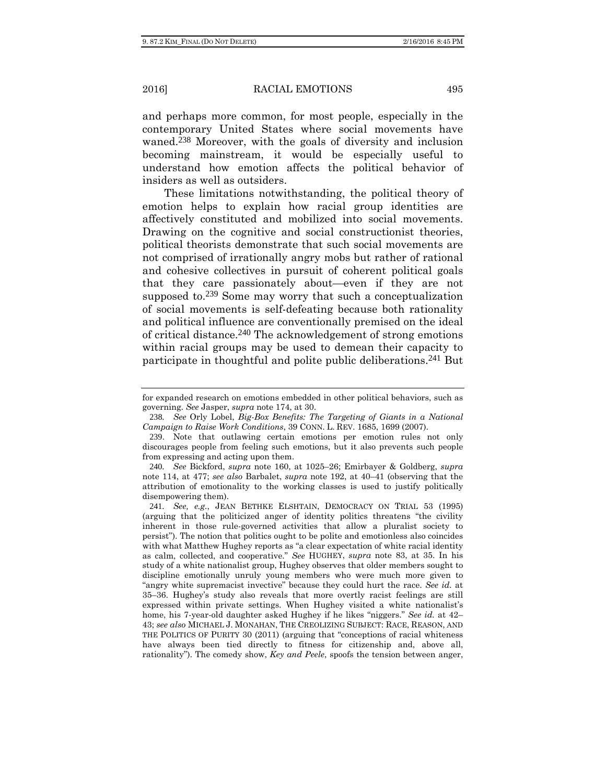and perhaps more common, for most people, especially in the contemporary United States where social movements have waned.238 Moreover, with the goals of diversity and inclusion becoming mainstream, it would be especially useful to understand how emotion affects the political behavior of insiders as well as outsiders.

These limitations notwithstanding, the political theory of emotion helps to explain how racial group identities are affectively constituted and mobilized into social movements. Drawing on the cognitive and social constructionist theories, political theorists demonstrate that such social movements are not comprised of irrationally angry mobs but rather of rational and cohesive collectives in pursuit of coherent political goals that they care passionately about—even if they are not supposed to.239 Some may worry that such a conceptualization of social movements is self-defeating because both rationality and political influence are conventionally premised on the ideal of critical distance.240 The acknowledgement of strong emotions within racial groups may be used to demean their capacity to participate in thoughtful and polite public deliberations.241 But

for expanded research on emotions embedded in other political behaviors, such as governing. *See* Jasper, *supra* note 174, at 30.

<sup>238</sup>*. See* Orly Lobel, *Big-Box Benefits: The Targeting of Giants in a National Campaign to Raise Work Conditions*, 39 CONN. L. REV. 1685, 1699 (2007).

<sup>239</sup>. Note that outlawing certain emotions per emotion rules not only discourages people from feeling such emotions, but it also prevents such people from expressing and acting upon them.

<sup>240</sup>*. See* Bickford, *supra* note 160, at 1025–26; Emirbayer & Goldberg, *supra* note 114, at 477; *see also* Barbalet, *supra* note 192, at 40–41 (observing that the attribution of emotionality to the working classes is used to justify politically disempowering them).

<sup>241</sup>*. See, e.g.*, JEAN BETHKE ELSHTAIN, DEMOCRACY ON TRIAL 53 (1995) (arguing that the politicized anger of identity politics threatens "the civility inherent in those rule-governed activities that allow a pluralist society to persist"). The notion that politics ought to be polite and emotionless also coincides with what Matthew Hughey reports as "a clear expectation of white racial identity as calm, collected, and cooperative." *See* HUGHEY, *supra* note 83, at 35. In his study of a white nationalist group, Hughey observes that older members sought to discipline emotionally unruly young members who were much more given to "angry white supremacist invective" because they could hurt the race. *See id.* at 35–36. Hughey's study also reveals that more overtly racist feelings are still expressed within private settings. When Hughey visited a white nationalist's home, his 7-year-old daughter asked Hughey if he likes "niggers." *See id.* at 42– 43; *see also* MICHAEL J. MONAHAN, THE CREOLIZING SUBJECT: RACE, REASON, AND THE POLITICS OF PURITY 30 (2011) (arguing that "conceptions of racial whiteness have always been tied directly to fitness for citizenship and, above all, rationality"). The comedy show, *Key and Peele*, spoofs the tension between anger,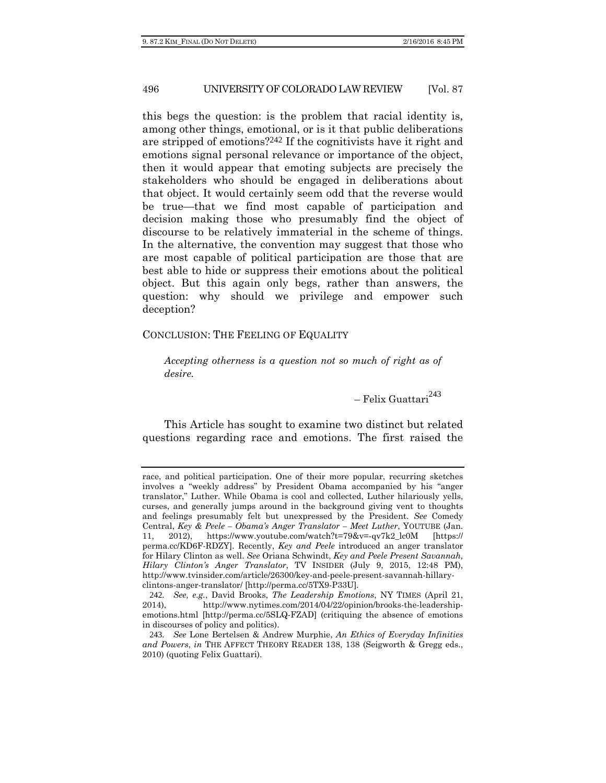this begs the question: is the problem that racial identity is, among other things, emotional, or is it that public deliberations are stripped of emotions?242 If the cognitivists have it right and emotions signal personal relevance or importance of the object, then it would appear that emoting subjects are precisely the stakeholders who should be engaged in deliberations about that object. It would certainly seem odd that the reverse would be true—that we find most capable of participation and decision making those who presumably find the object of discourse to be relatively immaterial in the scheme of things. In the alternative, the convention may suggest that those who are most capable of political participation are those that are best able to hide or suppress their emotions about the political object. But this again only begs, rather than answers, the question: why should we privilege and empower such deception?

#### CONCLUSION: THE FEELING OF EQUALITY

*Accepting otherness is a question not so much of right as of desire.* 

– Felix Guattari<sup>243</sup>

This Article has sought to examine two distinct but related questions regarding race and emotions. The first raised the

race, and political participation. One of their more popular, recurring sketches involves a "weekly address" by President Obama accompanied by his "anger translator," Luther. While Obama is cool and collected, Luther hilariously yells, curses, and generally jumps around in the background giving vent to thoughts and feelings presumably felt but unexpressed by the President. *See* Comedy Central, *Key & Peele – Obama's Anger Translator – Meet Luther*, YOUTUBE (Jan. 11, 2012), https://www.youtube.com/watch?t=79&v=-qv7k2\_lc0M [https:// perma.cc/KD6F-RDZY]. Recently, *Key and Peele* introduced an anger translator for Hilary Clinton as well. *See* Oriana Schwindt, *Key and Peele Present Savannah, Hilary Clinton's Anger Translator*, TV INSIDER (July 9, 2015, 12:48 PM), http://www.tvinsider.com/article/26300/key-and-peele-present-savannah-hillaryclintons-anger-translator/ [http://perma.cc/5TX9-P33U]*.* 

<sup>242</sup>*. See, e.g.*, David Brooks, *The Leadership Emotions*, NY TIMES (April 21, 2014), http://www.nytimes.com/2014/04/22/opinion/brooks-the-leadershipemotions.html [http://perma.cc/5SLQ-FZAD] (critiquing the absence of emotions in discourses of policy and politics).

<sup>243</sup>*. See* Lone Bertelsen & Andrew Murphie, *An Ethics of Everyday Infinities and Powers*, *in* THE AFFECT THEORY READER 138, 138 (Seigworth & Gregg eds., 2010) (quoting Felix Guattari).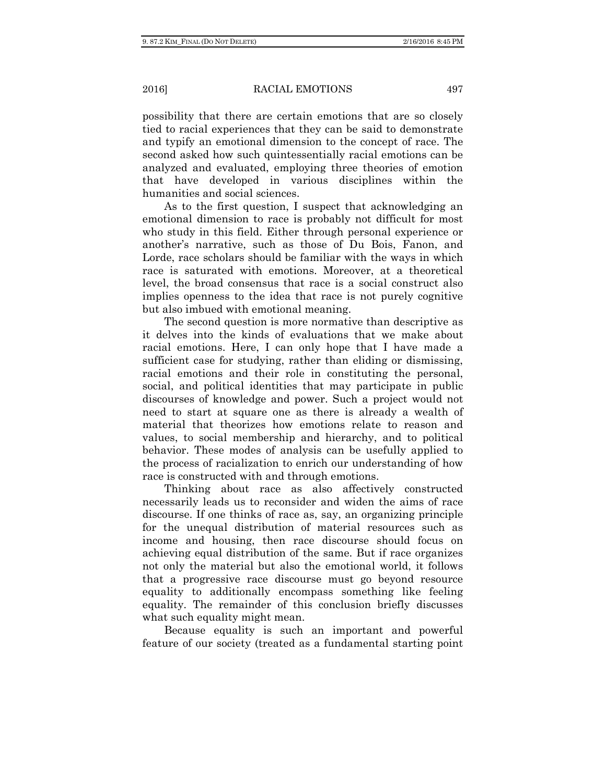possibility that there are certain emotions that are so closely tied to racial experiences that they can be said to demonstrate and typify an emotional dimension to the concept of race. The second asked how such quintessentially racial emotions can be analyzed and evaluated, employing three theories of emotion that have developed in various disciplines within the humanities and social sciences.

As to the first question, I suspect that acknowledging an emotional dimension to race is probably not difficult for most who study in this field. Either through personal experience or another's narrative, such as those of Du Bois, Fanon, and Lorde, race scholars should be familiar with the ways in which race is saturated with emotions. Moreover, at a theoretical level, the broad consensus that race is a social construct also implies openness to the idea that race is not purely cognitive but also imbued with emotional meaning.

The second question is more normative than descriptive as it delves into the kinds of evaluations that we make about racial emotions. Here, I can only hope that I have made a sufficient case for studying, rather than eliding or dismissing, racial emotions and their role in constituting the personal, social, and political identities that may participate in public discourses of knowledge and power. Such a project would not need to start at square one as there is already a wealth of material that theorizes how emotions relate to reason and values, to social membership and hierarchy, and to political behavior. These modes of analysis can be usefully applied to the process of racialization to enrich our understanding of how race is constructed with and through emotions.

Thinking about race as also affectively constructed necessarily leads us to reconsider and widen the aims of race discourse. If one thinks of race as, say, an organizing principle for the unequal distribution of material resources such as income and housing, then race discourse should focus on achieving equal distribution of the same. But if race organizes not only the material but also the emotional world, it follows that a progressive race discourse must go beyond resource equality to additionally encompass something like feeling equality. The remainder of this conclusion briefly discusses what such equality might mean.

Because equality is such an important and powerful feature of our society (treated as a fundamental starting point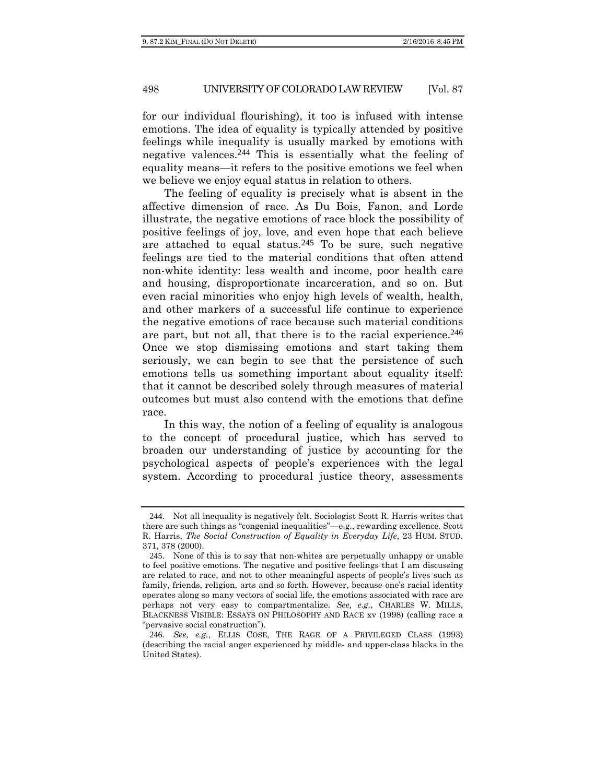for our individual flourishing), it too is infused with intense emotions. The idea of equality is typically attended by positive feelings while inequality is usually marked by emotions with negative valences.244 This is essentially what the feeling of equality means—it refers to the positive emotions we feel when we believe we enjoy equal status in relation to others.

The feeling of equality is precisely what is absent in the affective dimension of race. As Du Bois, Fanon, and Lorde illustrate, the negative emotions of race block the possibility of positive feelings of joy, love, and even hope that each believe are attached to equal status.<sup>245</sup> To be sure, such negative feelings are tied to the material conditions that often attend non-white identity: less wealth and income, poor health care and housing, disproportionate incarceration, and so on. But even racial minorities who enjoy high levels of wealth, health, and other markers of a successful life continue to experience the negative emotions of race because such material conditions are part, but not all, that there is to the racial experience.<sup>246</sup> Once we stop dismissing emotions and start taking them seriously, we can begin to see that the persistence of such emotions tells us something important about equality itself: that it cannot be described solely through measures of material outcomes but must also contend with the emotions that define race.

In this way, the notion of a feeling of equality is analogous to the concept of procedural justice, which has served to broaden our understanding of justice by accounting for the psychological aspects of people's experiences with the legal system. According to procedural justice theory, assessments

<sup>244</sup>. Not all inequality is negatively felt. Sociologist Scott R. Harris writes that there are such things as "congenial inequalities"—e.g., rewarding excellence. Scott R. Harris, *The Social Construction of Equality in Everyday Life*, 23 HUM. STUD. 371, 378 (2000).

<sup>245</sup>. None of this is to say that non-whites are perpetually unhappy or unable to feel positive emotions. The negative and positive feelings that I am discussing are related to race, and not to other meaningful aspects of people's lives such as family, friends, religion, arts and so forth. However, because one's racial identity operates along so many vectors of social life, the emotions associated with race are perhaps not very easy to compartmentalize. *See, e.g.*, CHARLES W. MILLS, BLACKNESS VISIBLE: ESSAYS ON PHILOSOPHY AND RACE xv (1998) (calling race a "pervasive social construction").

<sup>246</sup>*. See, e.g.*, ELLIS COSE, THE RAGE OF A PRIVILEGED CLASS (1993) (describing the racial anger experienced by middle- and upper-class blacks in the United States).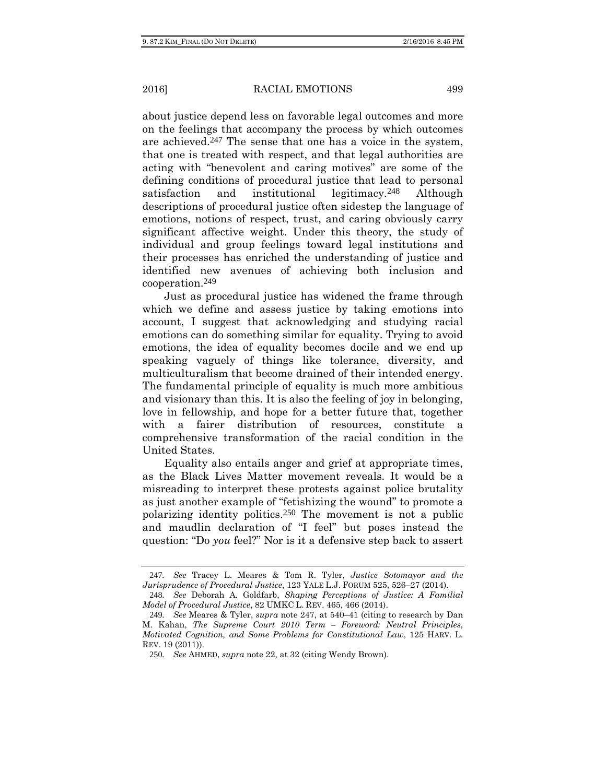about justice depend less on favorable legal outcomes and more on the feelings that accompany the process by which outcomes are achieved.247 The sense that one has a voice in the system, that one is treated with respect, and that legal authorities are acting with "benevolent and caring motives" are some of the defining conditions of procedural justice that lead to personal satisfaction and institutional legitimacy.248 Although descriptions of procedural justice often sidestep the language of emotions, notions of respect, trust, and caring obviously carry significant affective weight. Under this theory, the study of individual and group feelings toward legal institutions and their processes has enriched the understanding of justice and identified new avenues of achieving both inclusion and cooperation.249

Just as procedural justice has widened the frame through which we define and assess justice by taking emotions into account, I suggest that acknowledging and studying racial emotions can do something similar for equality. Trying to avoid emotions, the idea of equality becomes docile and we end up speaking vaguely of things like tolerance, diversity, and multiculturalism that become drained of their intended energy. The fundamental principle of equality is much more ambitious and visionary than this. It is also the feeling of joy in belonging, love in fellowship, and hope for a better future that, together with a fairer distribution of resources, constitute a comprehensive transformation of the racial condition in the United States.

Equality also entails anger and grief at appropriate times, as the Black Lives Matter movement reveals. It would be a misreading to interpret these protests against police brutality as just another example of "fetishizing the wound" to promote a polarizing identity politics.250 The movement is not a public and maudlin declaration of "I feel" but poses instead the question: "Do *you* feel?" Nor is it a defensive step back to assert

<sup>247</sup>*. See* Tracey L. Meares & Tom R. Tyler, *Justice Sotomayor and the Jurisprudence of Procedural Justice*, 123 YALE L.J. FORUM 525, 526–27 (2014). 248*. See* Deborah A. Goldfarb, *Shaping Perceptions of Justice: A Familial* 

*Model of Procedural Justice*, 82 UMKC L. REV. 465, 466 (2014). 249*. See* Meares & Tyler, *supra* note 247, at 540–41 (citing to research by Dan M. Kahan, *The Supreme Court 2010 Term – Foreword: Neutral Principles, Motivated Cognition, and Some Problems for Constitutional Law*, 125 HARV. L.

REV. 19 (2011)).

<sup>250</sup>*. See* AHMED, *supra* note 22, at 32 (citing Wendy Brown).